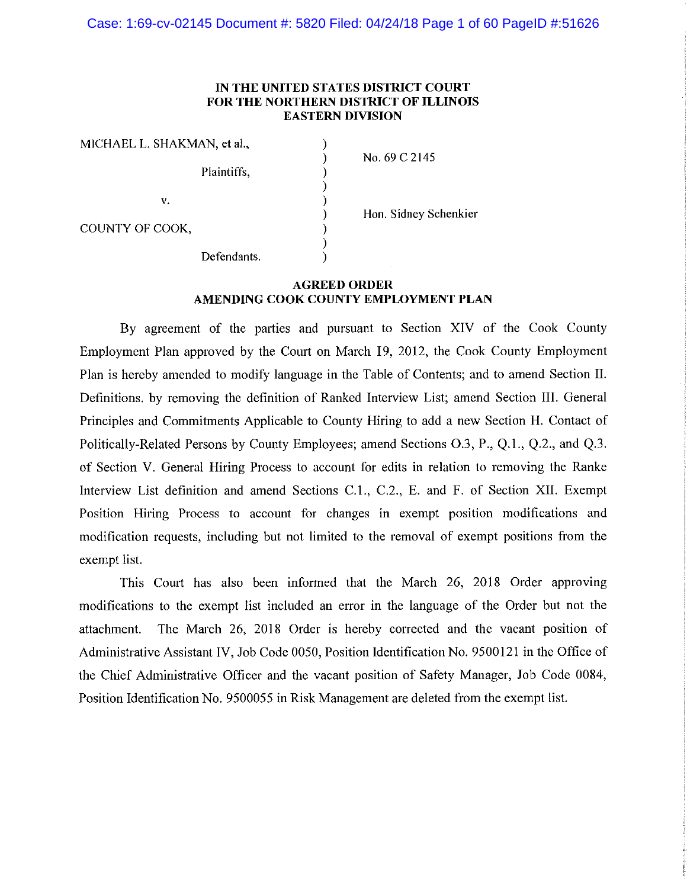Case: 1:69-cv-02145 Document #: 5820 Filed: 04/24/18 Page 1 of 60 PageID #:51626

## IN THE UNITED STATES DISTRICT COURT FOR THE NORTHERN DISTRICT OF ILLINOIS **EASTERN DIVISION**

)

| MICHAEL L. SHAKMAN, et al., |             |
|-----------------------------|-------------|
|                             | Plaintiffs, |
| V.                          |             |
| COUNTY OF COOK,             |             |
|                             | Defendants. |

No. 69 C 2145

Hon. Sidney Schenkier

## **AGREED ORDER** AMENDING COOK COUNTY EMPLOYMENT PLAN

By agreement of the parties and pursuant to Section XIV of the Cook County Employment Plan approved by the Court on March 19, 2012, the Cook County Employment Plan is hereby amended to modify language in the Table of Contents; and to amend Section II. Definitions. by removing the definition of Ranked Interview List; amend Section III. General Principles and Commitments Applicable to County Hiring to add a new Section H. Contact of Politically-Related Persons by County Employees; amend Sections O.3, P., Q.1., Q.2., and Q.3. of Section V. General Hiring Process to account for edits in relation to removing the Ranke Interview List definition and amend Sections C.1., C.2., E. and F. of Section XII. Exempt Position Hiring Process to account for changes in exempt position modifications and modification requests, including but not limited to the removal of exempt positions from the exempt list.

This Court has also been informed that the March 26, 2018 Order approving modifications to the exempt list included an error in the language of the Order but not the attachment. The March 26, 2018 Order is hereby corrected and the vacant position of Administrative Assistant IV, Job Code 0050, Position Identification No. 9500121 in the Office of the Chief Administrative Officer and the vacant position of Safety Manager, Job Code 0084, Position Identification No. 9500055 in Risk Management are deleted from the exempt list.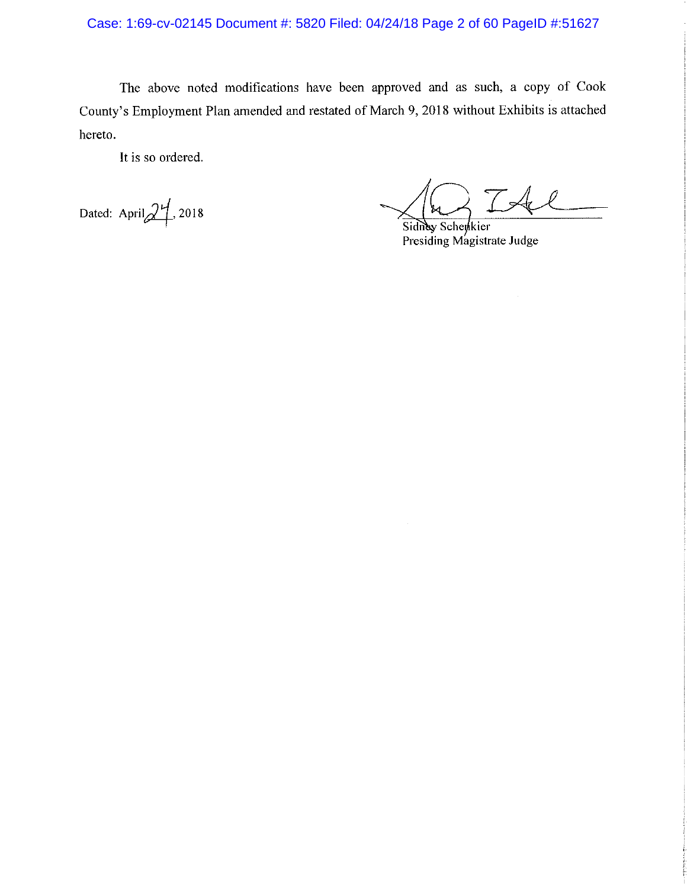Case: 1:69-cv-02145 Document #: 5820 Filed: 04/24/18 Page 2 of 60 PageID #:51627

The above noted modifications have been approved and as such, a copy of Cook County's Employment Plan amended and restated of March 9, 2018 without Exhibits is attached hereto.

It is so ordered.

Dated: April $2^{4}$ , 2018

IAl

Sidney Schenkier Presiding Magistrate Judge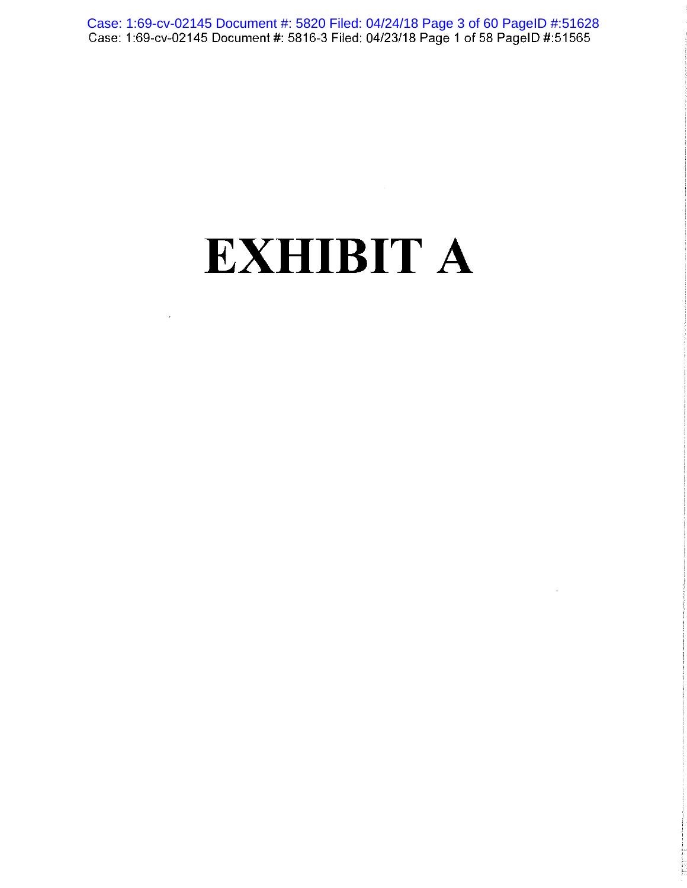Case: 1:69-cv-02145 Document #: 5820 Filed: 04/24/18 Page 3 of 60 PageID #:51628<br>Case: 1:69-cv-02145 Document #: 5816-3 Filed: 04/23/18 Page 1 of 58 PageID #:51565

# **EXHIBIT A**

 $\overline{\phantom{a}}$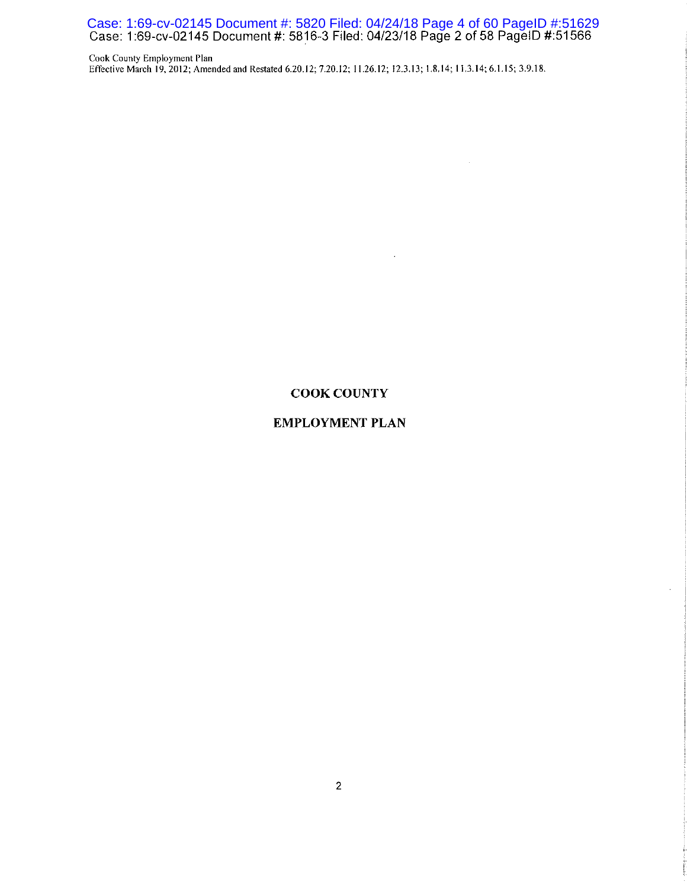Case: 1:69-cv-02145 Document #: 5820 Filed: 04/24/18 Page 4 of 60 PageID #:51629<br>Case: 1:69-cv-02145 Document #: 5816-3 Filed: 04/23/18 Page 2 of 58 PageID #:51566

Cook County Employment Plan Effective March 19, 2012; Amended and Restated 6.20.12; 7.20.12; 11.26.12; 12.3.13; 1.8.14; 11.3.14; 6.1.15; 3.9.18.

## **COOK COUNTY**

 $\mathcal{A}^{\pm}$ 

## **EMPLOYMENT PLAN**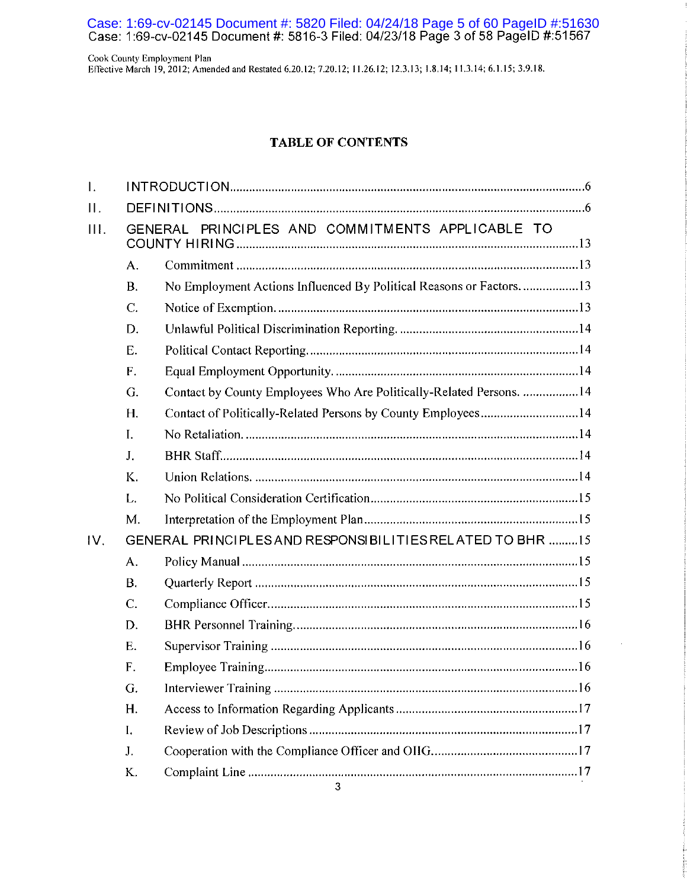Case: 1:69-cv-02145 Document #: 5820 Filed: 04/24/18 Page 5 of 60 PageID #:51630<br>Case: 1:69-cv-02145 Document #: 5816-3 Filed: 04/23/18 Page 3 of 58 PageID #:51567

Cook County Employment Plan Effective March 19, 2012; Amended and Restated 6.20.12; 7.20.12; 11.26.12; 12.3.13; 1.8.14; 11.3.14; 6.1.15; 3.9.18.

## **TABLE OF CONTENTS**

| Ī.  |           |                                                                     |  |  |
|-----|-----------|---------------------------------------------------------------------|--|--|
| Π.  |           |                                                                     |  |  |
| Ш.  |           | PRINCIPLES AND COMMITMENTS APPLICABLE TO<br>GENERAL                 |  |  |
|     | A.        |                                                                     |  |  |
|     | <b>B.</b> | No Employment Actions Influenced By Political Reasons or Factors13  |  |  |
|     | C.        |                                                                     |  |  |
|     | D.        |                                                                     |  |  |
|     | E.        |                                                                     |  |  |
|     | F.        |                                                                     |  |  |
|     | G.        | Contact by County Employees Who Are Politically-Related Persons. 14 |  |  |
|     | H.        | Contact of Politically-Related Persons by County Employees14        |  |  |
|     | I.        |                                                                     |  |  |
|     | J.        |                                                                     |  |  |
|     | K.        |                                                                     |  |  |
|     | L.        |                                                                     |  |  |
|     | M.        |                                                                     |  |  |
| IV. |           | GENERAL PRINCIPLES AND RESPONSIBILITIES RELATED TO BHR 15           |  |  |
|     | A.        |                                                                     |  |  |
|     | <b>B.</b> |                                                                     |  |  |
|     | C.        |                                                                     |  |  |
|     | D.        |                                                                     |  |  |
|     | Ε.        |                                                                     |  |  |
|     | F.        |                                                                     |  |  |
|     | G.        |                                                                     |  |  |
|     | Η.        |                                                                     |  |  |
|     | I.        |                                                                     |  |  |
|     | J.        |                                                                     |  |  |
|     | K.        |                                                                     |  |  |
|     |           | 3                                                                   |  |  |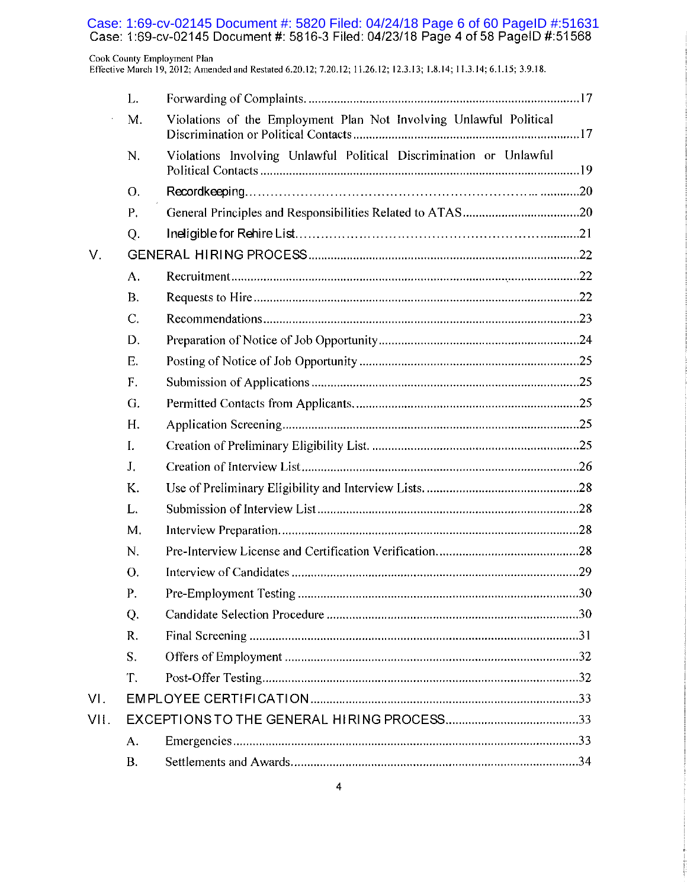Case: 1:69-cv-02145 Document #: 5820 Filed: 04/24/18 Page 6 of 60 PageID #:51631<br>Case: 1:69-cv-02145 Document #: 5816-3 Filed: 04/23/18 Page 4 of 58 PageID #:51568

Cook County Employment Plan<br>Effective March 19, 2012; Amended and Restated 6.20.12; 7.20.12; 11.26.12; 12.3.13; 1.8.14; 11.3.14; 6.1.15; 3.9.18.

|      | L.        |                                                                    |  |
|------|-----------|--------------------------------------------------------------------|--|
|      | M.        | Violations of the Employment Plan Not Involving Unlawful Political |  |
|      | N.        | Violations Involving Unlawful Political Discrimination or Unlawful |  |
|      | O.        |                                                                    |  |
|      | P.        |                                                                    |  |
|      | Q.        |                                                                    |  |
| V.   |           |                                                                    |  |
|      | A.        |                                                                    |  |
|      | <b>B.</b> |                                                                    |  |
|      | C.        |                                                                    |  |
|      | D.        |                                                                    |  |
|      | Ε.        |                                                                    |  |
|      | F.        |                                                                    |  |
|      | G.        |                                                                    |  |
|      | H.        |                                                                    |  |
|      | I.        |                                                                    |  |
|      | J.        |                                                                    |  |
|      | K.        |                                                                    |  |
|      | L.        |                                                                    |  |
|      | M.        |                                                                    |  |
|      | N.        |                                                                    |  |
|      | О.        |                                                                    |  |
|      | Р.        |                                                                    |  |
|      | Q.        |                                                                    |  |
|      | R.        |                                                                    |  |
|      | S.        |                                                                    |  |
|      | Т.        |                                                                    |  |
| VI.  |           |                                                                    |  |
| VII. |           |                                                                    |  |
|      | A.        |                                                                    |  |
|      | <b>B.</b> |                                                                    |  |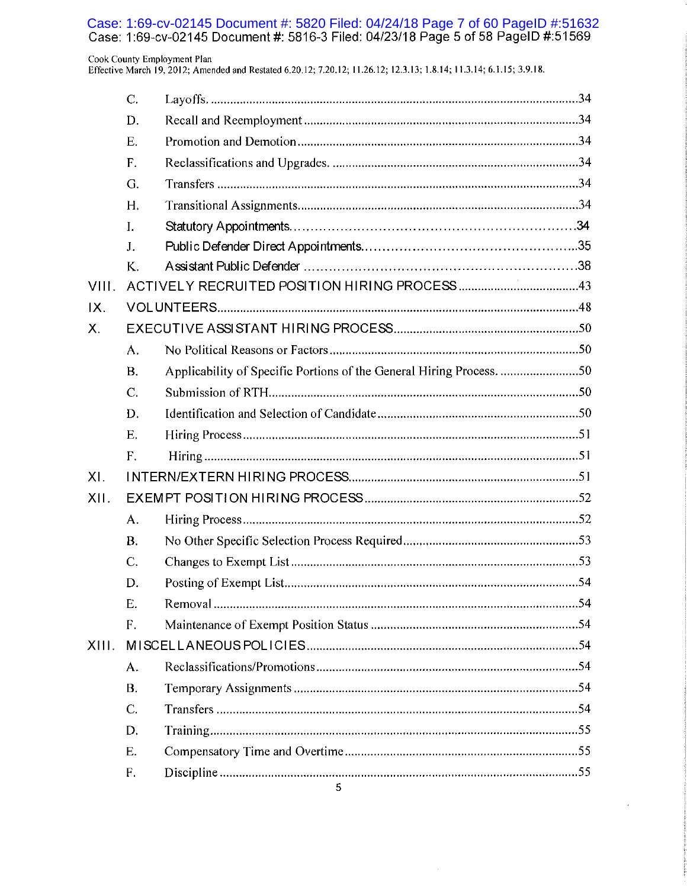Case: 1:69-cv-02145 Document #: 5820 Filed: 04/24/18 Page 7 of 60 PageID #:51632<br>Case: 1:69-cv-02145 Document #: 5816-3 Filed: 04/23/18 Page 5 of 58 PageID #:51569

### Cook County Employment Plan

Effective March 19, 2012; Amended and Restated 6.20.12; 7.20.12; 11.26.12; 12.3.13; 1.8.14; 11.3.14; 6.1.15; 3.9.18.

|       | C.             |                                                                      |
|-------|----------------|----------------------------------------------------------------------|
|       | D.             |                                                                      |
|       | Ε.             |                                                                      |
|       | F.             |                                                                      |
|       | G.             |                                                                      |
|       | H.             |                                                                      |
|       | $\mathbf{I}$ . |                                                                      |
|       | J.             |                                                                      |
|       | K.             |                                                                      |
| VIII. |                |                                                                      |
| IX.   |                |                                                                      |
| Х.    |                |                                                                      |
|       | A.             |                                                                      |
|       | <b>B.</b>      | Applicability of Specific Portions of the General Hiring Process. 50 |
|       | $C_{\cdot}$    |                                                                      |
|       | D.             |                                                                      |
|       | E.             |                                                                      |
|       | F.             |                                                                      |
| XI.   |                |                                                                      |
| XII.  |                |                                                                      |
|       | A.             |                                                                      |
|       | <b>B.</b>      |                                                                      |
|       | C.             |                                                                      |
|       | D.             |                                                                      |
|       | Ε.             |                                                                      |
|       | F.             |                                                                      |
| XIII. |                |                                                                      |
|       | A.             |                                                                      |
|       | <b>B.</b>      |                                                                      |
|       | C.             |                                                                      |
|       | D.             |                                                                      |
|       | Ε.             |                                                                      |
|       | F.             |                                                                      |

 $\hat{\mathcal{A}}$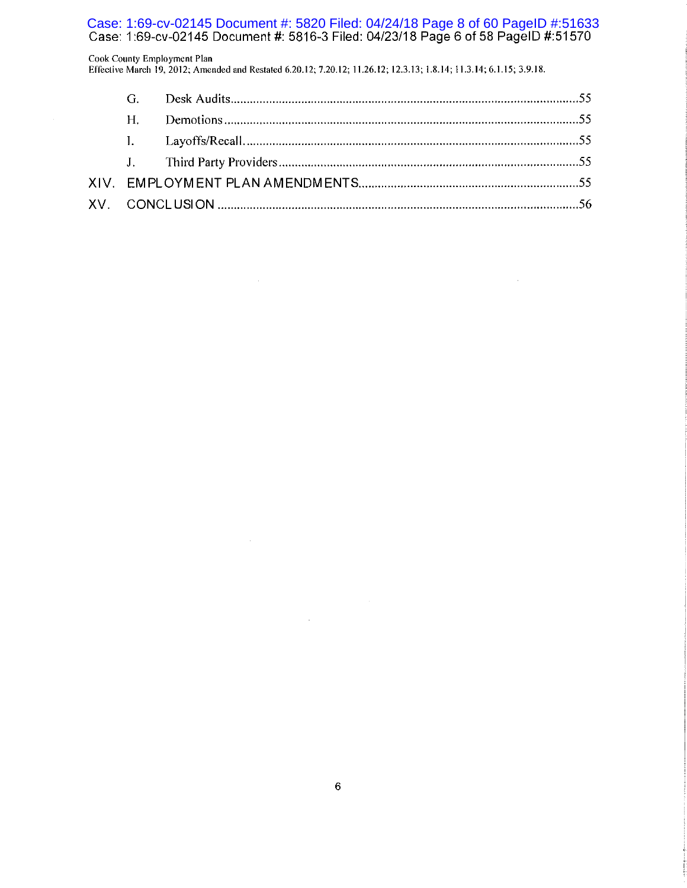Case: 1:69-cv-02145 Document #: 5820 Filed: 04/24/18 Page 8 of 60 PageID #:51633

Cook County Employment Plan Effective March 19, 2012; Amended and Restated 6.20.12; 7.20.12; 11.26.12; 12.3.13; 1.8.14; 11.3.14; 6.1.15; 3.9.18.

| $H_{\cdot}$ |  |
|-------------|--|
|             |  |
|             |  |
|             |  |
|             |  |

 $\alpha$ 

 $\mathcal{L}$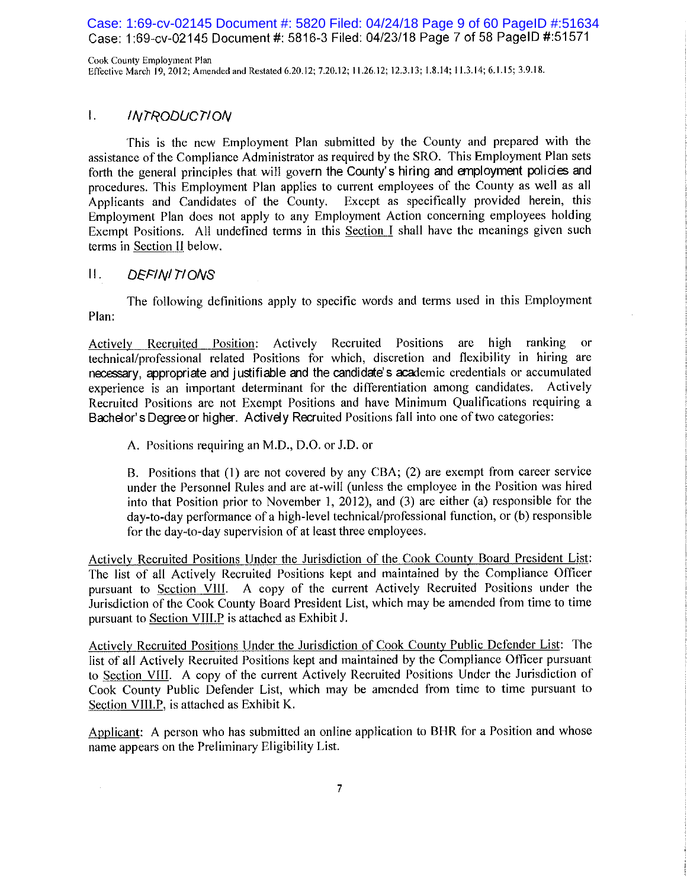Case: 1:69-cv-02145 Document #: 5820 Filed: 04/24/18 Page 9 of 60 PageID #:51634 Case: 1:69-cv-02145 Document #: 5816-3 Filed: 04/23/18 Page 7 of 58 PageID #:51571

Cook County Employment Plan Effective March 19, 2012; Amended and Restated 6.20.12; 7.20.12; 11.26.12; 12.3.13; 1.8.14; 11.3.14; 6.1.15; 3.9.18.

#### $\mathbf{L}$ *INTRODUCTION*

This is the new Employment Plan submitted by the County and prepared with the assistance of the Compliance Administrator as required by the SRO. This Employment Plan sets forth the general principles that will govern the County's hiring and employment policies and procedures. This Employment Plan applies to current employees of the County as well as all Except as specifically provided herein, this Applicants and Candidates of the County. Employment Plan does not apply to any Employment Action concerning employees holding Exempt Positions. All undefined terms in this Section I shall have the meanings given such terms in Section II below.

#### П. **DEFINITIONS**

The following definitions apply to specific words and terms used in this Employment Plan:

Recruited Positions are high ranking Actively Recruited Position: Actively  $or$ technical/professional related Positions for which, discretion and flexibility in hiring are necessary, appropriate and justifiable and the candidate's academic credentials or accumulated experience is an important determinant for the differentiation among candidates. Actively Recruited Positions are not Exempt Positions and have Minimum Qualifications requiring a Bachelor's Degree or higher. Actively Recruited Positions fall into one of two categories:

A. Positions requiring an M.D., D.O. or J.D. or

B. Positions that (1) are not covered by any CBA; (2) are exempt from career service under the Personnel Rules and are at-will (unless the employee in the Position was hired into that Position prior to November 1, 2012), and (3) are either (a) responsible for the day-to-day performance of a high-level technical/professional function, or (b) responsible for the day-to-day supervision of at least three employees.

Actively Recruited Positions Under the Jurisdiction of the Cook County Board President List: The list of all Actively Recruited Positions kept and maintained by the Compliance Officer pursuant to Section VIII. A copy of the current Actively Recruited Positions under the Jurisdiction of the Cook County Board President List, which may be amended from time to time pursuant to Section VIII.P is attached as Exhibit J.

Actively Recruited Positions Under the Jurisdiction of Cook County Public Defender List: The list of all Actively Recruited Positions kept and maintained by the Compliance Officer pursuant to Section VIII. A copy of the current Actively Recruited Positions Under the Jurisdiction of Cook County Public Defender List, which may be amended from time to time pursuant to Section VIII.P, is attached as Exhibit K.

Applicant: A person who has submitted an online application to BHR for a Position and whose name appears on the Preliminary Eligibility List.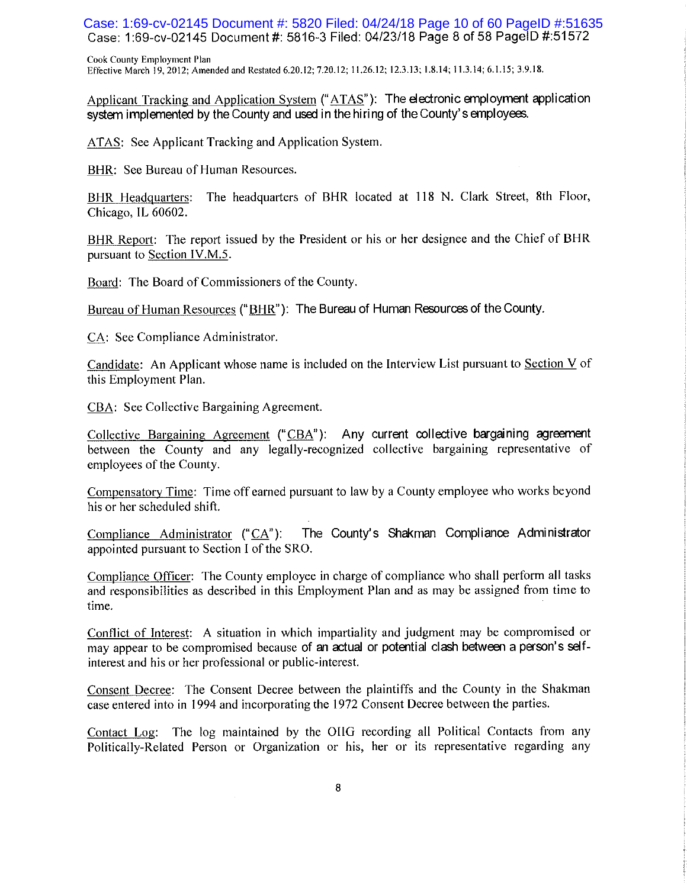Case: 1:69-cv-02145 Document #: 5820 Filed: 04/24/18 Page 10 of 60 PageID #:51635 Case: 1:69-cv-02145 Document #: 5816-3 Filed: 04/23/18 Page 8 of 58 PageID #:51572

Cook County Employment Plan Effective March 19, 2012; Amended and Restated 6.20.12; 7.20.12; 11.26.12; 12.3.13; 1.8.14; 11.3.14; 6.1.15; 3.9.18.

Applicant Tracking and Application System ("ATAS"): The electronic employment application system implemented by the County and used in the hiring of the County's employees.

ATAS: See Applicant Tracking and Application System.

BHR: See Bureau of Human Resources.

BHR Headquarters: The headquarters of BHR located at 118 N. Clark Street, 8th Floor, Chicago, IL 60602.

BHR Report: The report issued by the President or his or her designee and the Chief of BHR pursuant to Section IV.M.5.

Board: The Board of Commissioners of the County.

Bureau of Human Resources ("BHR"): The Bureau of Human Resources of the County.

CA: See Compliance Administrator.

Candidate: An Applicant whose name is included on the Interview List pursuant to Section V of this Employment Plan.

CBA: See Collective Bargaining Agreement.

Collective Bargaining Agreement ("CBA"): Any current collective bargaining agreement between the County and any legally-recognized collective bargaining representative of employees of the County.

Compensatory Time: Time off earned pursuant to law by a County employee who works beyond his or her scheduled shift.

The County's Shakman Compliance Administrator Compliance Administrator  $(\text{``CA''})$ : appointed pursuant to Section I of the SRO.

Compliance Officer: The County employee in charge of compliance who shall perform all tasks and responsibilities as described in this Employment Plan and as may be assigned from time to time.

Conflict of Interest: A situation in which impartiality and judgment may be compromised or may appear to be compromised because of an actual or potential clash between a person's selfinterest and his or her professional or public-interest.

Consent Decree: The Consent Decree between the plaintiffs and the County in the Shakman case entered into in 1994 and incorporating the 1972 Consent Decree between the parties.

Contact Log: The log maintained by the OIIG recording all Political Contacts from any Politically-Related Person or Organization or his, her or its representative regarding any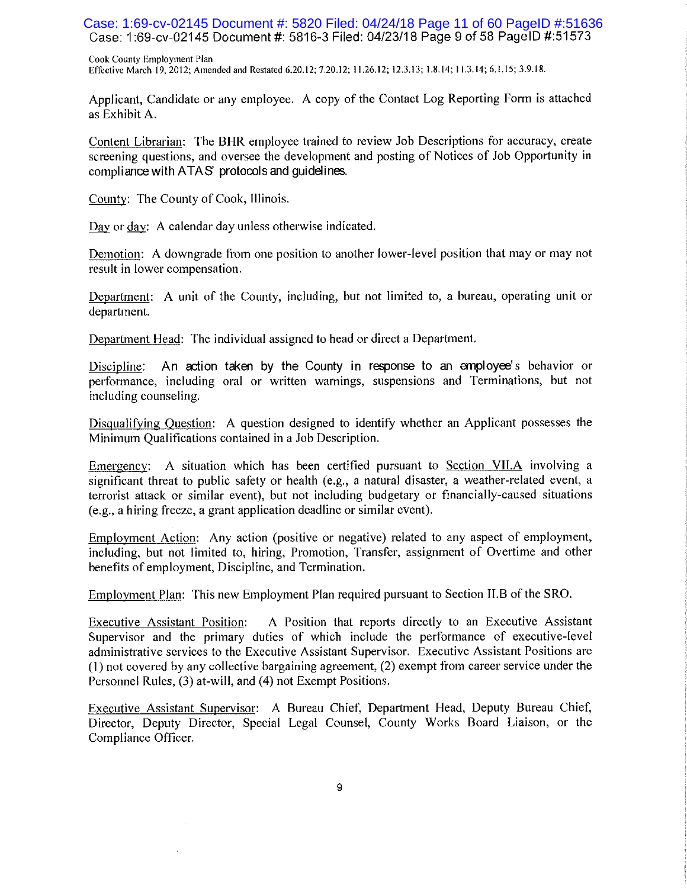Case: 1:69-cv-02145 Document #: 5820 Filed: 04/24/18 Page 11 of 60 PageID #:51636 Case: 1:69-cv-02145 Document #: 5816-3 Filed: 04/23/18 Page 9 of 58 PageID #:51573

Cook County Employment Plan Effective March 19, 2012; Amended and Restated 6.20.12; 7.20.12; 11.26.12; 12.3.13; 1.8.14; 11.3.14; 6.1.15; 3.9.18.

Applicant, Candidate or any employee. A copy of the Contact Log Reporting Form is attached as Exhibit A.

Content Librarian: The BHR employee trained to review Job Descriptions for accuracy, create screening questions, and oversee the development and posting of Notices of Job Opportunity in compliance with ATAS' protocols and guidelines.

County: The County of Cook, Illinois.

Day or day: A calendar day unless otherwise indicated.

Demotion: A downgrade from one position to another lower-level position that may or may not result in lower compensation.

Department: A unit of the County, including, but not limited to, a bureau, operating unit or department.

Department Head: The individual assigned to head or direct a Department.

Discipline: An action taken by the County in response to an employee's behavior or performance, including oral or written warnings, suspensions and Terminations, but not including counseling.

Disqualifying Ouestion: A question designed to identify whether an Applicant possesses the Minimum Qualifications contained in a Job Description.

Emergency: A situation which has been certified pursuant to Section VII.A involving a significant threat to public safety or health (e.g., a natural disaster, a weather-related event, a terrorist attack or similar event), but not including budgetary or financially-caused situations (e.g., a hiring freeze, a grant application deadline or similar event).

Employment Action: Any action (positive or negative) related to any aspect of employment, including, but not limited to, hiring, Promotion, Transfer, assignment of Overtime and other benefits of employment, Discipline, and Termination.

Employment Plan: This new Employment Plan required pursuant to Section II.B of the SRO.

**Executive Assistant Position:** A Position that reports directly to an Executive Assistant Supervisor and the primary duties of which include the performance of executive-level administrative services to the Executive Assistant Supervisor. Executive Assistant Positions are (1) not covered by any collective bargaining agreement, (2) exempt from career service under the Personnel Rules, (3) at-will, and (4) not Exempt Positions.

Executive Assistant Supervisor: A Bureau Chief, Department Head, Deputy Bureau Chief, Director, Deputy Director, Special Legal Counsel, County Works Board Liaison, or the Compliance Officer.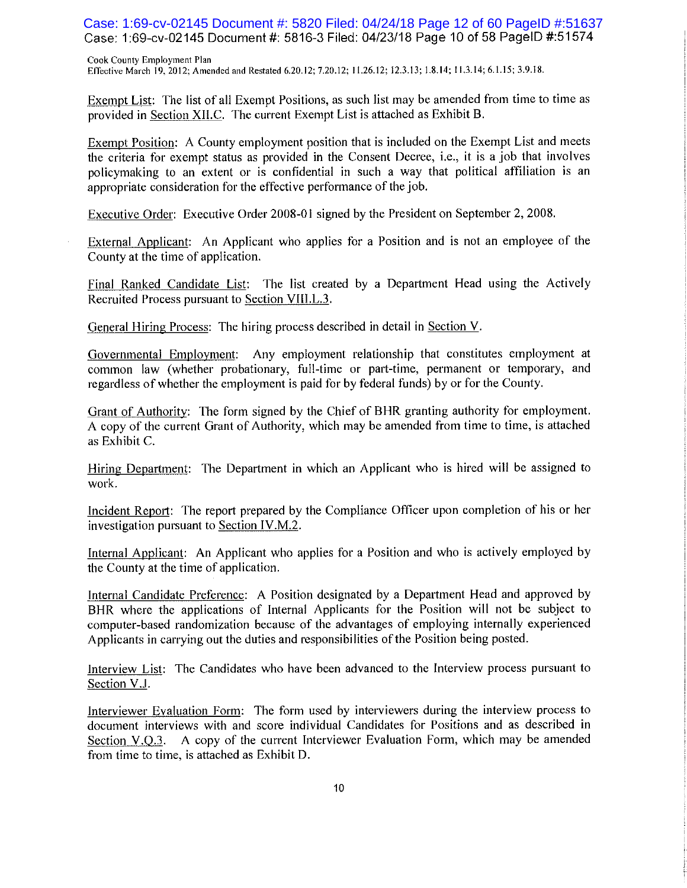Case: 1:69-cv-02145 Document #: 5820 Filed: 04/24/18 Page 12 of 60 PageID #:51637 Case: 1:69-cv-02145 Document #: 5816-3 Filed: 04/23/18 Page 10 of 58 PageID #:51574

Cook County Employment Plan Effective March 19, 2012; Amended and Restated 6.20.12; 7.20.12; 11.26.12; 12.3.13; 1.8.14; 11.3.14; 6.1.15; 3.9.18.

Exempt List: The list of all Exempt Positions, as such list may be amended from time to time as provided in Section XII.C. The current Exempt List is attached as Exhibit B.

Exempt Position: A County employment position that is included on the Exempt List and meets the criteria for exempt status as provided in the Consent Decree, *i.e.*, it is a job that involves policymaking to an extent or is confidential in such a way that political affiliation is an appropriate consideration for the effective performance of the job.

Executive Order: Executive Order 2008-01 signed by the President on September 2, 2008.

External Applicant: An Applicant who applies for a Position and is not an employee of the County at the time of application.

Final Ranked Candidate List: The list created by a Department Head using the Actively Recruited Process pursuant to Section VIII.L.3.

General Hiring Process: The hiring process described in detail in Section V.

Governmental Employment: Any employment relationship that constitutes employment at common law (whether probationary, full-time or part-time, permanent or temporary, and regardless of whether the employment is paid for by federal funds) by or for the County.

Grant of Authority: The form signed by the Chief of BHR granting authority for employment. A copy of the current Grant of Authority, which may be amended from time to time, is attached as Exhibit C.

Hiring Department: The Department in which an Applicant who is hired will be assigned to work.

Incident Report: The report prepared by the Compliance Officer upon completion of his or her investigation pursuant to Section IV.M.2.

Internal Applicant: An Applicant who applies for a Position and who is actively employed by the County at the time of application.

Internal Candidate Preference: A Position designated by a Department Head and approved by BHR where the applications of Internal Applicants for the Position will not be subject to computer-based randomization because of the advantages of employing internally experienced Applicants in carrying out the duties and responsibilities of the Position being posted.

Interview List: The Candidates who have been advanced to the Interview process pursuant to Section V.J.

Interviewer Evaluation Form: The form used by interviewers during the interview process to document interviews with and score individual Candidates for Positions and as described in Section V.Q.3. A copy of the current Interviewer Evaluation Form, which may be amended from time to time, is attached as Exhibit D.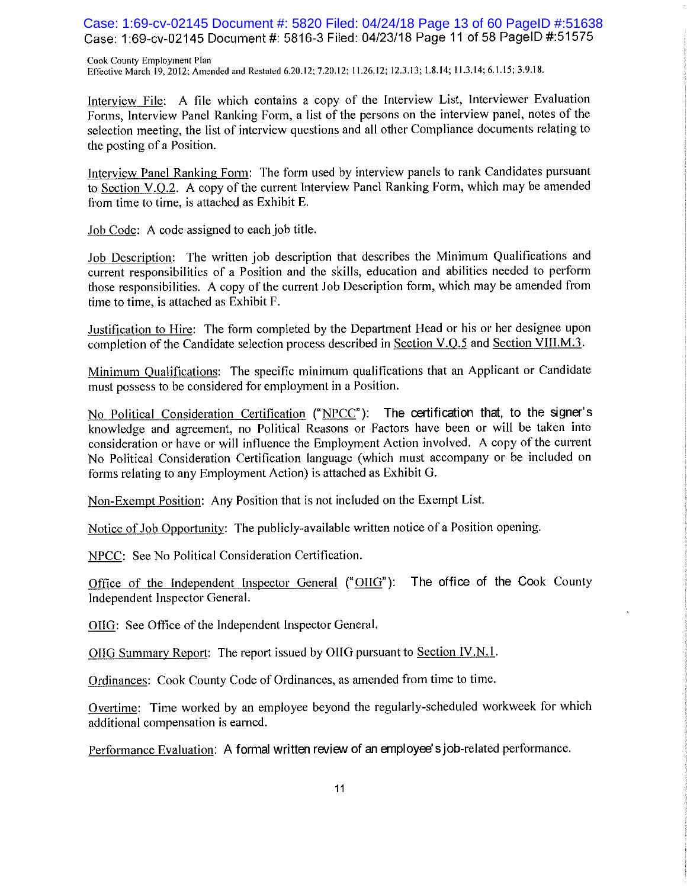Case: 1:69-cv-02145 Document #: 5820 Filed: 04/24/18 Page 13 of 60 PageID #:51638 Case: 1:69-cv-02145 Document #: 5816-3 Filed: 04/23/18 Page 11 of 58 PageID #:51575

Cook County Employment Plan Effective March 19, 2012; Amended and Restated 6.20.12; 7.20.12; 11.26.12; 12.3.13; 1.8.14; 11.3.14; 6.1.15; 3.9.18.

Interview File: A file which contains a copy of the Interview List, Interviewer Evaluation Forms, Interview Panel Ranking Form, a list of the persons on the interview panel, notes of the selection meeting, the list of interview questions and all other Compliance documents relating to the posting of a Position.

Interview Panel Ranking Form: The form used by interview panels to rank Candidates pursuant to Section V.Q.2. A copy of the current Interview Panel Ranking Form, which may be amended from time to time, is attached as Exhibit E.

Job Code: A code assigned to each job title.

Job Description: The written job description that describes the Minimum Qualifications and current responsibilities of a Position and the skills, education and abilities needed to perform those responsibilities. A copy of the current Job Description form, which may be amended from time to time, is attached as Exhibit F.

Justification to Hire: The form completed by the Department Head or his or her designee upon completion of the Candidate selection process described in Section V.Q.5 and Section VIII.M.3.

Minimum Qualifications: The specific minimum qualifications that an Applicant or Candidate must possess to be considered for employment in a Position.

No Political Consideration Certification ("NPCC"): The certification that, to the signer's knowledge and agreement, no Political Reasons or Factors have been or will be taken into consideration or have or will influence the Employment Action involved. A copy of the current No Political Consideration Certification language (which must accompany or be included on forms relating to any Employment Action) is attached as Exhibit G.

Non-Exempt Position: Any Position that is not included on the Exempt List.

Notice of Job Opportunity: The publicly-available written notice of a Position opening.

NPCC: See No Political Consideration Certification.

Office of the Independent Inspector General ("OIIG"): The office of the Cook County Independent Inspector General.

OIIG: See Office of the Independent Inspector General.

OIIG Summary Report: The report issued by OIIG pursuant to Section IV.N.1.

Ordinances: Cook County Code of Ordinances, as amended from time to time.

Overtime: Time worked by an employee beyond the regularly-scheduled workweek for which additional compensation is earned.

Performance Evaluation: A formal written review of an employee's job-related performance.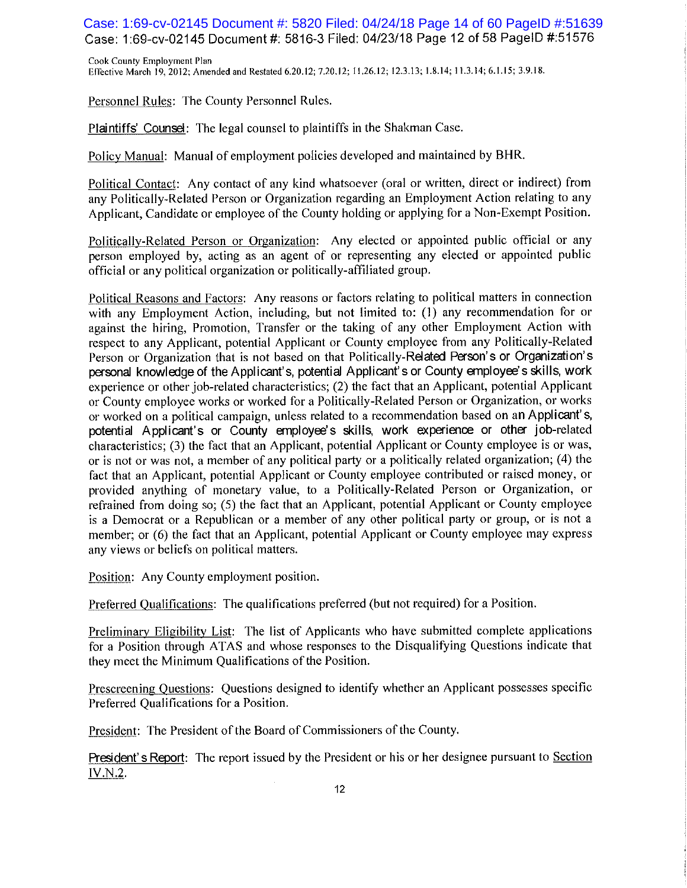Case: 1:69-cv-02145 Document #: 5820 Filed: 04/24/18 Page 14 of 60 PageID #:51639 Case: 1:69-cv-02145 Document #: 5816-3 Filed: 04/23/18 Page 12 of 58 PageID #:51576

Cook County Employment Plan Effective March 19, 2012; Amended and Restated 6.20.12; 7.20.12; 11.26.12; 12.3.13; 1.8.14; 11.3.14; 6.1.15; 3.9.18.

Personnel Rules: The County Personnel Rules.

Plaintiffs' Counsel: The legal counsel to plaintiffs in the Shakman Case.

Policy Manual: Manual of employment policies developed and maintained by BHR.

Political Contact: Any contact of any kind whatsoever (oral or written, direct or indirect) from any Politically-Related Person or Organization regarding an Employment Action relating to any Applicant, Candidate or employee of the County holding or applying for a Non-Exempt Position.

Politically-Related Person or Organization: Any elected or appointed public official or any person employed by, acting as an agent of or representing any elected or appointed public official or any political organization or politically-affiliated group.

Political Reasons and Factors: Any reasons or factors relating to political matters in connection with any Employment Action, including, but not limited to: (1) any recommendation for or against the hiring, Promotion, Transfer or the taking of any other Employment Action with respect to any Applicant, potential Applicant or County employee from any Politically-Related Person or Organization that is not based on that Politically-Related Person's or Organization's personal knowledge of the Applicant's, potential Applicant's or County employee's skills, work experience or other job-related characteristics; (2) the fact that an Applicant, potential Applicant or County employee works or worked for a Politically-Related Person or Organization, or works or worked on a political campaign, unless related to a recommendation based on an Applicant's, potential Applicant's or County employee's skills, work experience or other job-related characteristics; (3) the fact that an Applicant, potential Applicant or County employee is or was, or is not or was not, a member of any political party or a politically related organization; (4) the fact that an Applicant, potential Applicant or County employee contributed or raised money, or provided anything of monetary value, to a Politically-Related Person or Organization, or refrained from doing so; (5) the fact that an Applicant, potential Applicant or County employee is a Democrat or a Republican or a member of any other political party or group, or is not a member; or (6) the fact that an Applicant, potential Applicant or County employee may express any views or beliefs on political matters.

Position: Any County employment position.

Preferred Qualifications: The qualifications preferred (but not required) for a Position.

Preliminary Eligibility List: The list of Applicants who have submitted complete applications for a Position through ATAS and whose responses to the Disqualifying Questions indicate that they meet the Minimum Qualifications of the Position.

Prescreening Questions: Questions designed to identify whether an Applicant possesses specific Preferred Qualifications for a Position.

President: The President of the Board of Commissioners of the County.

President's Report: The report issued by the President or his or her designee pursuant to Section IV.N.2.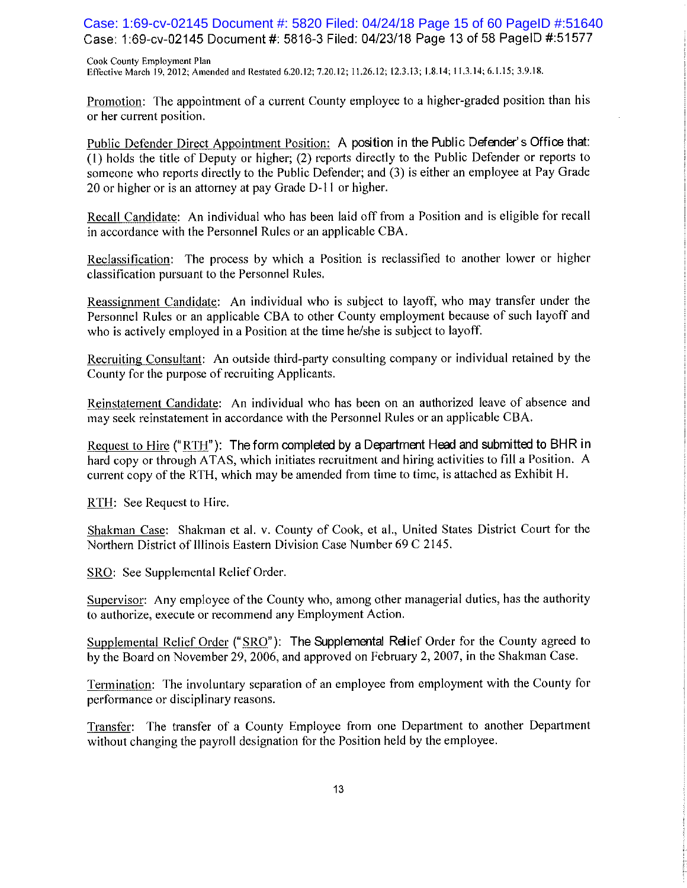Case: 1:69-cv-02145 Document #: 5820 Filed: 04/24/18 Page 15 of 60 PageID #:51640 Case: 1:69-cv-02145 Document #: 5816-3 Filed: 04/23/18 Page 13 of 58 PageID #:51577

Cook County Employment Plan Effective March 19, 2012; Amended and Restated 6.20.12; 7.20.12; 11.26.12; 12.3.13; 1.8.14; 11.3.14; 6.1.15; 3.9.18.

Promotion: The appointment of a current County employee to a higher-graded position than his or her current position.

Public Defender Direct Appointment Position: A position in the Public Defender's Office that: (1) holds the title of Deputy or higher; (2) reports directly to the Public Defender or reports to someone who reports directly to the Public Defender; and (3) is either an employee at Pay Grade 20 or higher or is an attorney at pay Grade D-11 or higher.

Recall Candidate: An individual who has been laid off from a Position and is eligible for recall in accordance with the Personnel Rules or an applicable CBA.

Reclassification: The process by which a Position is reclassified to another lower or higher classification pursuant to the Personnel Rules.

Reassignment Candidate: An individual who is subject to layoff, who may transfer under the Personnel Rules or an applicable CBA to other County employment because of such layoff and who is actively employed in a Position at the time he/she is subject to layoff.

Recruiting Consultant: An outside third-party consulting company or individual retained by the County for the purpose of recruiting Applicants.

Reinstatement Candidate: An individual who has been on an authorized leave of absence and may seek reinstatement in accordance with the Personnel Rules or an applicable CBA.

Request to Hire ("RTH"): The form completed by a Department Head and submitted to BHR in hard copy or through ATAS, which initiates recruitment and hiring activities to fill a Position. A current copy of the RTH, which may be amended from time to time, is attached as Exhibit H.

RTH: See Request to Hire.

Shakman Case: Shakman et al. v. County of Cook, et al., United States District Court for the Northern District of Illinois Eastern Division Case Number 69 C 2145.

SRO: See Supplemental Relief Order.

Supervisor: Any employee of the County who, among other managerial duties, has the authority to authorize, execute or recommend any Employment Action.

Supplemental Relief Order ("SRO"): The Supplemental Relief Order for the County agreed to by the Board on November 29, 2006, and approved on February 2, 2007, in the Shakman Case.

Termination: The involuntary separation of an employee from employment with the County for performance or disciplinary reasons.

Transfer: The transfer of a County Employee from one Department to another Department without changing the payroll designation for the Position held by the employee.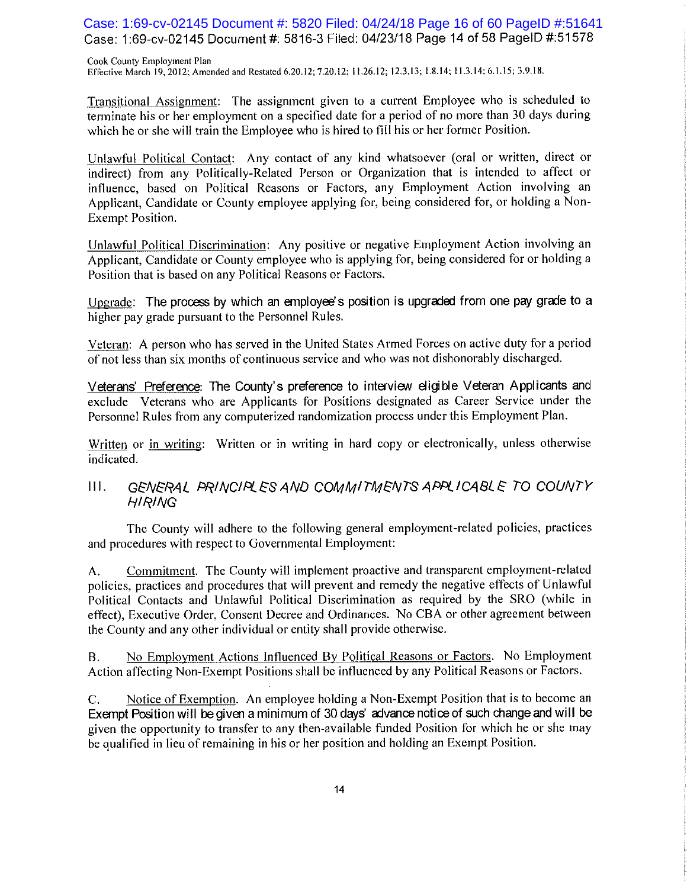Case: 1:69-cv-02145 Document #: 5820 Filed: 04/24/18 Page 16 of 60 PageID #:51641 Case: 1:69-cv-02145 Document #: 5816-3 Filed: 04/23/18 Page 14 of 58 PageID #:51578

Cook County Employment Plan Effective March 19, 2012; Amended and Restated 6.20.12; 7.20.12; 11.26.12; 12.3.13; 1.8.14; 11.3.14; 6.1.15; 3.9.18.

Transitional Assignment: The assignment given to a current Employee who is scheduled to terminate his or her employment on a specified date for a period of no more than 30 days during which he or she will train the Employee who is hired to fill his or her former Position.

Unlawful Political Contact: Any contact of any kind whatsoever (oral or written, direct or indirect) from any Politically-Related Person or Organization that is intended to affect or influence, based on Political Reasons or Factors, any Employment Action involving an Applicant, Candidate or County employee applying for, being considered for, or holding a Non-Exempt Position.

Unlawful Political Discrimination: Any positive or negative Employment Action involving an Applicant, Candidate or County employee who is applying for, being considered for or holding a Position that is based on any Political Reasons or Factors.

Upgrade: The process by which an employee's position is upgraded from one pay grade to a higher pay grade pursuant to the Personnel Rules.

Veteran: A person who has served in the United States Armed Forces on active duty for a period of not less than six months of continuous service and who was not dishonorably discharged.

Veterans' Preference: The County's preference to interview eligible Veteran Applicants and exclude Veterans who are Applicants for Positions designated as Career Service under the Personnel Rules from any computerized randomization process under this Employment Plan.

Written or in writing: Written or in writing in hard copy or electronically, unless otherwise indicated.

#### GENERAL PRINCIPLES AND COMMITMENTS APPLICABLE TO COUNTY  $III.$ **HIRING**

The County will adhere to the following general employment-related policies, practices and procedures with respect to Governmental Employment:

Commitment. The County will implement proactive and transparent employment-related  $A_{\cdot}$ policies, practices and procedures that will prevent and remedy the negative effects of Unlawful Political Contacts and Unlawful Political Discrimination as required by the SRO (while in effect), Executive Order, Consent Decree and Ordinances. No CBA or other agreement between the County and any other individual or entity shall provide otherwise.

No Employment Actions Influenced By Political Reasons or Factors. No Employment **B.** Action affecting Non-Exempt Positions shall be influenced by any Political Reasons or Factors.

 $C_{\cdot}$ Notice of Exemption. An employee holding a Non-Exempt Position that is to become an Exempt Position will be given a minimum of 30 days' advance notice of such change and will be given the opportunity to transfer to any then-available funded Position for which he or she may be qualified in lieu of remaining in his or her position and holding an Exempt Position.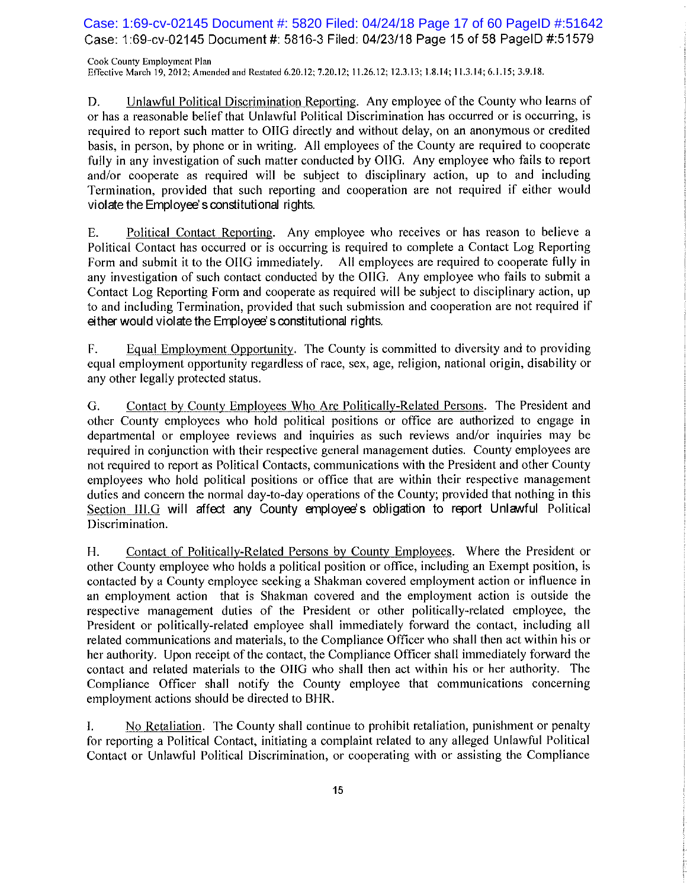Case: 1:69-cv-02145 Document #: 5820 Filed: 04/24/18 Page 17 of 60 PageID #:51642 Case: 1:69-cv-02145 Document #: 5816-3 Filed: 04/23/18 Page 15 of 58 PageID #:51579

Cook County Employment Plan Effective March 19, 2012; Amended and Restated 6.20.12; 7.20.12; 11.26.12; 12.3.13; 1.8.14; 11.3.14; 6.1.15; 3.9.18.

Unlawful Political Discrimination Reporting. Any employee of the County who learns of D. or has a reasonable belief that Unlawful Political Discrimination has occurred or is occurring, is required to report such matter to OHG directly and without delay, on an anonymous or credited basis, in person, by phone or in writing. All employees of the County are required to cooperate fully in any investigation of such matter conducted by OIIG. Any employee who fails to report and/or cooperate as required will be subject to disciplinary action, up to and including Termination, provided that such reporting and cooperation are not required if either would violate the Employee's constitutional rights.

Political Contact Reporting. Any employee who receives or has reason to believe a Е. Political Contact has occurred or is occurring is required to complete a Contact Log Reporting Form and submit it to the OHG immediately. All employees are required to cooperate fully in any investigation of such contact conducted by the OIIG. Any employee who fails to submit a Contact Log Reporting Form and cooperate as required will be subject to disciplinary action, up to and including Termination, provided that such submission and cooperation are not required if either would violate the Employee's constitutional rights.

Equal Employment Opportunity. The County is committed to diversity and to providing F. equal employment opportunity regardless of race, sex, age, religion, national origin, disability or any other legally protected status.

Contact by County Employees Who Are Politically-Related Persons. The President and G. other County employees who hold political positions or office are authorized to engage in departmental or employee reviews and inquiries as such reviews and/or inquiries may be required in conjunction with their respective general management duties. County employees are not required to report as Political Contacts, communications with the President and other County employees who hold political positions or office that are within their respective management duties and concern the normal day-to-day operations of the County; provided that nothing in this Section III.G will affect any County employee's obligation to report Unlawful Political Discrimination.

H. Contact of Politically-Related Persons by County Employees. Where the President or other County employee who holds a political position or office, including an Exempt position, is contacted by a County employee seeking a Shakman covered employment action or influence in an employment action that is Shakman covered and the employment action is outside the respective management duties of the President or other politically-related employee, the President or politically-related employee shall immediately forward the contact, including all related communications and materials, to the Compliance Officer who shall then act within his or her authority. Upon receipt of the contact, the Compliance Officer shall immediately forward the contact and related materials to the OIIG who shall then act within his or her authority. The Compliance Officer shall notify the County employee that communications concerning employment actions should be directed to BHR.

No Retaliation. The County shall continue to prohibit retaliation, punishment or penalty I. for reporting a Political Contact, initiating a complaint related to any alleged Unlawful Political Contact or Unlawful Political Discrimination, or cooperating with or assisting the Compliance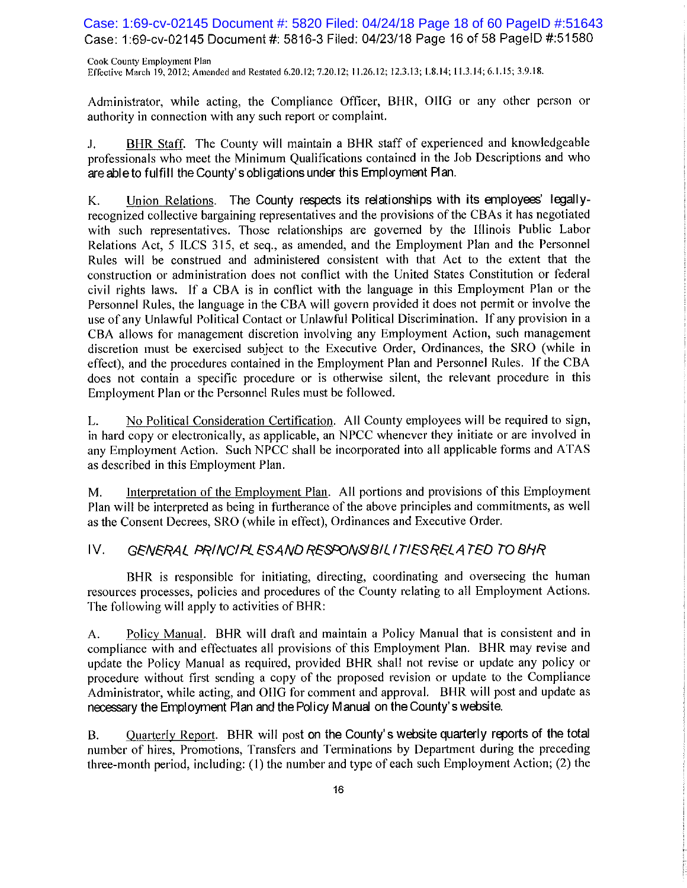Case: 1:69-cv-02145 Document #: 5820 Filed: 04/24/18 Page 18 of 60 PageID #:51643 Case: 1:69-cv-02145 Document #: 5816-3 Filed: 04/23/18 Page 16 of 58 PageID #:51580

Cook County Employment Plan Effective March 19, 2012; Amended and Restated 6.20.12; 7.20.12; 11.26.12; 12.3.13; 1.8.14; 11.3.14; 6.1.15; 3.9.18.

Administrator, while acting, the Compliance Officer, BHR, OIIG or any other person or authority in connection with any such report or complaint.

 $J_{\star}$ BHR Staff. The County will maintain a BHR staff of experienced and knowledgeable professionals who meet the Minimum Qualifications contained in the Job Descriptions and who are able to fulfill the County's obligations under this Employment Plan.

Union Relations. The County respects its relationships with its employees' legally-K. recognized collective bargaining representatives and the provisions of the CBAs it has negotiated with such representatives. Those relationships are governed by the Illinois Public Labor Relations Act, 5 ILCS 315, et seq., as amended, and the Employment Plan and the Personnel Rules will be construed and administered consistent with that Act to the extent that the construction or administration does not conflict with the United States Constitution or federal civil rights laws. If a CBA is in conflict with the language in this Employment Plan or the Personnel Rules, the language in the CBA will govern provided it does not permit or involve the use of any Unlawful Political Contact or Unlawful Political Discrimination. If any provision in a CBA allows for management discretion involving any Employment Action, such management discretion must be exercised subject to the Executive Order, Ordinances, the SRO (while in effect), and the procedures contained in the Employment Plan and Personnel Rules. If the CBA does not contain a specific procedure or is otherwise silent, the relevant procedure in this Employment Plan or the Personnel Rules must be followed.

No Political Consideration Certification. All County employees will be required to sign, L. in hard copy or electronically, as applicable, an NPCC whenever they initiate or are involved in any Employment Action. Such NPCC shall be incorporated into all applicable forms and ATAS as described in this Employment Plan.

Interpretation of the Employment Plan. All portions and provisions of this Employment  $M_{\cdot}$ Plan will be interpreted as being in furtherance of the above principles and commitments, as well as the Consent Decrees, SRO (while in effect), Ordinances and Executive Order.

#### IV. GENERAL PRINCIPLESAND RESPONSIBILITIES RELATED TO BHR

BHR is responsible for initiating, directing, coordinating and overseeing the human resources processes, policies and procedures of the County relating to all Employment Actions. The following will apply to activities of BHR:

Policy Manual. BHR will draft and maintain a Policy Manual that is consistent and in A. compliance with and effectuates all provisions of this Employment Plan. BHR may revise and update the Policy Manual as required, provided BHR shall not revise or update any policy or procedure without first sending a copy of the proposed revision or update to the Compliance Administrator, while acting, and OHG for comment and approval. BHR will post and update as necessary the Employment Plan and the Policy Manual on the County's website.

Quarterly Report. BHR will post on the County's website quarterly reports of the total **B.** number of hires, Promotions, Transfers and Terminations by Department during the preceding three-month period, including: (1) the number and type of each such Employment Action; (2) the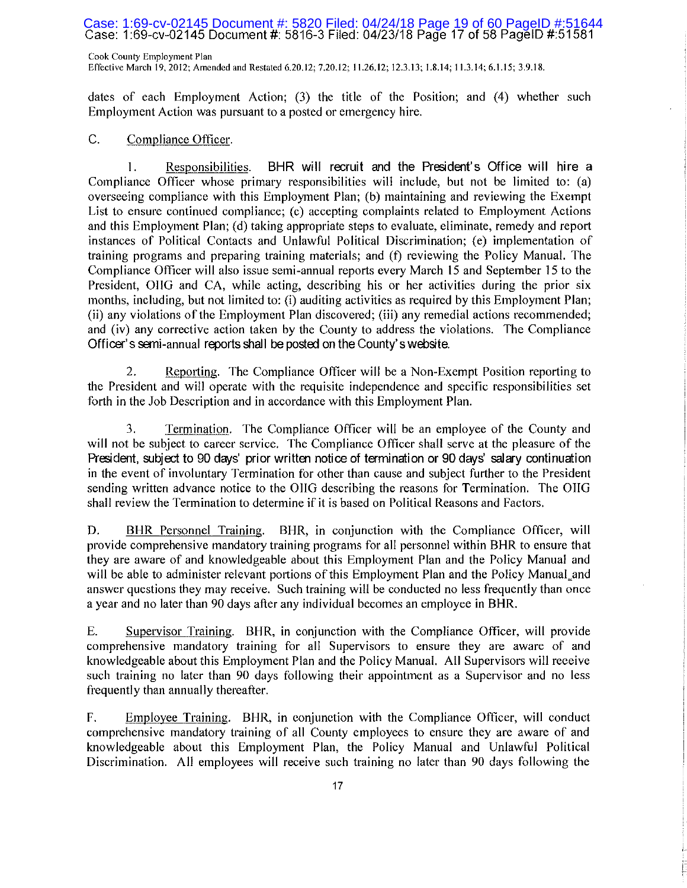## Case: 1:69-cv-02145 Document #: 5820 Filed: 04/24/18 Page 19 of 60 PageID #:51644<br>Case: 1:69-cv-02145 Document #: 5816-3 Filed: 04/23/18 Page 17 of 58 PageID #:51581

Cook County Employment Plan Effective March 19, 2012; Amended and Restated 6.20.12; 7.20.12; 11.26.12; 12.3.13; 1.8.14; 11.3.14; 6.1.15; 3.9.18.

dates of each Employment Action; (3) the title of the Position; and (4) whether such Employment Action was pursuant to a posted or emergency hire.

#### $C_{\cdot}$ Compliance Officer.

BHR will recruit and the President's Office will hire a 1. Responsibilities. Compliance Officer whose primary responsibilities will include, but not be limited to: (a) overseeing compliance with this Employment Plan; (b) maintaining and reviewing the Exempt List to ensure continued compliance; (c) accepting complaints related to Employment Actions and this Employment Plan; (d) taking appropriate steps to evaluate, eliminate, remedy and report instances of Political Contacts and Unlawful Political Discrimination; (e) implementation of training programs and preparing training materials; and (f) reviewing the Policy Manual. The Compliance Officer will also issue semi-annual reports every March 15 and September 15 to the President, OHG and CA, while acting, describing his or her activities during the prior six months, including, but not limited to: (i) auditing activities as required by this Employment Plan; (ii) any violations of the Employment Plan discovered; (iii) any remedial actions recommended; and (iv) any corrective action taken by the County to address the violations. The Compliance Officer's semi-annual reports shall be posted on the County's website.

Reporting. The Compliance Officer will be a Non-Exempt Position reporting to 2. the President and will operate with the requisite independence and specific responsibilities set forth in the Job Description and in accordance with this Employment Plan.

3. Termination. The Compliance Officer will be an employee of the County and will not be subject to career service. The Compliance Officer shall serve at the pleasure of the President, subject to 90 days' prior written notice of termination or 90 days' salary continuation in the event of involuntary Termination for other than cause and subject further to the President sending written advance notice to the OIIG describing the reasons for Termination. The OIIG shall review the Termination to determine if it is based on Political Reasons and Factors.

D. BHR Personnel Training. BHR, in conjunction with the Compliance Officer, will provide comprehensive mandatory training programs for all personnel within BHR to ensure that they are aware of and knowledgeable about this Employment Plan and the Policy Manual and will be able to administer relevant portions of this Employment Plan and the Policy Manual\_and answer questions they may receive. Such training will be conducted no less frequently than once a year and no later than 90 days after any individual becomes an employee in BHR.

Ε. Supervisor Training. BHR, in conjunction with the Compliance Officer, will provide comprehensive mandatory training for all Supervisors to ensure they are aware of and knowledgeable about this Employment Plan and the Policy Manual. All Supervisors will receive such training no later than 90 days following their appointment as a Supervisor and no less frequently than annually thereafter.

F. Employee Training. BHR, in conjunction with the Compliance Officer, will conduct comprehensive mandatory training of all County employees to ensure they are aware of and knowledgeable about this Employment Plan, the Policy Manual and Unlawful Political Discrimination. All employees will receive such training no later than 90 days following the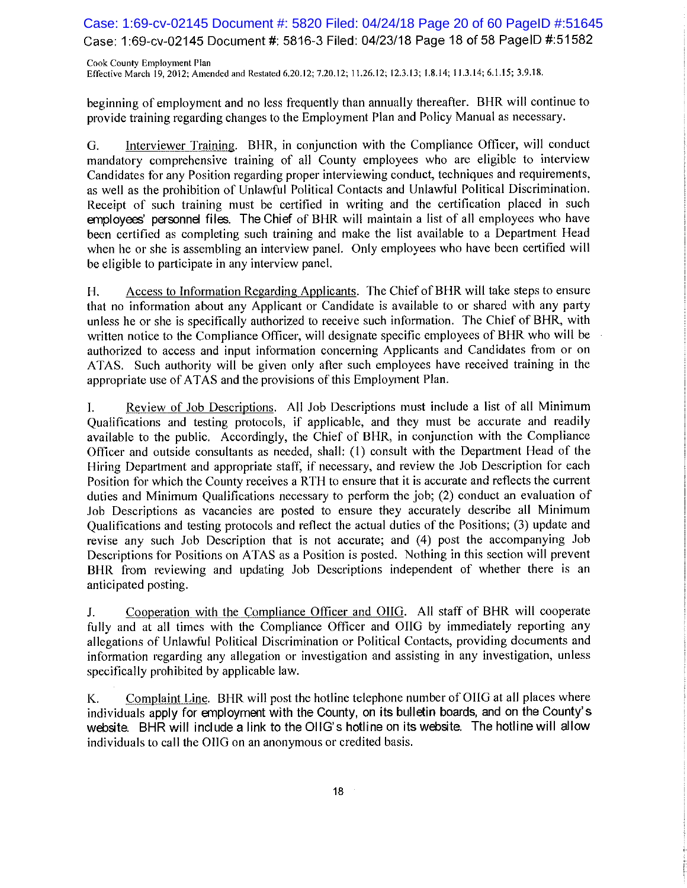Case: 1:69-cv-02145 Document #: 5820 Filed: 04/24/18 Page 20 of 60 PageID #:51645 Case: 1:69-cv-02145 Document #: 5816-3 Filed: 04/23/18 Page 18 of 58 PageID #:51582

Cook County Employment Plan Effective March 19, 2012; Amended and Restated 6.20.12; 7.20.12; 11.26.12; 12.3.13; 1.8.14; 11.3.14; 6.1.15; 3.9.18.

beginning of employment and no less frequently than annually thereafter. BHR will continue to provide training regarding changes to the Employment Plan and Policy Manual as necessary.

Interviewer Training. BHR, in conjunction with the Compliance Officer, will conduct G. mandatory comprehensive training of all County employees who are eligible to interview Candidates for any Position regarding proper interviewing conduct, techniques and requirements, as well as the prohibition of Unlawful Political Contacts and Unlawful Political Discrimination. Receipt of such training must be certified in writing and the certification placed in such employees' personnel files. The Chief of BHR will maintain a list of all employees who have been certified as completing such training and make the list available to a Department Head when he or she is assembling an interview panel. Only employees who have been certified will be eligible to participate in any interview panel.

Access to Information Regarding Applicants. The Chief of BHR will take steps to ensure Н. that no information about any Applicant or Candidate is available to or shared with any party unless he or she is specifically authorized to receive such information. The Chief of BHR, with written notice to the Compliance Officer, will designate specific employees of BHR who will be authorized to access and input information concerning Applicants and Candidates from or on ATAS. Such authority will be given only after such employees have received training in the appropriate use of ATAS and the provisions of this Employment Plan.

Review of Job Descriptions. All Job Descriptions must include a list of all Minimum I. Qualifications and testing protocols, if applicable, and they must be accurate and readily available to the public. Accordingly, the Chief of BHR, in conjunction with the Compliance Officer and outside consultants as needed, shall: (1) consult with the Department Head of the Hiring Department and appropriate staff, if necessary, and review the Job Description for each Position for which the County receives a RTH to ensure that it is accurate and reflects the current duties and Minimum Qualifications necessary to perform the job; (2) conduct an evaluation of Job Descriptions as vacancies are posted to ensure they accurately describe all Minimum Qualifications and testing protocols and reflect the actual duties of the Positions; (3) update and revise any such Job Description that is not accurate; and (4) post the accompanying Job Descriptions for Positions on ATAS as a Position is posted. Nothing in this section will prevent BHR from reviewing and updating Job Descriptions independent of whether there is an anticipated posting.

Cooperation with the Compliance Officer and OIIG. All staff of BHR will cooperate J. fully and at all times with the Compliance Officer and OIIG by immediately reporting any allegations of Unlawful Political Discrimination or Political Contacts, providing documents and information regarding any allegation or investigation and assisting in any investigation, unless specifically prohibited by applicable law.

Complaint Line. BHR will post the hotline telephone number of OIIG at all places where K. individuals apply for employment with the County, on its bulletin boards, and on the County's website. BHR will include a link to the OIIG's hotline on its website. The hotline will allow individuals to call the OIIG on an anonymous or credited basis.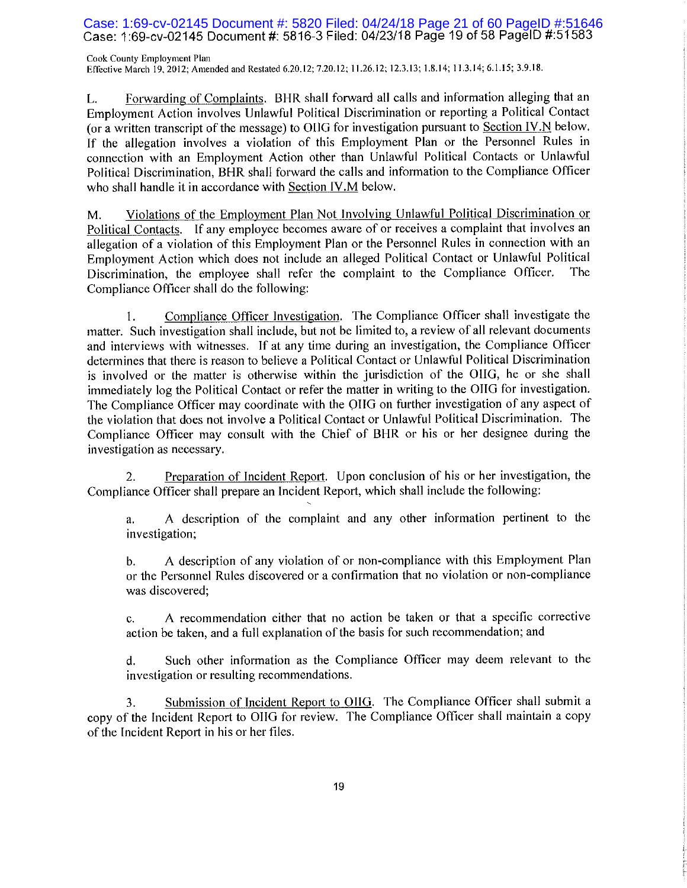## Case: 1:69-cv-02145 Document #: 5820 Filed: 04/24/18 Page 21 of 60 PageID #:51646<br>Case: 1:69-cv-02145 Document #: 5816-3 Filed: 04/23/18 Page 19 of 58 PageID #:51583

Cook County Employment Plan Effective March 19, 2012; Amended and Restated 6.20.12; 7.20.12; 11.26.12; 12.3.13; 1.8.14; 11.3.14; 6.1.15; 3.9.18.

Forwarding of Complaints. BHR shall forward all calls and information alleging that an L. Employment Action involves Unlawful Political Discrimination or reporting a Political Contact (or a written transcript of the message) to OIIG for investigation pursuant to Section IV.N below. If the allegation involves a violation of this Employment Plan or the Personnel Rules in connection with an Employment Action other than Unlawful Political Contacts or Unlawful Political Discrimination, BHR shall forward the calls and information to the Compliance Officer who shall handle it in accordance with Section IV.M below.

Violations of the Employment Plan Not Involving Unlawful Political Discrimination or М. Political Contacts. If any employee becomes aware of or receives a complaint that involves an allegation of a violation of this Employment Plan or the Personnel Rules in connection with an Employment Action which does not include an alleged Political Contact or Unlawful Political Discrimination, the employee shall refer the complaint to the Compliance Officer. The Compliance Officer shall do the following:

Compliance Officer Investigation. The Compliance Officer shall investigate the 1. matter. Such investigation shall include, but not be limited to, a review of all relevant documents and interviews with witnesses. If at any time during an investigation, the Compliance Officer determines that there is reason to believe a Political Contact or Unlawful Political Discrimination is involved or the matter is otherwise within the jurisdiction of the OIIG, he or she shall immediately log the Political Contact or refer the matter in writing to the OIIG for investigation. The Compliance Officer may coordinate with the OHG on further investigation of any aspect of the violation that does not involve a Political Contact or Unlawful Political Discrimination. The Compliance Officer may consult with the Chief of BHR or his or her designee during the investigation as necessary.

Preparation of Incident Report. Upon conclusion of his or her investigation, the  $\overline{2}$ . Compliance Officer shall prepare an Incident Report, which shall include the following:

A description of the complaint and any other information pertinent to the a. investigation;

A description of any violation of or non-compliance with this Employment Plan b. or the Personnel Rules discovered or a confirmation that no violation or non-compliance was discovered;

A recommendation either that no action be taken or that a specific corrective c. action be taken, and a full explanation of the basis for such recommendation; and

Such other information as the Compliance Officer may deem relevant to the d. investigation or resulting recommendations.

Submission of Incident Report to OHG. The Compliance Officer shall submit a 3. copy of the Incident Report to OIIG for review. The Compliance Officer shall maintain a copy of the Incident Report in his or her files.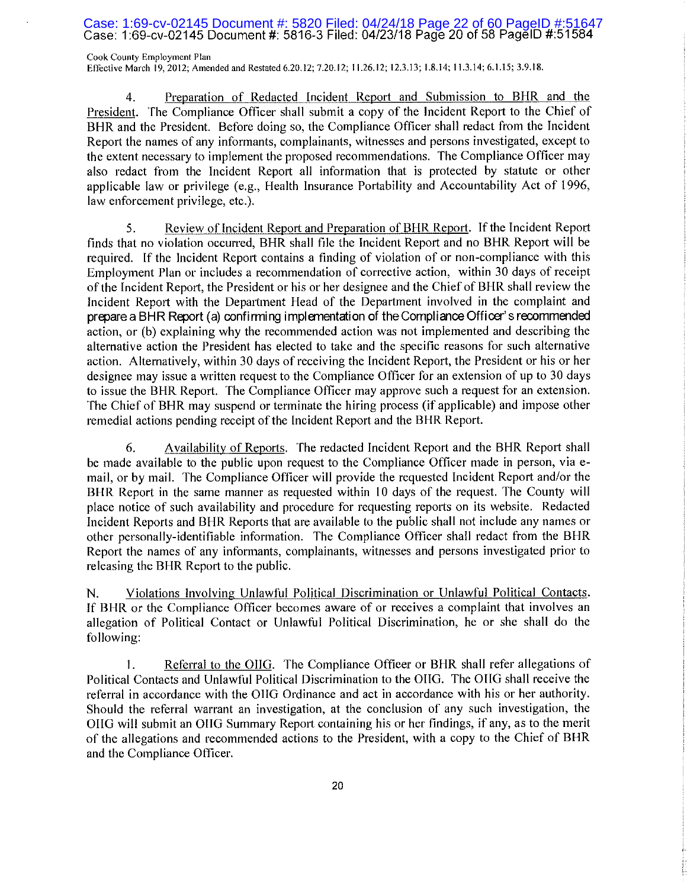## Case: 1:69-cv-02145 Document #: 5820 Filed: 04/24/18 Page 22 of 60 PageID #:51647<br>Case: 1:69-cv-02145 Document #: 5816-3 Filed: 04/23/18 Page 20 of 58 PageID #:51584

Cook County Employment Plan Effective March 19, 2012; Amended and Restated 6.20.12; 7.20.12; 11.26.12; 12.3.13; 1.8.14; 11.3.14; 6.1.15; 3.9.18.

Preparation of Redacted Incident Report and Submission to BHR and the 4. President. The Compliance Officer shall submit a copy of the Incident Report to the Chief of BHR and the President. Before doing so, the Compliance Officer shall redact from the Incident Report the names of any informants, complainants, witnesses and persons investigated, except to the extent necessary to implement the proposed recommendations. The Compliance Officer may also redact from the Incident Report all information that is protected by statute or other applicable law or privilege (e.g., Health Insurance Portability and Accountability Act of 1996, law enforcement privilege, etc.).

Review of Incident Report and Preparation of BHR Report. If the Incident Report 5. finds that no violation occurred, BHR shall file the Incident Report and no BHR Report will be required. If the Incident Report contains a finding of violation of or non-compliance with this Employment Plan or includes a recommendation of corrective action, within 30 days of receipt of the Incident Report, the President or his or her designee and the Chief of BHR shall review the Incident Report with the Department Head of the Department involved in the complaint and prepare a BHR Report (a) confirming implementation of the Compliance Officer's recommended action, or (b) explaining why the recommended action was not implemented and describing the alternative action the President has elected to take and the specific reasons for such alternative action. Alternatively, within 30 days of receiving the Incident Report, the President or his or her designee may issue a written request to the Compliance Officer for an extension of up to 30 days to issue the BHR Report. The Compliance Officer may approve such a request for an extension. The Chief of BHR may suspend or terminate the hiring process (if applicable) and impose other remedial actions pending receipt of the Incident Report and the BHR Report.

Availability of Reports. The redacted Incident Report and the BHR Report shall 6. be made available to the public upon request to the Compliance Officer made in person, via email, or by mail. The Compliance Officer will provide the requested Incident Report and/or the BHR Report in the same manner as requested within 10 days of the request. The County will place notice of such availability and procedure for requesting reports on its website. Redacted Incident Reports and BHR Reports that are available to the public shall not include any names or other personally-identifiable information. The Compliance Officer shall redact from the BHR Report the names of any informants, complainants, witnesses and persons investigated prior to releasing the BHR Report to the public.

Violations Involving Unlawful Political Discrimination or Unlawful Political Contacts. N. If BHR or the Compliance Officer becomes aware of or receives a complaint that involves an allegation of Political Contact or Unlawful Political Discrimination, he or she shall do the following:

1. Referral to the OIIG. The Compliance Officer or BHR shall refer allegations of Political Contacts and Unlawful Political Discrimination to the OIIG. The OIIG shall receive the referral in accordance with the OHG Ordinance and act in accordance with his or her authority. Should the referral warrant an investigation, at the conclusion of any such investigation, the OIIG will submit an OIIG Summary Report containing his or her findings, if any, as to the merit of the allegations and recommended actions to the President, with a copy to the Chief of BHR and the Compliance Officer.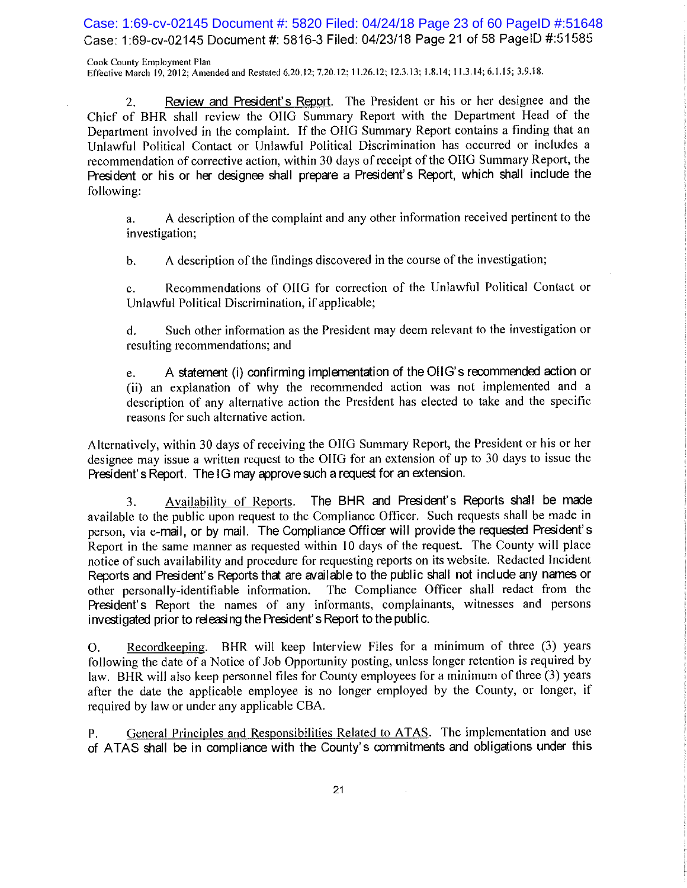Case: 1:69-cv-02145 Document #: 5820 Filed: 04/24/18 Page 23 of 60 PageID #:51648 Case: 1:69-cv-02145 Document #: 5816-3 Filed: 04/23/18 Page 21 of 58 PageID #:51585

Cook County Employment Plan Effective March 19, 2012; Amended and Restated 6.20.12; 7.20.12; 11.26.12; 12.3.13; 1.8.14; 11.3.14; 6.1.15; 3.9.18.

Review and President's Report. The President or his or her designee and the  $2.$ Chief of BHR shall review the OIIG Summary Report with the Department Head of the Department involved in the complaint. If the OHG Summary Report contains a finding that an Unlawful Political Contact or Unlawful Political Discrimination has occurred or includes a recommendation of corrective action, within 30 days of receipt of the OHG Summary Report, the President or his or her designee shall prepare a President's Report, which shall include the following:

A description of the complaint and any other information received pertinent to the  $a<sub>1</sub>$ investigation;

A description of the findings discovered in the course of the investigation;  $\mathbf{b}$ .

Recommendations of OIIG for correction of the Unlawful Political Contact or  $\mathbf{c}$ . Unlawful Political Discrimination, if applicable;

Such other information as the President may deem relevant to the investigation or d. resulting recommendations; and

A statement (i) confirming implementation of the OIIG's recommended action or e. (ii) an explanation of why the recommended action was not implemented and a description of any alternative action the President has elected to take and the specific reasons for such alternative action.

Alternatively, within 30 days of receiving the OIIG Summary Report, the President or his or her designee may issue a written request to the OIIG for an extension of up to 30 days to issue the President's Report. The IG may approve such a request for an extension.

The BHR and President's Reports shall be made Availability of Reports. 3. available to the public upon request to the Compliance Officer. Such requests shall be made in person, via e-mail, or by mail. The Compliance Officer will provide the requested President's Report in the same manner as requested within 10 days of the request. The County will place notice of such availability and procedure for requesting reports on its website. Redacted Incident Reports and President's Reports that are available to the public shall not include any names or other personally-identifiable information. The Compliance Officer shall redact from the President's Report the names of any informants, complainants, witnesses and persons investigated prior to releasing the President's Report to the public.

Recordkeeping. BHR will keep Interview Files for a minimum of three (3) years O. following the date of a Notice of Job Opportunity posting, unless longer retention is required by law. BHR will also keep personnel files for County employees for a minimum of three (3) years after the date the applicable employee is no longer employed by the County, or longer, if required by law or under any applicable CBA.

General Principles and Responsibilities Related to ATAS. The implementation and use Ρ. of ATAS shall be in compliance with the County's commitments and obligations under this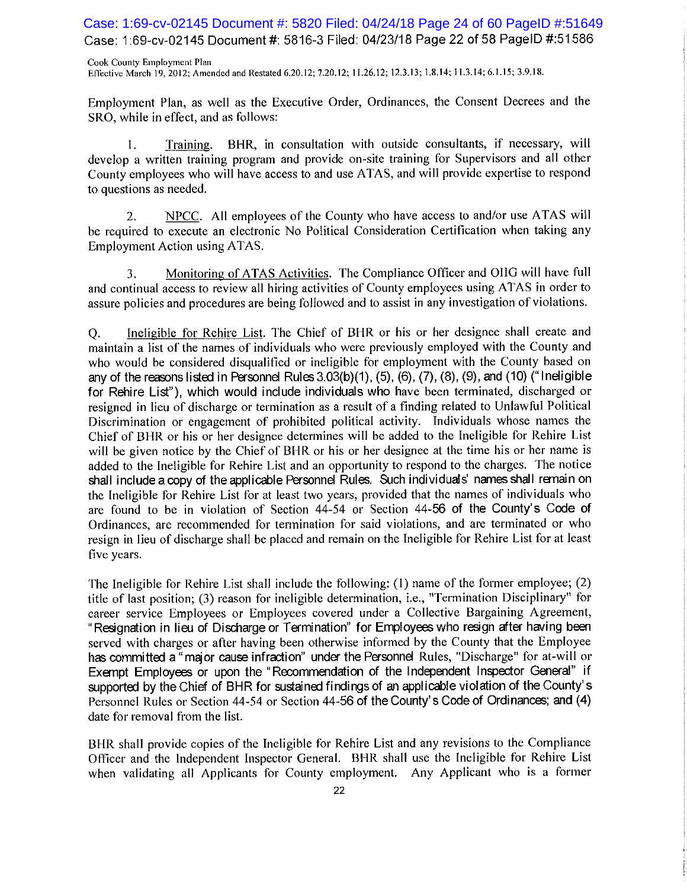Case: 1:69-cv-02145 Document #: 5820 Filed: 04/24/18 Page 24 of 60 PageID #:51649 Case: 1:69-cv-02145 Document #: 5816-3 Filed: 04/23/18 Page 22 of 58 PageID #:51586

Cook County Employment Plan Effective March 19, 2012; Amended and Restated 6.20.12; 7.20.12; 11.26.12; 12.3.13; 1.8.14; 11.3.14; 6.1.15; 3.9.18.

Employment Plan, as well as the Executive Order, Ordinances, the Consent Decrees and the SRO, while in effect, and as follows:

BHR, in consultation with outside consultants, if necessary, will 1. Training. develop a written training program and provide on-site training for Supervisors and all other County employees who will have access to and use ATAS, and will provide expertise to respond to questions as needed.

NPCC. All employees of the County who have access to and/or use ATAS will 2. be required to execute an electronic No Political Consideration Certification when taking any Employment Action using ATAS.

Monitoring of ATAS Activities. The Compliance Officer and OIIG will have full 3. and continual access to review all hiring activities of County employees using ATAS in order to assure policies and procedures are being followed and to assist in any investigation of violations.

Ineligible for Rehire List. The Chief of BHR or his or her designee shall create and Q. maintain a list of the names of individuals who were previously employed with the County and who would be considered disqualified or ineligible for employment with the County based on any of the reasons listed in Personnel Rules  $3.03(b)(1)$ ,  $(5)$ ,  $(6)$ ,  $(7)$ ,  $(8)$ ,  $(9)$ , and  $(10)$  ("Ineligible for Rehire List"), which would include individuals who have been terminated, discharged or resigned in lieu of discharge or termination as a result of a finding related to Unlawful Political Discrimination or engagement of prohibited political activity. Individuals whose names the Chief of BHR or his or her designee determines will be added to the Ineligible for Rehire List will be given notice by the Chief of BHR or his or her designee at the time his or her name is added to the Ineligible for Rehire List and an opportunity to respond to the charges. The notice shall include a copy of the applicable Personnel Rules. Such individuals' names shall remain on the Ineligible for Rehire List for at least two years, provided that the names of individuals who are found to be in violation of Section 44-54 or Section 44-56 of the County's Code of Ordinances, are recommended for termination for said violations, and are terminated or who resign in lieu of discharge shall be placed and remain on the Ineligible for Rehire List for at least five years.

The Ineligible for Rehire List shall include the following: (1) name of the former employee; (2) title of last position; (3) reason for ineligible determination, i.e., "Termination Disciplinary" for career service Employees or Employees covered under a Collective Bargaining Agreement, "Resignation in lieu of Discharge or Termination" for Employees who resign after having been served with charges or after having been otherwise informed by the County that the Employee has committed a "major cause infraction" under the Personnel Rules, "Discharge" for at-will or Exempt Employees or upon the "Recommendation of the Independent Inspector General" if supported by the Chief of BHR for sustained findings of an applicable violation of the County's Personnel Rules or Section 44-54 or Section 44-56 of the County's Code of Ordinances; and (4) date for removal from the list.

BHR shall provide copies of the Ineligible for Rehire List and any revisions to the Compliance Officer and the Independent Inspector General. BHR shall use the Ineligible for Rehire List when validating all Applicants for County employment. Any Applicant who is a former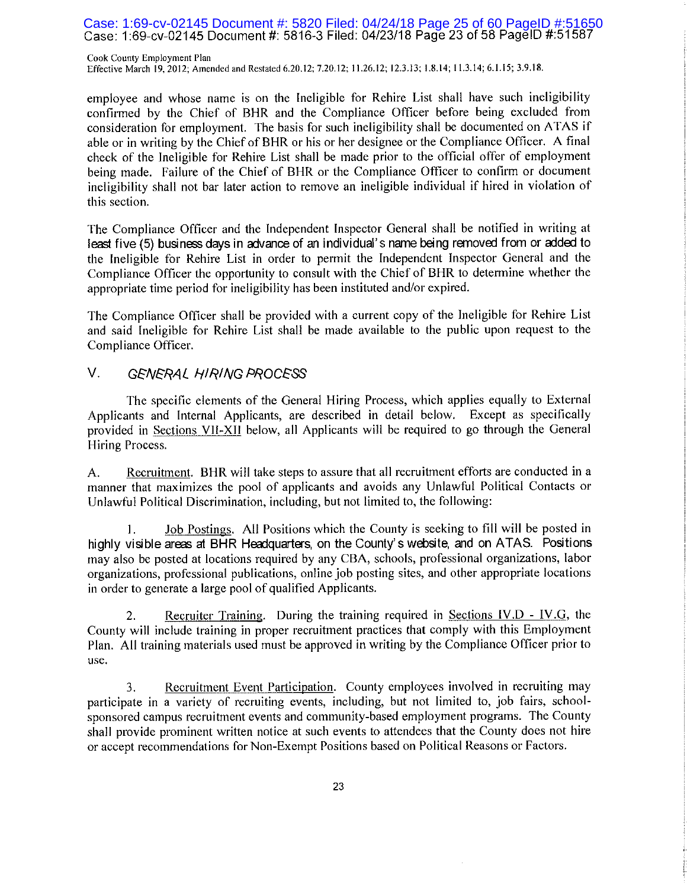Case: 1:69-cv-02145 Document #: 5820 Filed: 04/24/18 Page 25 of 60 PageID #:51650<br>Case: 1:69-cv-02145 Document #: 5816-3 Filed: 04/23/18 Page 23 of 58 PageID #:51587

Cook County Employment Plan Effective March 19, 2012; Amended and Restated 6.20.12; 7.20.12; 11.26.12; 12.3.13; 1.8.14; 11.3.14; 6.1.15; 3.9.18.

employee and whose name is on the Ineligible for Rehire List shall have such ineligibility confirmed by the Chief of BHR and the Compliance Officer before being excluded from consideration for employment. The basis for such ineligibility shall be documented on ATAS if able or in writing by the Chief of BHR or his or her designee or the Compliance Officer. A final check of the Ineligible for Rehire List shall be made prior to the official offer of employment being made. Failure of the Chief of BHR or the Compliance Officer to confirm or document ineligibility shall not bar later action to remove an ineligible individual if hired in violation of this section.

The Compliance Officer and the Independent Inspector General shall be notified in writing at least five (5) business days in advance of an individual's name being removed from or added to the Ineligible for Rehire List in order to permit the Independent Inspector General and the Compliance Officer the opportunity to consult with the Chief of BHR to determine whether the appropriate time period for ineligibility has been instituted and/or expired.

The Compliance Officer shall be provided with a current copy of the Ineligible for Rehire List and said Ineligible for Rehire List shall be made available to the public upon request to the Compliance Officer.

#### V. **GENERAL HIRING PROCESS**

The specific elements of the General Hiring Process, which applies equally to External Applicants and Internal Applicants, are described in detail below. Except as specifically provided in Sections VII-XII below, all Applicants will be required to go through the General Hiring Process.

Recruitment. BHR will take steps to assure that all recruitment efforts are conducted in a A. manner that maximizes the pool of applicants and avoids any Unlawful Political Contacts or Unlawful Political Discrimination, including, but not limited to, the following:

Job Postings. All Positions which the County is seeking to fill will be posted in 1. highly visible areas at BHR Headquarters, on the County's website, and on ATAS. Positions may also be posted at locations required by any CBA, schools, professional organizations, labor organizations, professional publications, online job posting sites, and other appropriate locations in order to generate a large pool of qualified Applicants.

Recruiter Training. During the training required in Sections IV.D - IV.G, the 2. County will include training in proper recruitment practices that comply with this Employment Plan. All training materials used must be approved in writing by the Compliance Officer prior to use.

Recruitment Event Participation. County employees involved in recruiting may 3. participate in a variety of recruiting events, including, but not limited to, job fairs, schoolsponsored campus recruitment events and community-based employment programs. The County shall provide prominent written notice at such events to attendees that the County does not hire or accept recommendations for Non-Exempt Positions based on Political Reasons or Factors.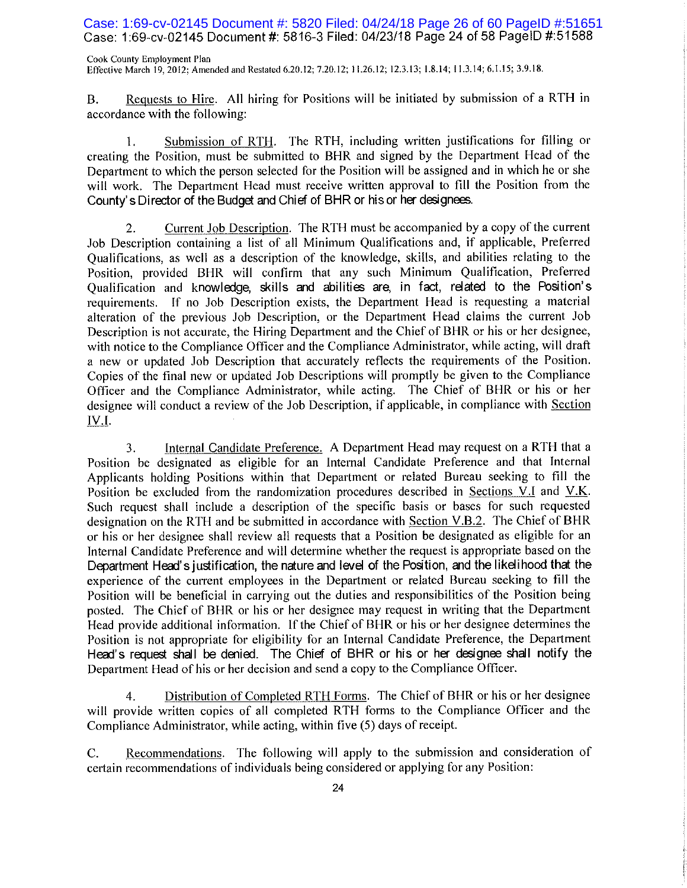### Case: 1:69-cv-02145 Document #: 5820 Filed: 04/24/18 Page 26 of 60 PageID #:51651 Case: 1:69-cv-02145 Document #: 5816-3 Filed: 04/23/18 Page 24 of 58 PageID #:51588

Cook County Employment Plan Effective March 19, 2012; Amended and Restated 6.20.12; 7.20.12; 11.26.12; 12.3.13; 1.8.14; 11.3.14; 6.1.15; 3.9.18.

Requests to Hire. All hiring for Positions will be initiated by submission of a RTH in **B.** accordance with the following:

Submission of RTH. The RTH, including written justifications for filling or 1. creating the Position, must be submitted to BHR and signed by the Department Head of the Department to which the person selected for the Position will be assigned and in which he or she will work. The Department Head must receive written approval to fill the Position from the County's Director of the Budget and Chief of BHR or his or her designees.

Current Job Description. The RTH must be accompanied by a copy of the current  $\overline{2}$ . Job Description containing a list of all Minimum Qualifications and, if applicable, Preferred Qualifications, as well as a description of the knowledge, skills, and abilities relating to the Position, provided BHR will confirm that any such Minimum Qualification, Preferred Qualification and knowledge, skills and abilities are, in fact, related to the Position's requirements. If no Job Description exists, the Department Head is requesting a material alteration of the previous Job Description, or the Department Head claims the current Job Description is not accurate, the Hiring Department and the Chief of BHR or his or her designee, with notice to the Compliance Officer and the Compliance Administrator, while acting, will draft a new or updated Job Description that accurately reflects the requirements of the Position. Copies of the final new or updated Job Descriptions will promptly be given to the Compliance Officer and the Compliance Administrator, while acting. The Chief of BHR or his or her designee will conduct a review of the Job Description, if applicable, in compliance with Section IV.I.

Internal Candidate Preference. A Department Head may request on a RTH that a 3. Position be designated as eligible for an Internal Candidate Preference and that Internal Applicants holding Positions within that Department or related Bureau seeking to fill the Position be excluded from the randomization procedures described in Sections V.I and V.K. Such request shall include a description of the specific basis or bases for such requested designation on the RTH and be submitted in accordance with Section V.B.2. The Chief of BHR or his or her designee shall review all requests that a Position be designated as eligible for an Internal Candidate Preference and will determine whether the request is appropriate based on the Department Head's justification, the nature and level of the Position, and the likelihood that the experience of the current employees in the Department or related Bureau seeking to fill the Position will be beneficial in carrying out the duties and responsibilities of the Position being posted. The Chief of BHR or his or her designee may request in writing that the Department Head provide additional information. If the Chief of BHR or his or her designee determines the Position is not appropriate for eligibility for an Internal Candidate Preference, the Department Head's request shall be denied. The Chief of BHR or his or her designee shall notify the Department Head of his or her decision and send a copy to the Compliance Officer.

Distribution of Completed RTH Forms. The Chief of BHR or his or her designee 4. will provide written copies of all completed RTH forms to the Compliance Officer and the Compliance Administrator, while acting, within five (5) days of receipt.

Recommendations. The following will apply to the submission and consideration of C. certain recommendations of individuals being considered or applying for any Position: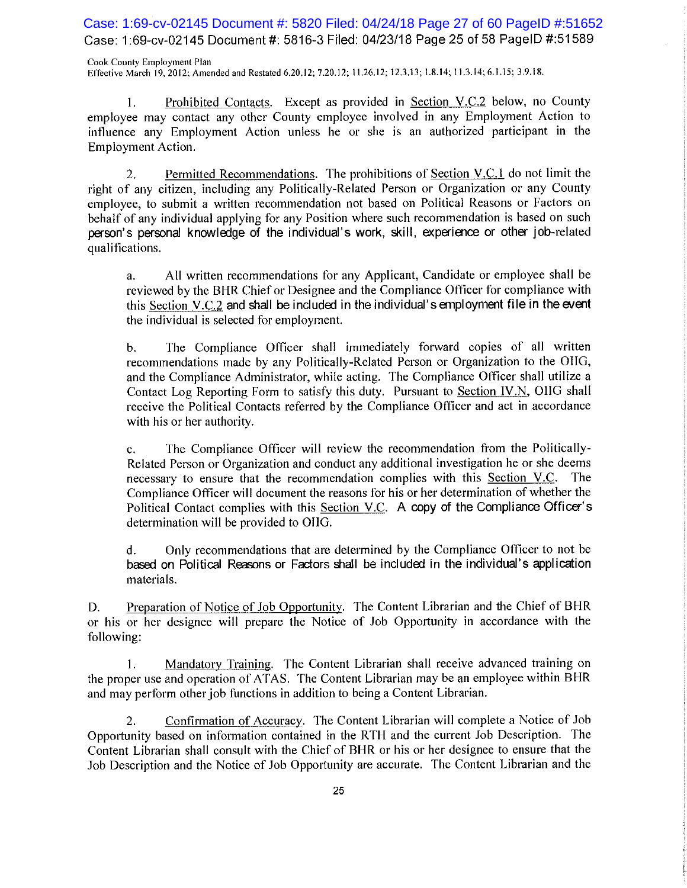Case: 1:69-cv-02145 Document #: 5820 Filed: 04/24/18 Page 27 of 60 PageID #:51652 Case: 1:69-cv-02145 Document #: 5816-3 Filed: 04/23/18 Page 25 of 58 PageID #:51589

Cook County Employment Plan Effective March 19, 2012; Amended and Restated 6.20.12; 7.20.12; 11.26.12; 12.3.13; 1.8.14; 11.3.14; 6.1.15; 3.9.18.

Prohibited Contacts. Except as provided in Section V.C.2 below, no County 1. employee may contact any other County employee involved in any Employment Action to influence any Employment Action unless he or she is an authorized participant in the Employment Action.

Permitted Recommendations. The prohibitions of Section V.C.1 do not limit the 2. right of any citizen, including any Politically-Related Person or Organization or any County employee, to submit a written recommendation not based on Political Reasons or Factors on behalf of any individual applying for any Position where such recommendation is based on such person's personal knowledge of the individual's work, skill, experience or other job-related qualifications.

All written recommendations for any Applicant, Candidate or employee shall be a. reviewed by the BHR Chief or Designee and the Compliance Officer for compliance with this Section V.C.2 and shall be included in the individual's employment file in the event the individual is selected for employment.

The Compliance Officer shall immediately forward copies of all written  $\mathbf{b}$ . recommendations made by any Politically-Related Person or Organization to the OIIG, and the Compliance Administrator, while acting. The Compliance Officer shall utilize a Contact Log Reporting Form to satisfy this duty. Pursuant to Section IV.N, OIIG shall receive the Political Contacts referred by the Compliance Officer and act in accordance with his or her authority.

The Compliance Officer will review the recommendation from the Politically- $\mathbf{c}$ . Related Person or Organization and conduct any additional investigation he or she deems necessary to ensure that the recommendation complies with this Section V.C. The Compliance Officer will document the reasons for his or her determination of whether the Political Contact complies with this Section V.C. A copy of the Compliance Officer's determination will be provided to OIIG.

Only recommendations that are determined by the Compliance Officer to not be d. based on Political Reasons or Factors shall be included in the individual's application materials.

Preparation of Notice of Job Opportunity. The Content Librarian and the Chief of BHR D. or his or her designee will prepare the Notice of Job Opportunity in accordance with the following:

Mandatory Training. The Content Librarian shall receive advanced training on  $\mathbf{1}$ . the proper use and operation of ATAS. The Content Librarian may be an employee within BHR and may perform other job functions in addition to being a Content Librarian.

Confirmation of Accuracy. The Content Librarian will complete a Notice of Job  $2.$ Opportunity based on information contained in the RTH and the current Job Description. The Content Librarian shall consult with the Chief of BHR or his or her designee to ensure that the Job Description and the Notice of Job Opportunity are accurate. The Content Librarian and the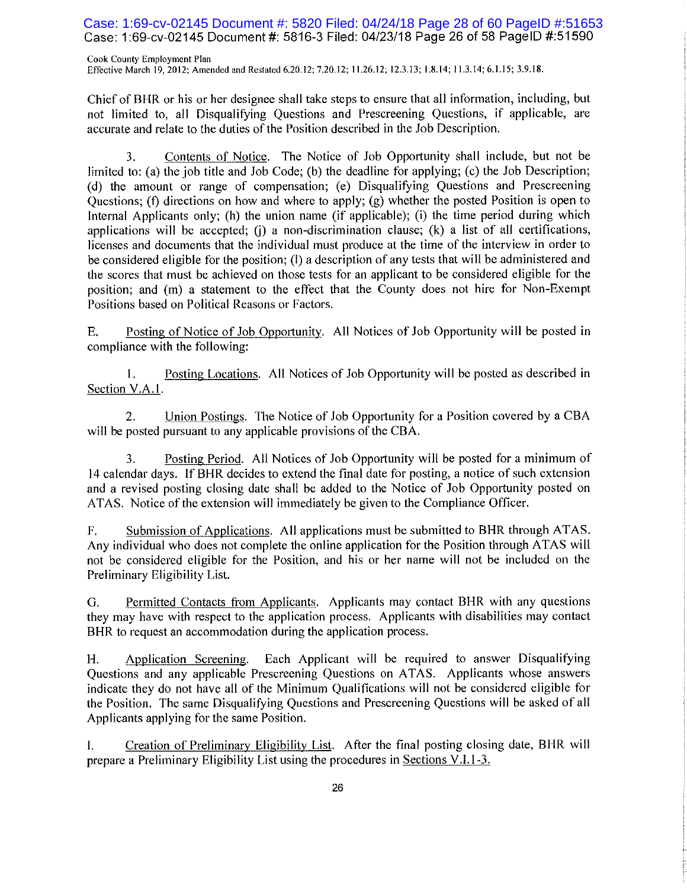Case: 1:69-cv-02145 Document #: 5820 Filed: 04/24/18 Page 28 of 60 PageID #:51653 Case: 1:69-cv-02145 Document #: 5816-3 Filed: 04/23/18 Page 26 of 58 PageID #:51590

Cook County Employment Plan Effective March 19, 2012; Amended and Restated 6.20.12; 7.20.12; 11.26.12; 12.3.13; 1.8.14; 11.3.14; 6.1.15; 3.9.18.

Chief of BHR or his or her designee shall take steps to ensure that all information, including, but not limited to, all Disqualifying Questions and Prescreening Questions, if applicable, are accurate and relate to the duties of the Position described in the Job Description.

3. Contents of Notice. The Notice of Job Opportunity shall include, but not be limited to: (a) the job title and Job Code; (b) the deadline for applying; (c) the Job Description; (d) the amount or range of compensation; (e) Disqualifying Questions and Prescreening Ouestions; (f) directions on how and where to apply; (g) whether the posted Position is open to Internal Applicants only; (h) the union name (if applicable); (i) the time period during which applications will be accepted; (i) a non-discrimination clause;  $(k)$  a list of all certifications, licenses and documents that the individual must produce at the time of the interview in order to be considered eligible for the position; (1) a description of any tests that will be administered and the scores that must be achieved on those tests for an applicant to be considered eligible for the position; and (m) a statement to the effect that the County does not hire for Non-Exempt Positions based on Political Reasons or Factors.

Posting of Notice of Job Opportunity. All Notices of Job Opportunity will be posted in Ε. compliance with the following:

Posting Locations. All Notices of Job Opportunity will be posted as described in 1. Section V.A.1.

Union Postings. The Notice of Job Opportunity for a Position covered by a CBA  $\overline{2}$ . will be posted pursuant to any applicable provisions of the CBA.

3. Posting Period. All Notices of Job Opportunity will be posted for a minimum of 14 calendar days. If BHR decides to extend the final date for posting, a notice of such extension and a revised posting closing date shall be added to the Notice of Job Opportunity posted on ATAS. Notice of the extension will immediately be given to the Compliance Officer.

F. Submission of Applications. All applications must be submitted to BHR through ATAS. Any individual who does not complete the online application for the Position through ATAS will not be considered eligible for the Position, and his or her name will not be included on the Preliminary Eligibility List.

Permitted Contacts from Applicants. Applicants may contact BHR with any questions G. they may have with respect to the application process. Applicants with disabilities may contact BHR to request an accommodation during the application process.

Each Applicant will be required to answer Disqualifying H. Application Screening. Questions and any applicable Prescreening Questions on ATAS. Applicants whose answers indicate they do not have all of the Minimum Qualifications will not be considered eligible for the Position. The same Disqualifying Questions and Prescreening Questions will be asked of all Applicants applying for the same Position.

I. Creation of Preliminary Eligibility List. After the final posting closing date, BHR will prepare a Preliminary Eligibility List using the procedures in Sections V.I.1-3.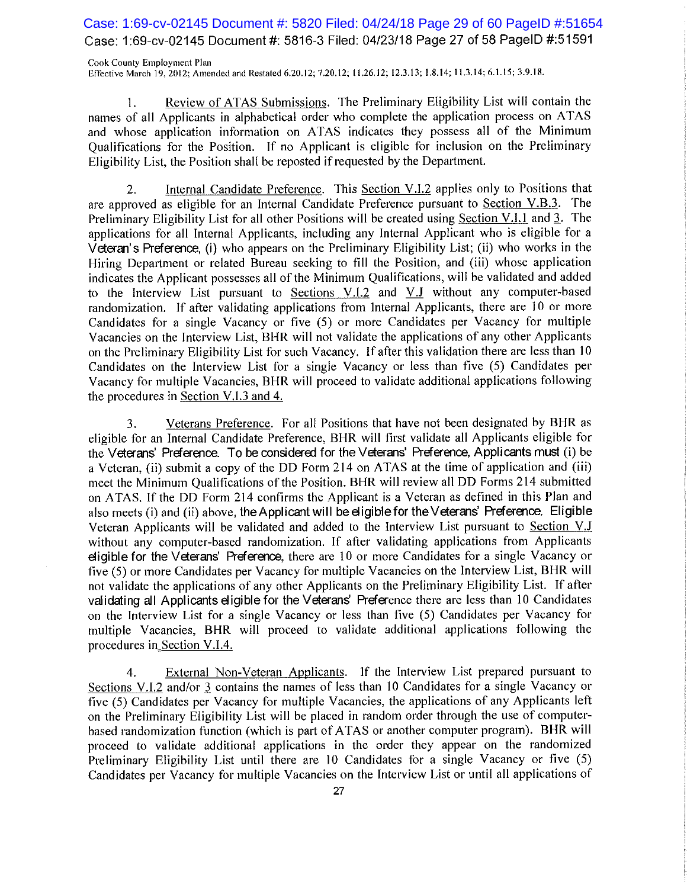Case: 1:69-cv-02145 Document #: 5820 Filed: 04/24/18 Page 29 of 60 PageID #:51654 Case: 1:69-cv-02145 Document #: 5816-3 Filed: 04/23/18 Page 27 of 58 PageID #:51591

Cook County Employment Plan Effective March 19, 2012; Amended and Restated 6.20.12; 7.20.12; 11.26.12; 12.3.13; 1.8.14; 11.3.14; 6.1.15; 3.9.18.

Review of ATAS Submissions. The Preliminary Eligibility List will contain the  $\mathbf{1}$ . names of all Applicants in alphabetical order who complete the application process on ATAS and whose application information on ATAS indicates they possess all of the Minimum Qualifications for the Position. If no Applicant is eligible for inclusion on the Preliminary Eligibility List, the Position shall be reposted if requested by the Department.

Internal Candidate Preference. This Section V.I.2 applies only to Positions that 2. are approved as eligible for an Internal Candidate Preference pursuant to Section V.B.3. The Preliminary Eligibility List for all other Positions will be created using Section V.I.1 and 3. The applications for all Internal Applicants, including any Internal Applicant who is eligible for a Veteran's Preference. (i) who appears on the Preliminary Eligibility List; (ii) who works in the Hiring Department or related Bureau seeking to fill the Position, and (iii) whose application indicates the Applicant possesses all of the Minimum Qualifications, will be validated and added to the Interview List pursuant to Sections V.I.2 and V.J without any computer-based randomization. If after validating applications from Internal Applicants, there are 10 or more Candidates for a single Vacancy or five (5) or more Candidates per Vacancy for multiple Vacancies on the Interview List, BHR will not validate the applications of any other Applicants on the Preliminary Eligibility List for such Vacancy. If after this validation there are less than 10 Candidates on the Interview List for a single Vacancy or less than five (5) Candidates per Vacancy for multiple Vacancies, BHR will proceed to validate additional applications following the procedures in Section V.I.3 and 4.

Veterans Preference. For all Positions that have not been designated by BHR as 3. eligible for an Internal Candidate Preference, BHR will first validate all Applicants eligible for the Veterans' Preference. To be considered for the Veterans' Preference, Applicants must (i) be a Veteran, (ii) submit a copy of the DD Form 214 on ATAS at the time of application and (iii) meet the Minimum Qualifications of the Position. BHR will review all DD Forms 214 submitted on ATAS. If the DD Form 214 confirms the Applicant is a Veteran as defined in this Plan and also meets (i) and (ii) above, the Applicant will be eligible for the Veterans' Preference. Eligible Veteran Applicants will be validated and added to the Interview List pursuant to Section V.J without any computer-based randomization. If after validating applications from Applicants eligible for the Veterans' Preference, there are 10 or more Candidates for a single Vacancy or five (5) or more Candidates per Vacancy for multiple Vacancies on the Interview List, BHR will not validate the applications of any other Applicants on the Preliminary Eligibility List. If after validating all Applicants eligible for the Veterans' Preference there are less than 10 Candidates on the Interview List for a single Vacancy or less than five (5) Candidates per Vacancy for multiple Vacancies, BHR will proceed to validate additional applications following the procedures in Section V.I.4.

External Non-Veteran Applicants. If the Interview List prepared pursuant to 4. Sections V.I.2 and/or 3 contains the names of less than 10 Candidates for a single Vacancy or five (5) Candidates per Vacancy for multiple Vacancies, the applications of any Applicants left on the Preliminary Eligibility List will be placed in random order through the use of computerbased randomization function (which is part of ATAS or another computer program). BHR will proceed to validate additional applications in the order they appear on the randomized Preliminary Eligibility List until there are 10 Candidates for a single Vacancy or five (5) Candidates per Vacancy for multiple Vacancies on the Interview List or until all applications of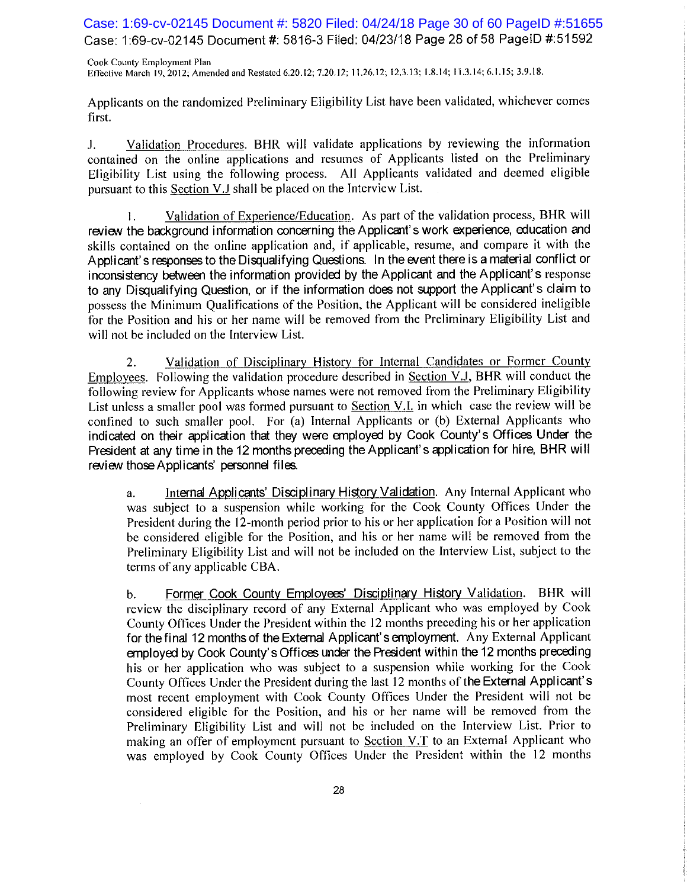Case: 1:69-cv-02145 Document #: 5820 Filed: 04/24/18 Page 30 of 60 PageID #:51655 Case: 1:69-cv-02145 Document #: 5816-3 Filed: 04/23/18 Page 28 of 58 PageID #:51592

Cook County Employment Plan Effective March 19, 2012; Amended and Restated 6.20.12; 7.20.12; 11.26.12; 12.3.13; 1.8.14; 11.3.14; 6.1.15; 3.9.18.

Applicants on the randomized Preliminary Eligibility List have been validated, whichever comes first.

Validation Procedures. BHR will validate applications by reviewing the information J. contained on the online applications and resumes of Applicants listed on the Preliminary Eligibility List using the following process. All Applicants validated and deemed eligible pursuant to this Section V.J shall be placed on the Interview List.

Validation of Experience/Education. As part of the validation process, BHR will 1. review the background information concerning the Applicant's work experience, education and skills contained on the online application and, if applicable, resume, and compare it with the Applicant's responses to the Disqualifying Questions. In the event there is a material conflict or inconsistency between the information provided by the Applicant and the Applicant's response to any Disqualifying Question, or if the information does not support the Applicant's claim to possess the Minimum Qualifications of the Position, the Applicant will be considered ineligible for the Position and his or her name will be removed from the Preliminary Eligibility List and will not be included on the Interview List.

2. Validation of Disciplinary History for Internal Candidates or Former County Employees. Following the validation procedure described in Section V.J, BHR will conduct the following review for Applicants whose names were not removed from the Preliminary Eligibility List unless a smaller pool was formed pursuant to Section V.I. in which case the review will be confined to such smaller pool. For (a) Internal Applicants or (b) External Applicants who indicated on their application that they were employed by Cook County's Offices Under the President at any time in the 12 months preceding the Applicant's application for hire, BHR will review those Applicants' personnel files.

Internal Applicants' Disciplinary History Validation. Any Internal Applicant who a. was subject to a suspension while working for the Cook County Offices Under the President during the 12-month period prior to his or her application for a Position will not be considered eligible for the Position, and his or her name will be removed from the Preliminary Eligibility List and will not be included on the Interview List, subject to the terms of any applicable CBA.

Former Cook County Employees' Disciplinary History Validation. BHR will  $\mathbf{b}$ . review the disciplinary record of any External Applicant who was employed by Cook County Offices Under the President within the 12 months preceding his or her application for the final 12 months of the External Applicant's employment. Any External Applicant employed by Cook County's Offices under the President within the 12 months preceding his or her application who was subject to a suspension while working for the Cook County Offices Under the President during the last 12 months of the External Applicant's most recent employment with Cook County Offices Under the President will not be considered eligible for the Position, and his or her name will be removed from the Preliminary Eligibility List and will not be included on the Interview List. Prior to making an offer of employment pursuant to Section V.T to an External Applicant who was employed by Cook County Offices Under the President within the 12 months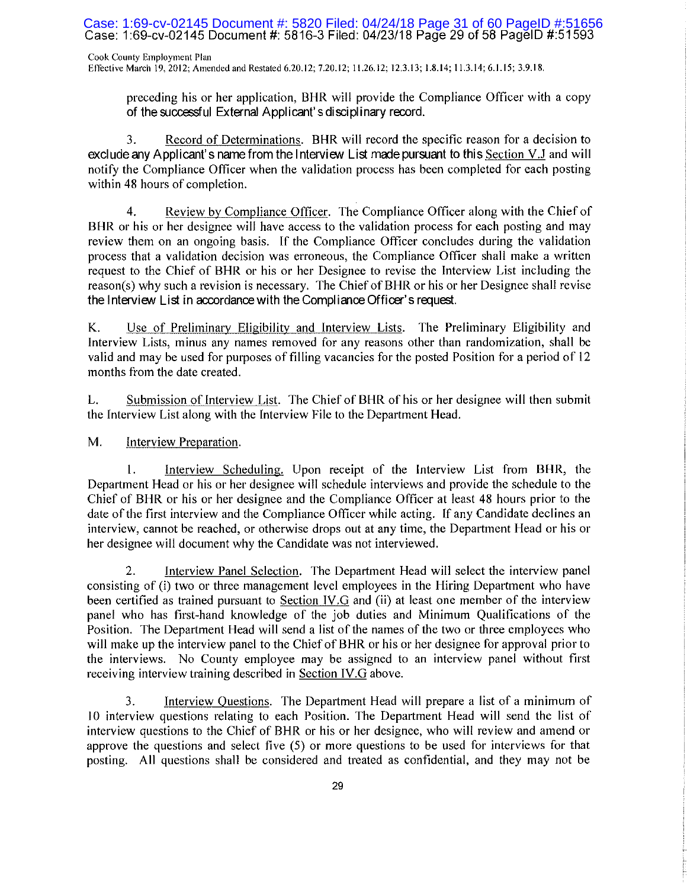Case: 1:69-cv-02145 Document #: 5820 Filed: 04/24/18 Page 31 of 60 PageID #:51656<br>Case: 1:69-cv-02145 Document #: 5816-3 Filed: 04/23/18 Page 29 of 58 PageID #:51593

Cook County Employment Plan Effective March 19, 2012; Amended and Restated 6.20.12; 7.20.12; 11.26.12; 12.3.13; 1.8.14; 11.3.14; 6.1.15; 3.9.18.

preceding his or her application, BHR will provide the Compliance Officer with a copy of the successful External Applicant's disciplinary record.

Record of Determinations. BHR will record the specific reason for a decision to 3. exclude any Applicant's name from the Interview List made pursuant to this Section V.J and will notify the Compliance Officer when the validation process has been completed for each posting within 48 hours of completion.

Review by Compliance Officer. The Compliance Officer along with the Chief of  $\overline{4}$ . BHR or his or her designee will have access to the validation process for each posting and may review them on an ongoing basis. If the Compliance Officer concludes during the validation process that a validation decision was erroneous, the Compliance Officer shall make a written request to the Chief of BHR or his or her Designee to revise the Interview List including the reason(s) why such a revision is necessary. The Chief of BHR or his or her Designee shall revise the Interview List in accordance with the Compliance Officer's request.

Use of Preliminary Eligibility and Interview Lists. The Preliminary Eligibility and Κ. Interview Lists, minus any names removed for any reasons other than randomization, shall be valid and may be used for purposes of filling vacancies for the posted Position for a period of 12 months from the date created.

L. Submission of Interview List. The Chief of BHR of his or her designee will then submit the Interview List along with the Interview File to the Department Head.

M. Interview Preparation.

Interview Scheduling. Upon receipt of the Interview List from BHR, the 1. Department Head or his or her designee will schedule interviews and provide the schedule to the Chief of BHR or his or her designee and the Compliance Officer at least 48 hours prior to the date of the first interview and the Compliance Officer while acting. If any Candidate declines an interview, cannot be reached, or otherwise drops out at any time, the Department Head or his or her designee will document why the Candidate was not interviewed.

 $2.$ Interview Panel Selection. The Department Head will select the interview panel consisting of (i) two or three management level employees in the Hiring Department who have been certified as trained pursuant to Section IV.G and (ii) at least one member of the interview panel who has first-hand knowledge of the job duties and Minimum Qualifications of the Position. The Department Head will send a list of the names of the two or three employees who will make up the interview panel to the Chief of BHR or his or her designee for approval prior to the interviews. No County employee may be assigned to an interview panel without first receiving interview training described in Section IV.G above.

3. Interview Questions. The Department Head will prepare a list of a minimum of 10 interview questions relating to each Position. The Department Head will send the list of interview questions to the Chief of BHR or his or her designee, who will review and amend or approve the questions and select five (5) or more questions to be used for interviews for that posting. All questions shall be considered and treated as confidential, and they may not be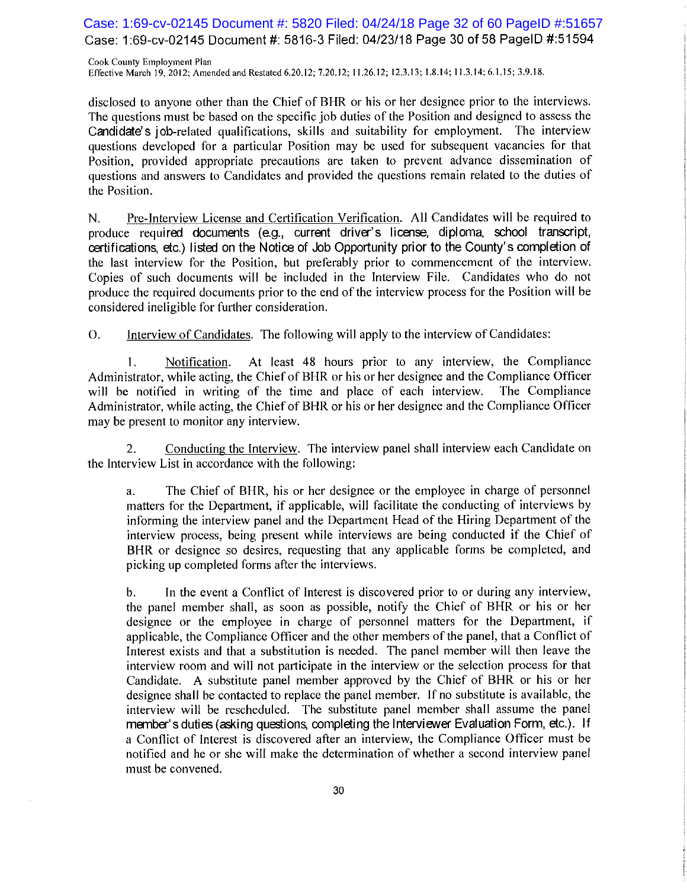Case: 1:69-cv-02145 Document #: 5820 Filed: 04/24/18 Page 32 of 60 PageID #:51657 Case: 1:69-cv-02145 Document #: 5816-3 Filed: 04/23/18 Page 30 of 58 PageID #:51594

Cook County Employment Plan Effective March 19, 2012; Amended and Restated 6.20.12; 7.20.12; 11.26.12; 12.3.13; 1.8.14; 11.3.14; 6.1.15; 3.9.18.

disclosed to anyone other than the Chief of BHR or his or her designee prior to the interviews. The questions must be based on the specific job duties of the Position and designed to assess the Candidate's job-related qualifications, skills and suitability for employment. The interview questions developed for a particular Position may be used for subsequent vacancies for that Position, provided appropriate precautions are taken to prevent advance dissemination of questions and answers to Candidates and provided the questions remain related to the duties of the Position.

Pre-Interview License and Certification Verification. All Candidates will be required to N. produce required documents (e.g., current driver's license, diploma, school transcript, certifications, etc.) listed on the Notice of Job Opportunity prior to the County's completion of the last interview for the Position, but preferably prior to commencement of the interview. Copies of such documents will be included in the Interview File. Candidates who do not produce the required documents prior to the end of the interview process for the Position will be considered ineligible for further consideration.

**O.** Interview of Candidates. The following will apply to the interview of Candidates:

1. Notification. At least 48 hours prior to any interview, the Compliance Administrator, while acting, the Chief of BHR or his or her designee and the Compliance Officer will be notified in writing of the time and place of each interview. The Compliance Administrator, while acting, the Chief of BHR or his or her designee and the Compliance Officer may be present to monitor any interview.

Conducting the Interview. The interview panel shall interview each Candidate on 2. the Interview List in accordance with the following:

The Chief of BHR, his or her designee or the employee in charge of personnel a. matters for the Department, if applicable, will facilitate the conducting of interviews by informing the interview panel and the Department Head of the Hiring Department of the interview process, being present while interviews are being conducted if the Chief of BHR or designee so desires, requesting that any applicable forms be completed, and picking up completed forms after the interviews.

In the event a Conflict of Interest is discovered prior to or during any interview,  $\mathbf{b}$ . the panel member shall, as soon as possible, notify the Chief of BHR or his or her designee or the employee in charge of personnel matters for the Department, if applicable, the Compliance Officer and the other members of the panel, that a Conflict of Interest exists and that a substitution is needed. The panel member will then leave the interview room and will not participate in the interview or the selection process for that Candidate. A substitute panel member approved by the Chief of BHR or his or her designee shall be contacted to replace the panel member. If no substitute is available, the interview will be rescheduled. The substitute panel member shall assume the panel member's duties (asking questions, completing the Interviewer Evaluation Form, etc.). If a Conflict of Interest is discovered after an interview, the Compliance Officer must be notified and he or she will make the determination of whether a second interview panel must be convened.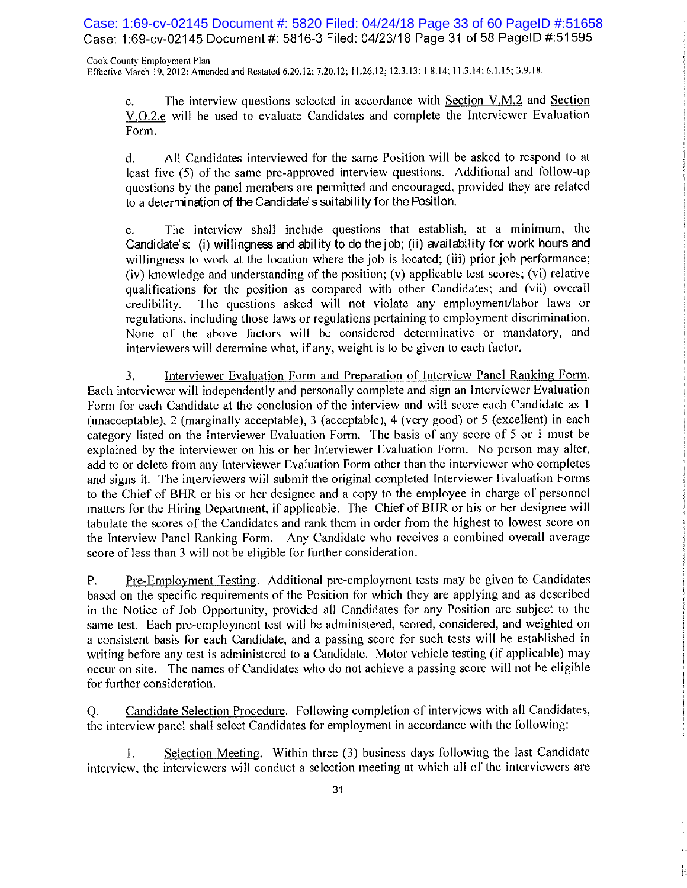Case: 1:69-cv-02145 Document #: 5820 Filed: 04/24/18 Page 33 of 60 PageID #:51658 Case: 1:69-cv-02145 Document #: 5816-3 Filed: 04/23/18 Page 31 of 58 PageID #:51595

Cook County Employment Plan Effective March 19, 2012; Amended and Restated 6.20.12; 7.20.12; 11.26.12; 12.3.13; 1.8.14; 11.3.14; 6.1.15; 3.9.18.

The interview questions selected in accordance with Section V.M.2 and Section  $C_{\star}$ V.O.2.e will be used to evaluate Candidates and complete the Interviewer Evaluation Form.

All Candidates interviewed for the same Position will be asked to respond to at  $\mathbf{d}$ . least five (5) of the same pre-approved interview questions. Additional and follow-up questions by the panel members are permitted and encouraged, provided they are related to a determination of the Candidate's suitability for the Position.

The interview shall include questions that establish, at a minimum, the e. Candidate's: (i) willingness and ability to do the job; (ii) availability for work hours and willingness to work at the location where the job is located; (iii) prior job performance; (iv) knowledge and understanding of the position; (v) applicable test scores; (vi) relative qualifications for the position as compared with other Candidates; and (vii) overall credibility. The questions asked will not violate any employment/labor laws or regulations, including those laws or regulations pertaining to employment discrimination. None of the above factors will be considered determinative or mandatory, and interviewers will determine what, if any, weight is to be given to each factor.

Interviewer Evaluation Form and Preparation of Interview Panel Ranking Form. 3. Each interviewer will independently and personally complete and sign an Interviewer Evaluation Form for each Candidate at the conclusion of the interview and will score each Candidate as 1 (unacceptable), 2 (marginally acceptable), 3 (acceptable), 4 (very good) or 5 (excellent) in each category listed on the Interviewer Evaluation Form. The basis of any score of 5 or 1 must be explained by the interviewer on his or her Interviewer Evaluation Form. No person may alter, add to or delete from any Interviewer Evaluation Form other than the interviewer who completes and signs it. The interviewers will submit the original completed Interviewer Evaluation Forms to the Chief of BHR or his or her designee and a copy to the employee in charge of personnel matters for the Hiring Department, if applicable. The Chief of BHR or his or her designee will tabulate the scores of the Candidates and rank them in order from the highest to lowest score on the Interview Panel Ranking Form. Any Candidate who receives a combined overall average score of less than 3 will not be eligible for further consideration.

Pre-Employment Testing. Additional pre-employment tests may be given to Candidates P. based on the specific requirements of the Position for which they are applying and as described in the Notice of Job Opportunity, provided all Candidates for any Position are subject to the same test. Each pre-employment test will be administered, scored, considered, and weighted on a consistent basis for each Candidate, and a passing score for such tests will be established in writing before any test is administered to a Candidate. Motor vehicle testing (if applicable) may occur on site. The names of Candidates who do not achieve a passing score will not be eligible for further consideration.

Candidate Selection Procedure. Following completion of interviews with all Candidates, O. the interview panel shall select Candidates for employment in accordance with the following:

Selection Meeting. Within three (3) business days following the last Candidate 1. interview, the interviewers will conduct a selection meeting at which all of the interviewers are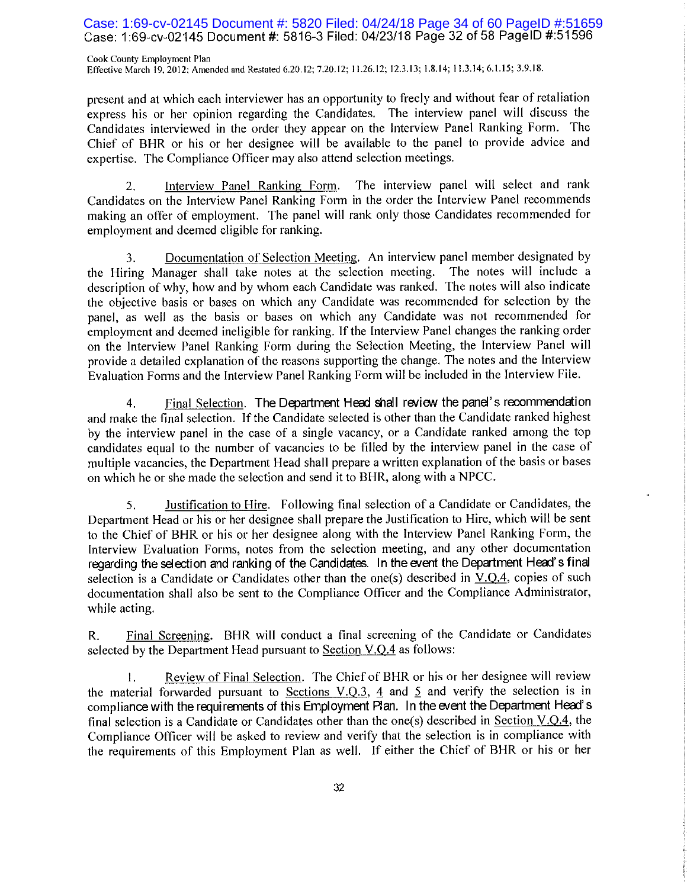## Case: 1:69-cv-02145 Document #: 5820 Filed: 04/24/18 Page 34 of 60 PageID #:51659 Case: 1:69-cv-02145 Document #: 5816-3 Filed: 04/23/18 Page 32 of 58 PageID #:51596

Cook County Employment Plan Effective March 19, 2012; Amended and Restated 6.20.12; 7.20.12; 11.26.12; 12.3.13; 1.8.14; 11.3.14; 6.1.15; 3.9.18.

present and at which each interviewer has an opportunity to freely and without fear of retaliation express his or her opinion regarding the Candidates. The interview panel will discuss the Candidates interviewed in the order they appear on the Interview Panel Ranking Form. The Chief of BHR or his or her designee will be available to the panel to provide advice and expertise. The Compliance Officer may also attend selection meetings.

The interview panel will select and rank Interview Panel Ranking Form. 2. Candidates on the Interview Panel Ranking Form in the order the Interview Panel recommends making an offer of employment. The panel will rank only those Candidates recommended for employment and deemed eligible for ranking.

Documentation of Selection Meeting. An interview panel member designated by 3. the Hiring Manager shall take notes at the selection meeting. The notes will include a description of why, how and by whom each Candidate was ranked. The notes will also indicate the objective basis or bases on which any Candidate was recommended for selection by the panel, as well as the basis or bases on which any Candidate was not recommended for employment and deemed ineligible for ranking. If the Interview Panel changes the ranking order on the Interview Panel Ranking Form during the Selection Meeting, the Interview Panel will provide a detailed explanation of the reasons supporting the change. The notes and the Interview Evaluation Forms and the Interview Panel Ranking Form will be included in the Interview File.

Final Selection. The Department Head shall review the panel's recommendation 4. and make the final selection. If the Candidate selected is other than the Candidate ranked highest by the interview panel in the case of a single vacancy, or a Candidate ranked among the top candidates equal to the number of vacancies to be filled by the interview panel in the case of multiple vacancies, the Department Head shall prepare a written explanation of the basis or bases on which he or she made the selection and send it to BHR, along with a NPCC.

5. Justification to Hire. Following final selection of a Candidate or Candidates, the Department Head or his or her designee shall prepare the Justification to Hire, which will be sent to the Chief of BHR or his or her designee along with the Interview Panel Ranking Form, the Interview Evaluation Forms, notes from the selection meeting, and any other documentation regarding the selection and ranking of the Candidates. In the event the Department Head's final selection is a Candidate or Candidates other than the one(s) described in  $V.O.A$ , copies of such documentation shall also be sent to the Compliance Officer and the Compliance Administrator, while acting.

Final Screening. BHR will conduct a final screening of the Candidate or Candidates R. selected by the Department Head pursuant to Section V.Q.4 as follows:

Review of Final Selection. The Chief of BHR or his or her designee will review 1. the material forwarded pursuant to Sections V.Q.3,  $\frac{4}{9}$  and  $\frac{5}{9}$  and verify the selection is in compliance with the requirements of this Employment Plan. In the event the Department Head's final selection is a Candidate or Candidates other than the one(s) described in <u>Section V.Q.4</u>, the Compliance Officer will be asked to review and verify that the selection is in compliance with the requirements of this Employment Plan as well. If either the Chief of BHR or his or her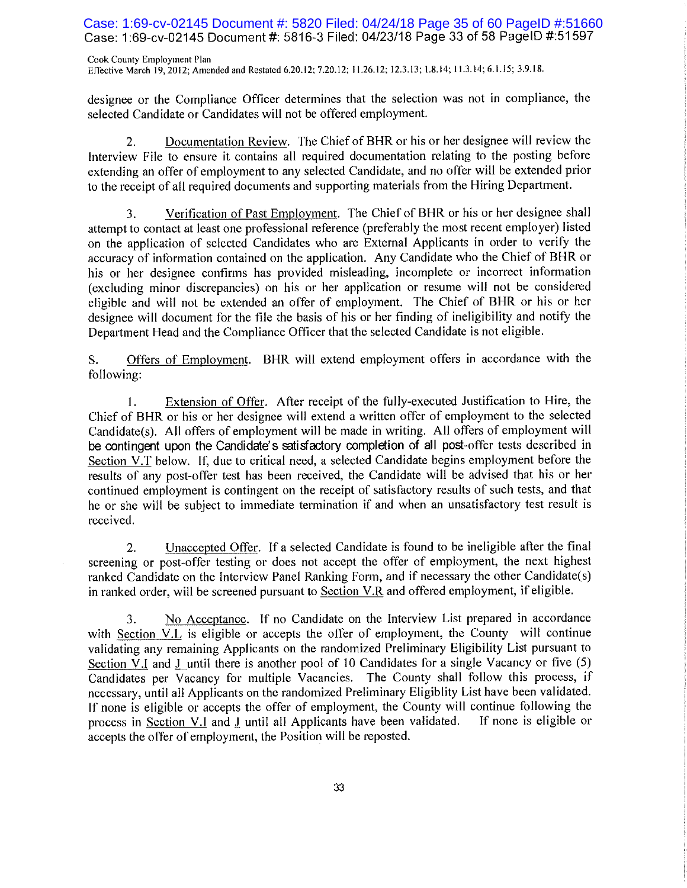Case: 1:69-cv-02145 Document #: 5820 Filed: 04/24/18 Page 35 of 60 PageID #:51660 Case: 1:69-cv-02145 Document #: 5816-3 Filed: 04/23/18 Page 33 of 58 PageID #:51597

Cook County Employment Plan Effective March 19, 2012; Amended and Restated 6.20.12; 7.20.12; 11.26.12; 12.3.13; 1.8.14; 11.3.14; 6.1.15; 3.9.18.

designee or the Compliance Officer determines that the selection was not in compliance, the selected Candidate or Candidates will not be offered employment.

Documentation Review. The Chief of BHR or his or her designee will review the  $2.$ Interview File to ensure it contains all required documentation relating to the posting before extending an offer of employment to any selected Candidate, and no offer will be extended prior to the receipt of all required documents and supporting materials from the Hiring Department.

Verification of Past Employment. The Chief of BHR or his or her designee shall 3. attempt to contact at least one professional reference (preferably the most recent employer) listed on the application of selected Candidates who are External Applicants in order to verify the accuracy of information contained on the application. Any Candidate who the Chief of BHR or his or her designee confirms has provided misleading, incomplete or incorrect information (excluding minor discrepancies) on his or her application or resume will not be considered eligible and will not be extended an offer of employment. The Chief of BHR or his or her designee will document for the file the basis of his or her finding of ineligibility and notify the Department Head and the Compliance Officer that the selected Candidate is not eligible.

Offers of Employment. BHR will extend employment offers in accordance with the S. following:

Extension of Offer. After receipt of the fully-executed Justification to Hire, the 1. Chief of BHR or his or her designee will extend a written offer of employment to the selected Candidate(s). All offers of employment will be made in writing. All offers of employment will be contingent upon the Candidate's satisfactory completion of all post-offer tests described in Section V.T below. If, due to critical need, a selected Candidate begins employment before the results of any post-offer test has been received, the Candidate will be advised that his or her continued employment is contingent on the receipt of satisfactory results of such tests, and that he or she will be subject to immediate termination if and when an unsatisfactory test result is received.

Unaccepted Offer. If a selected Candidate is found to be ineligible after the final  $2.$ screening or post-offer testing or does not accept the offer of employment, the next highest ranked Candidate on the Interview Panel Ranking Form, and if necessary the other Candidate(s) in ranked order, will be screened pursuant to Section V.R and offered employment, if eligible.

No Acceptance. If no Candidate on the Interview List prepared in accordance 3. with Section V.L is eligible or accepts the offer of employment, the County will continue validating any remaining Applicants on the randomized Preliminary Eligibility List pursuant to Section V.I and J until there is another pool of 10 Candidates for a single Vacancy or five (5) Candidates per Vacancy for multiple Vacancies. The County shall follow this process, if necessary, until all Applicants on the randomized Preliminary Eligiblity List have been validated. If none is eligible or accepts the offer of employment, the County will continue following the process in Section V.I and I until all Applicants have been validated. If none is eligible or accepts the offer of employment, the Position will be reposted.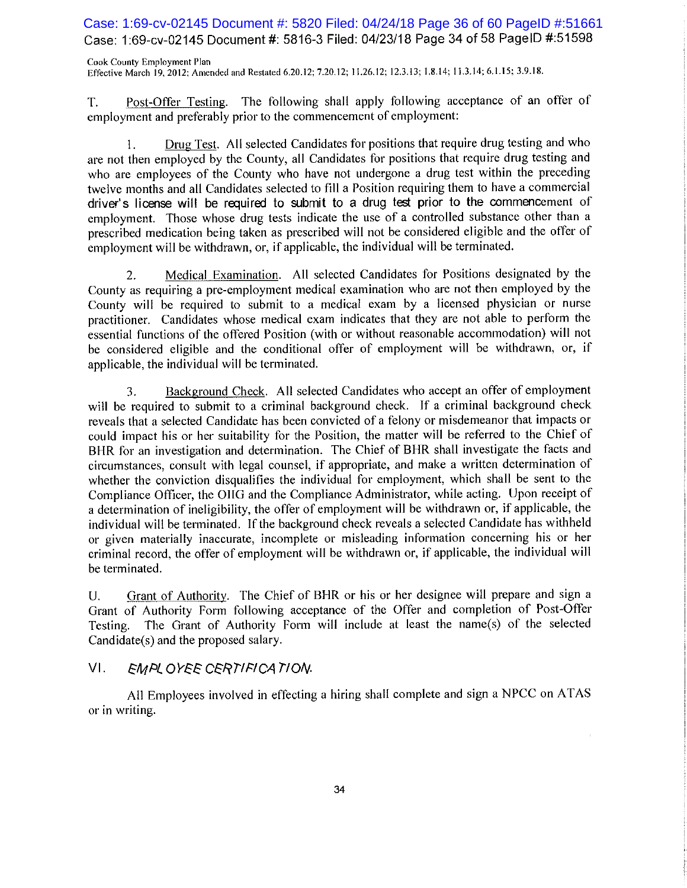Case: 1:69-cv-02145 Document #: 5820 Filed: 04/24/18 Page 36 of 60 PageID #:51661 Case: 1:69-cv-02145 Document #: 5816-3 Filed: 04/23/18 Page 34 of 58 PageID #:51598

Cook County Employment Plan Effective March 19, 2012; Amended and Restated 6.20.12; 7.20.12; 11.26.12; 12.3.13; 1.8.14; 11.3.14; 6.1.15; 3.9.18.

Post-Offer Testing. The following shall apply following acceptance of an offer of T. employment and preferably prior to the commencement of employment:

Drug Test. All selected Candidates for positions that require drug testing and who 1. are not then employed by the County, all Candidates for positions that require drug testing and who are employees of the County who have not undergone a drug test within the preceding twelve months and all Candidates selected to fill a Position requiring them to have a commercial driver's license will be required to submit to a drug test prior to the commencement of employment. Those whose drug tests indicate the use of a controlled substance other than a prescribed medication being taken as prescribed will not be considered eligible and the offer of employment will be withdrawn, or, if applicable, the individual will be terminated.

Medical Examination. All selected Candidates for Positions designated by the 2. County as requiring a pre-employment medical examination who are not then employed by the County will be required to submit to a medical exam by a licensed physician or nurse practitioner. Candidates whose medical exam indicates that they are not able to perform the essential functions of the offered Position (with or without reasonable accommodation) will not be considered eligible and the conditional offer of employment will be withdrawn, or, if applicable, the individual will be terminated.

Background Check. All selected Candidates who accept an offer of employment 3. will be required to submit to a criminal background check. If a criminal background check reveals that a selected Candidate has been convicted of a felony or misdemeanor that impacts or could impact his or her suitability for the Position, the matter will be referred to the Chief of BHR for an investigation and determination. The Chief of BHR shall investigate the facts and circumstances, consult with legal counsel, if appropriate, and make a written determination of whether the conviction disqualifies the individual for employment, which shall be sent to the Compliance Officer, the OIIG and the Compliance Administrator, while acting. Upon receipt of a determination of ineligibility, the offer of employment will be withdrawn or, if applicable, the individual will be terminated. If the background check reveals a selected Candidate has withheld or given materially inaccurate, incomplete or misleading information concerning his or her criminal record, the offer of employment will be withdrawn or, if applicable, the individual will be terminated.

Grant of Authority. The Chief of BHR or his or her designee will prepare and sign a U. Grant of Authority Form following acceptance of the Offer and completion of Post-Offer The Grant of Authority Form will include at least the name(s) of the selected Testing. Candidate(s) and the proposed salary.

#### $VI.$ EMPLOYEE CERTIFICATION.

All Employees involved in effecting a hiring shall complete and sign a NPCC on ATAS or in writing.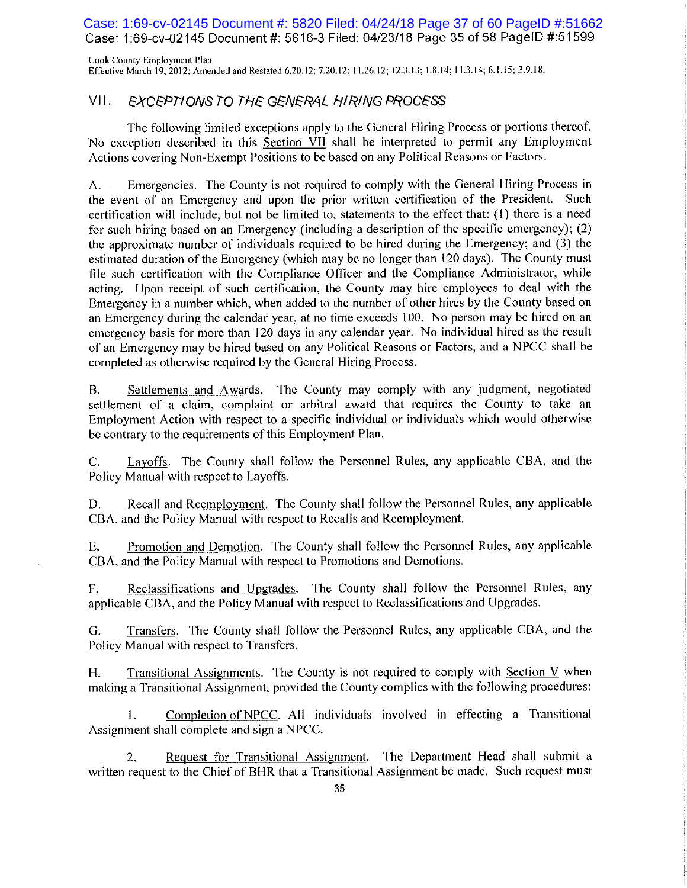Case: 1:69-cv-02145 Document #: 5820 Filed: 04/24/18 Page 37 of 60 PageID #:51662 Case: 1:69-cv-02145 Document #: 5816-3 Filed: 04/23/18 Page 35 of 58 PageID #:51599

Cook County Employment Plan Effective March 19, 2012; Amended and Restated 6.20.12; 7.20.12; 11.26.12; 12.3.13; 1.8.14; 11.3.14; 6.1.15; 3.9.18.

#### VII. EXCEPTIONS TO THE GENERAL HIRING PROCESS

The following limited exceptions apply to the General Hiring Process or portions thereof. No exception described in this Section VII shall be interpreted to permit any Employment Actions covering Non-Exempt Positions to be based on any Political Reasons or Factors.

Emergencies. The County is not required to comply with the General Hiring Process in A. the event of an Emergency and upon the prior written certification of the President. Such certification will include, but not be limited to, statements to the effect that: (1) there is a need for such hiring based on an Emergency (including a description of the specific emergency); (2) the approximate number of individuals required to be hired during the Emergency; and (3) the estimated duration of the Emergency (which may be no longer than 120 days). The County must file such certification with the Compliance Officer and the Compliance Administrator, while acting. Upon receipt of such certification, the County may hire employees to deal with the Emergency in a number which, when added to the number of other hires by the County based on an Emergency during the calendar year, at no time exceeds 100. No person may be hired on an emergency basis for more than 120 days in any calendar year. No individual hired as the result of an Emergency may be hired based on any Political Reasons or Factors, and a NPCC shall be completed as otherwise required by the General Hiring Process.

Settlements and Awards. The County may comply with any judgment, negotiated **B.** settlement of a claim, complaint or arbitral award that requires the County to take an Employment Action with respect to a specific individual or individuals which would otherwise be contrary to the requirements of this Employment Plan.

Layoffs. The County shall follow the Personnel Rules, any applicable CBA, and the  $C_{\cdot}$ Policy Manual with respect to Layoffs.

Recall and Reemployment. The County shall follow the Personnel Rules, any applicable D. CBA, and the Policy Manual with respect to Recalls and Reemployment.

Promotion and Demotion. The County shall follow the Personnel Rules, any applicable E. CBA, and the Policy Manual with respect to Promotions and Demotions.

Reclassifications and Upgrades. The County shall follow the Personnel Rules, any  $\mathbf{F}_{\star}$ applicable CBA, and the Policy Manual with respect to Reclassifications and Upgrades.

Transfers. The County shall follow the Personnel Rules, any applicable CBA, and the G. Policy Manual with respect to Transfers.

Transitional Assignments. The County is not required to comply with Section V when  $H<sub>r</sub>$ making a Transitional Assignment, provided the County complies with the following procedures:

Completion of NPCC. All individuals involved in effecting a Transitional 1. Assignment shall complete and sign a NPCC.

Request for Transitional Assignment. The Department Head shall submit a 2. written request to the Chief of BHR that a Transitional Assignment be made. Such request must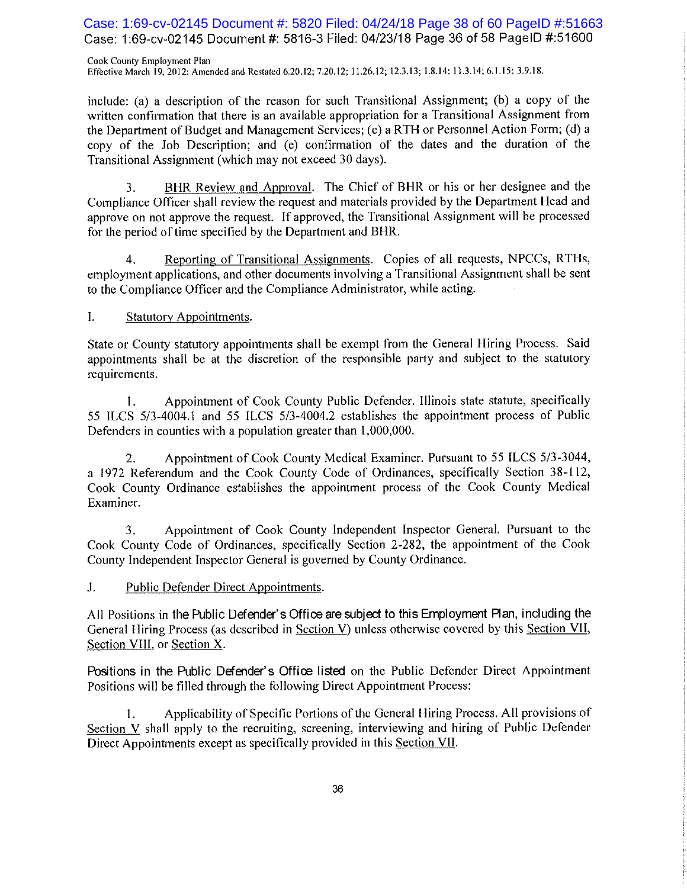Case: 1:69-cv-02145 Document #: 5820 Filed: 04/24/18 Page 38 of 60 PageID #:51663 Case: 1:69-cv-02145 Document #: 5816-3 Filed: 04/23/18 Page 36 of 58 PagelD #:51600

Cook County Employment Plan Effective March 19, 2012; Amended and Restated 6.20.12; 7.20.12; 11.26.12; 12.3.13; 1.8.14; 11.3.14; 6.1.15; 3.9.18.

include: (a) a description of the reason for such Transitional Assignment; (b) a copy of the written confirmation that there is an available appropriation for a Transitional Assignment from the Department of Budget and Management Services; (c) a RTH or Personnel Action Form; (d) a copy of the Job Description; and (e) confirmation of the dates and the duration of the Transitional Assignment (which may not exceed 30 days).

BHR Review and Approval. The Chief of BHR or his or her designee and the 3. Compliance Officer shall review the request and materials provided by the Department Head and approve on not approve the request. If approved, the Transitional Assignment will be processed for the period of time specified by the Department and BHR.

Reporting of Transitional Assignments. Copies of all requests, NPCCs, RTHs,  $\overline{4}$ . employment applications, and other documents involving a Transitional Assignment shall be sent to the Compliance Officer and the Compliance Administrator, while acting.

 $\mathbf{I}$ . **Statutory Appointments.** 

State or County statutory appointments shall be exempt from the General Hiring Process. Said appointments shall be at the discretion of the responsible party and subject to the statutory requirements.

Appointment of Cook County Public Defender. Illinois state statute, specifically 1. 55 ILCS 5/3-4004.1 and 55 ILCS 5/3-4004.2 establishes the appointment process of Public Defenders in counties with a population greater than 1,000,000.

Appointment of Cook County Medical Examiner. Pursuant to 55 ILCS 5/3-3044, 2. a 1972 Referendum and the Cook County Code of Ordinances, specifically Section 38-112, Cook County Ordinance establishes the appointment process of the Cook County Medical Examiner.

Appointment of Cook County Independent Inspector General. Pursuant to the 3. Cook County Code of Ordinances, specifically Section 2-282, the appointment of the Cook County Independent Inspector General is governed by County Ordinance.

J. Public Defender Direct Appointments.

All Positions in the Public Defender's Office are subject to this Employment Plan, including the General Hiring Process (as described in Section V) unless otherwise covered by this Section VII, Section VIII, or Section X.

Positions in the Public Defender's Office listed on the Public Defender Direct Appointment Positions will be filled through the following Direct Appointment Process:

Applicability of Specific Portions of the General Hiring Process. All provisions of 1. Section V shall apply to the recruiting, screening, interviewing and hiring of Public Defender Direct Appointments except as specifically provided in this Section VII.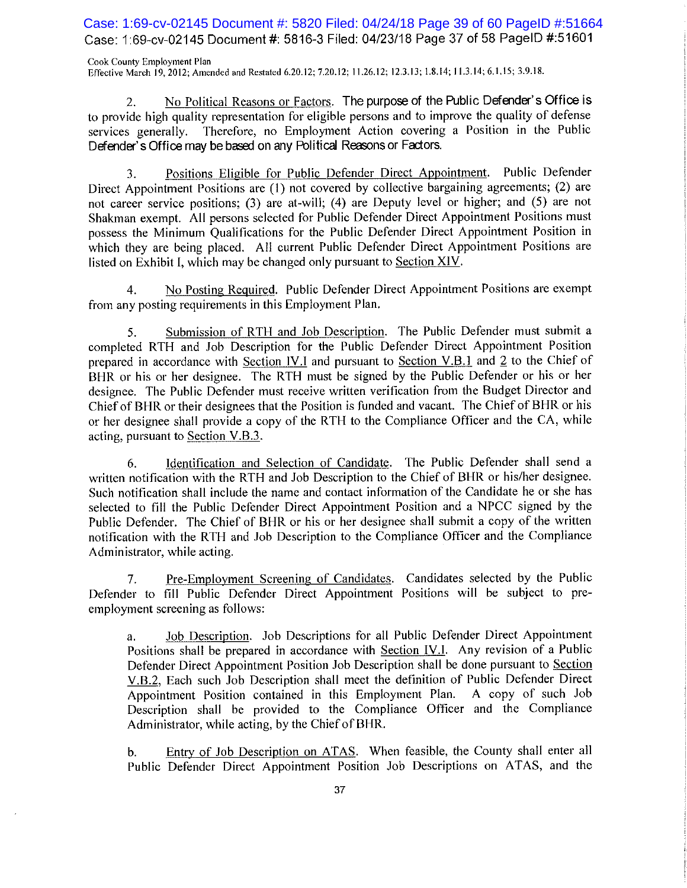Case: 1:69-cv-02145 Document #: 5820 Filed: 04/24/18 Page 39 of 60 PageID #:51664 Case: 1:69-cv-02145 Document #: 5816-3 Filed: 04/23/18 Page 37 of 58 PageID #:51601

Cook County Employment Plan Effective March 19, 2012; Amended and Restated 6.20.12; 7.20.12; 11.26.12; 12.3.13; 1.8.14; 11.3.14; 6.1.15; 3.9.18.

No Political Reasons or Factors. The purpose of the Public Defender's Office is  $2.$ to provide high quality representation for eligible persons and to improve the quality of defense services generally. Therefore, no Employment Action covering a Position in the Public Defender's Office may be based on any Political Reasons or Factors.

Positions Eligible for Public Defender Direct Appointment. Public Defender 3. Direct Appointment Positions are (1) not covered by collective bargaining agreements; (2) are not career service positions; (3) are at-will; (4) are Deputy level or higher; and (5) are not Shakman exempt. All persons selected for Public Defender Direct Appointment Positions must possess the Minimum Qualifications for the Public Defender Direct Appointment Position in which they are being placed. All current Public Defender Direct Appointment Positions are listed on Exhibit I, which may be changed only pursuant to Section XIV.

No Posting Required. Public Defender Direct Appointment Positions are exempt 4. from any posting requirements in this Employment Plan.

Submission of RTH and Job Description. The Public Defender must submit a 5. completed RTH and Job Description for the Public Defender Direct Appointment Position prepared in accordance with Section IV.I and pursuant to Section V.B.1 and 2 to the Chief of BHR or his or her designee. The RTH must be signed by the Public Defender or his or her designee. The Public Defender must receive written verification from the Budget Director and Chief of BHR or their designees that the Position is funded and vacant. The Chief of BHR or his or her designee shall provide a copy of the RTH to the Compliance Officer and the CA, while acting, pursuant to Section V.B.3.

Identification and Selection of Candidate. The Public Defender shall send a 6. written notification with the RTH and Job Description to the Chief of BHR or his/her designee. Such notification shall include the name and contact information of the Candidate he or she has selected to fill the Public Defender Direct Appointment Position and a NPCC signed by the Public Defender. The Chief of BHR or his or her designee shall submit a copy of the written notification with the RTH and Job Description to the Compliance Officer and the Compliance Administrator, while acting.

Pre-Employment Screening of Candidates. Candidates selected by the Public 7. Defender to fill Public Defender Direct Appointment Positions will be subject to preemployment screening as follows:

Job Description. Job Descriptions for all Public Defender Direct Appointment a. Positions shall be prepared in accordance with Section IV.I. Any revision of a Public Defender Direct Appointment Position Job Description shall be done pursuant to Section V.B.2, Each such Job Description shall meet the definition of Public Defender Direct Appointment Position contained in this Employment Plan. A copy of such Job Description shall be provided to the Compliance Officer and the Compliance Administrator, while acting, by the Chief of BHR.

Entry of Job Description on ATAS. When feasible, the County shall enter all  $<sub>b</sub>$ .</sub> Public Defender Direct Appointment Position Job Descriptions on ATAS, and the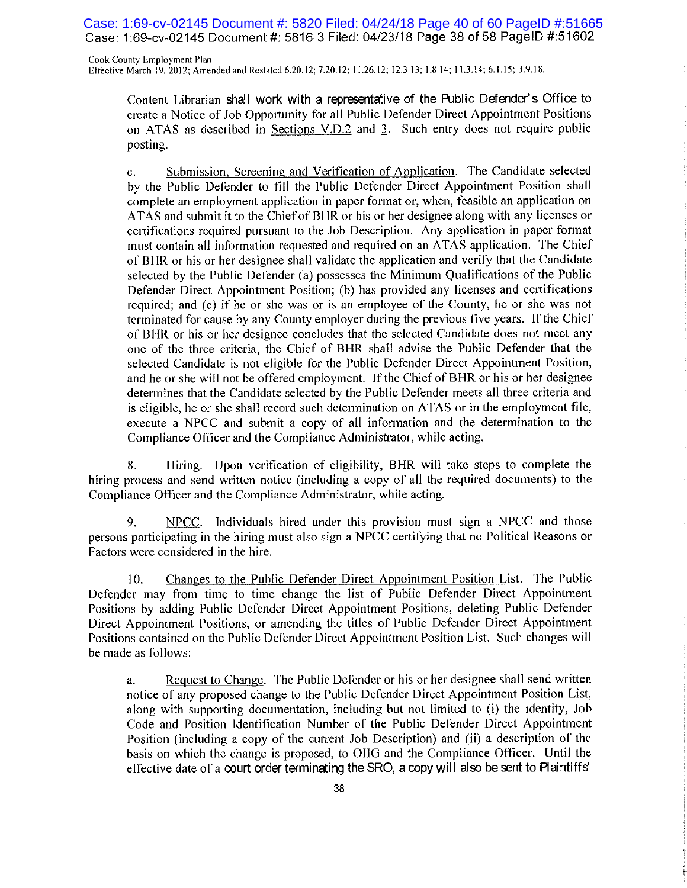Case: 1:69-cv-02145 Document #: 5820 Filed: 04/24/18 Page 40 of 60 PageID #:51665 Case: 1:69-cv-02145 Document #: 5816-3 Filed: 04/23/18 Page 38 of 58 PageID #:51602

Cook County Employment Plan Effective March 19, 2012; Amended and Restated 6.20.12; 7.20.12; 11.26.12; 12.3.13; 1.8.14; 11.3.14; 6.1.15; 3.9.18.

Content Librarian shall work with a representative of the Public Defender's Office to create a Notice of Job Opportunity for all Public Defender Direct Appointment Positions on ATAS as described in Sections  $V.D.2$  and 3. Such entry does not require public posting.

Submission, Screening and Verification of Application. The Candidate selected  $\mathbf{c}$ . by the Public Defender to fill the Public Defender Direct Appointment Position shall complete an employment application in paper format or, when, feasible an application on ATAS and submit it to the Chief of BHR or his or her designee along with any licenses or certifications required pursuant to the Job Description. Any application in paper format must contain all information requested and required on an ATAS application. The Chief of BHR or his or her designee shall validate the application and verify that the Candidate selected by the Public Defender (a) possesses the Minimum Qualifications of the Public Defender Direct Appointment Position; (b) has provided any licenses and certifications required; and (c) if he or she was or is an employee of the County, he or she was not terminated for cause by any County employer during the previous five years. If the Chief of BHR or his or her designee concludes that the selected Candidate does not meet any one of the three criteria, the Chief of BHR shall advise the Public Defender that the selected Candidate is not eligible for the Public Defender Direct Appointment Position, and he or she will not be offered employment. If the Chief of BHR or his or her designee determines that the Candidate selected by the Public Defender meets all three criteria and is eligible, he or she shall record such determination on ATAS or in the employment file, execute a NPCC and submit a copy of all information and the determination to the Compliance Officer and the Compliance Administrator, while acting.

Hiring. Upon verification of eligibility, BHR will take steps to complete the 8. hiring process and send written notice (including a copy of all the required documents) to the Compliance Officer and the Compliance Administrator, while acting.

9. NPCC. Individuals hired under this provision must sign a NPCC and those persons participating in the hiring must also sign a NPCC certifying that no Political Reasons or Factors were considered in the hire.

Changes to the Public Defender Direct Appointment Position List. The Public  $10.$ Defender may from time to time change the list of Public Defender Direct Appointment Positions by adding Public Defender Direct Appointment Positions, deleting Public Defender Direct Appointment Positions, or amending the titles of Public Defender Direct Appointment Positions contained on the Public Defender Direct Appointment Position List. Such changes will be made as follows:

Request to Change. The Public Defender or his or her designee shall send written a. notice of any proposed change to the Public Defender Direct Appointment Position List, along with supporting documentation, including but not limited to (i) the identity, Job Code and Position Identification Number of the Public Defender Direct Appointment Position (including a copy of the current Job Description) and (ii) a description of the basis on which the change is proposed, to OIIG and the Compliance Officer. Until the effective date of a court order terminating the SRO, a copy will also be sent to Plaintiffs'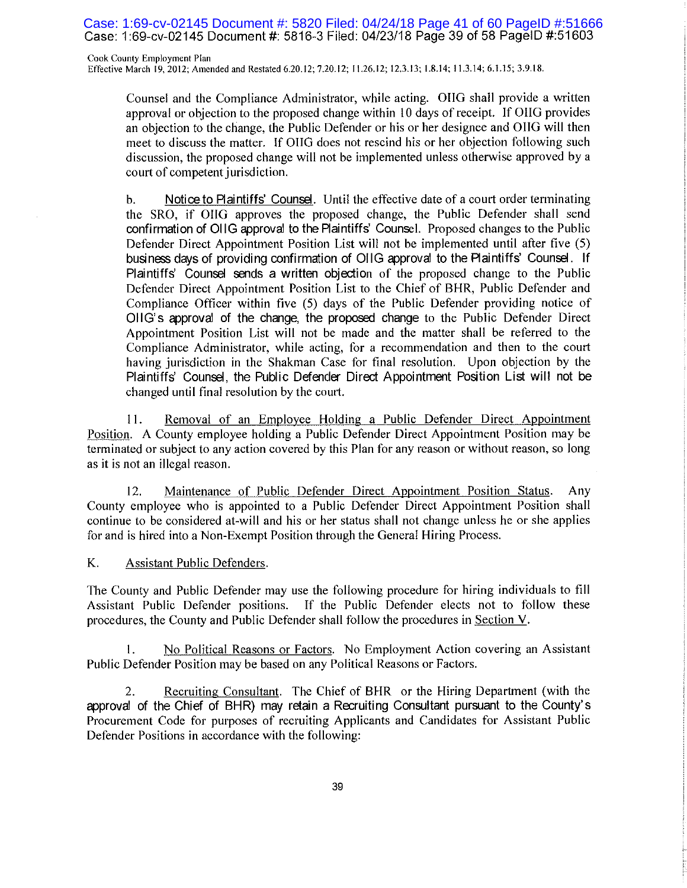Case: 1:69-cv-02145 Document #: 5820 Filed: 04/24/18 Page 41 of 60 PageID #:51666 Case: 1:69-cv-02145 Document #: 5816-3 Filed: 04/23/18 Page 39 of 58 PageID #:51603

Cook County Employment Plan Effective March 19, 2012; Amended and Restated 6.20.12; 7.20.12; 11.26.12; 12.3.13; 1.8.14; 11.3.14; 6.1.15; 3.9.18.

Counsel and the Compliance Administrator, while acting. OIIG shall provide a written approval or objection to the proposed change within 10 days of receipt. If OIIG provides an objection to the change, the Public Defender or his or her designee and OIIG will then meet to discuss the matter. If OIIG does not rescind his or her objection following such discussion, the proposed change will not be implemented unless otherwise approved by a court of competent jurisdiction.

Notice to Plaintiffs' Counsel. Until the effective date of a court order terminating  $\mathbf{b}$ . the SRO, if OIIG approves the proposed change, the Public Defender shall send confirmation of OHG approval to the Plaintiffs' Counsel. Proposed changes to the Public Defender Direct Appointment Position List will not be implemented until after five (5) business days of providing confirmation of OIIG approval to the Plaintiffs' Counsel. If Plaintiffs' Counsel sends a written objection of the proposed change to the Public Defender Direct Appointment Position List to the Chief of BHR, Public Defender and Compliance Officer within five (5) days of the Public Defender providing notice of OHG's approval of the change, the proposed change to the Public Defender Direct Appointment Position List will not be made and the matter shall be referred to the Compliance Administrator, while acting, for a recommendation and then to the court having jurisdiction in the Shakman Case for final resolution. Upon objection by the Plaintiffs' Counsel, the Public Defender Direct Appointment Position List will not be changed until final resolution by the court.

Removal of an Employee Holding a Public Defender Direct Appointment 11. Position. A County employee holding a Public Defender Direct Appointment Position may be terminated or subject to any action covered by this Plan for any reason or without reason, so long as it is not an illegal reason.

Maintenance of Public Defender Direct Appointment Position Status. 12. Any County employee who is appointed to a Public Defender Direct Appointment Position shall continue to be considered at-will and his or her status shall not change unless he or she applies for and is hired into a Non-Exempt Position through the General Hiring Process.

K. **Assistant Public Defenders.** 

The County and Public Defender may use the following procedure for hiring individuals to fill Assistant Public Defender positions. If the Public Defender elects not to follow these procedures, the County and Public Defender shall follow the procedures in Section V.

No Political Reasons or Factors. No Employment Action covering an Assistant  $\mathbf{I}$ . Public Defender Position may be based on any Political Reasons or Factors.

Recruiting Consultant. The Chief of BHR or the Hiring Department (with the 2. approval of the Chief of BHR) may retain a Recruiting Consultant pursuant to the County's Procurement Code for purposes of recruiting Applicants and Candidates for Assistant Public Defender Positions in accordance with the following: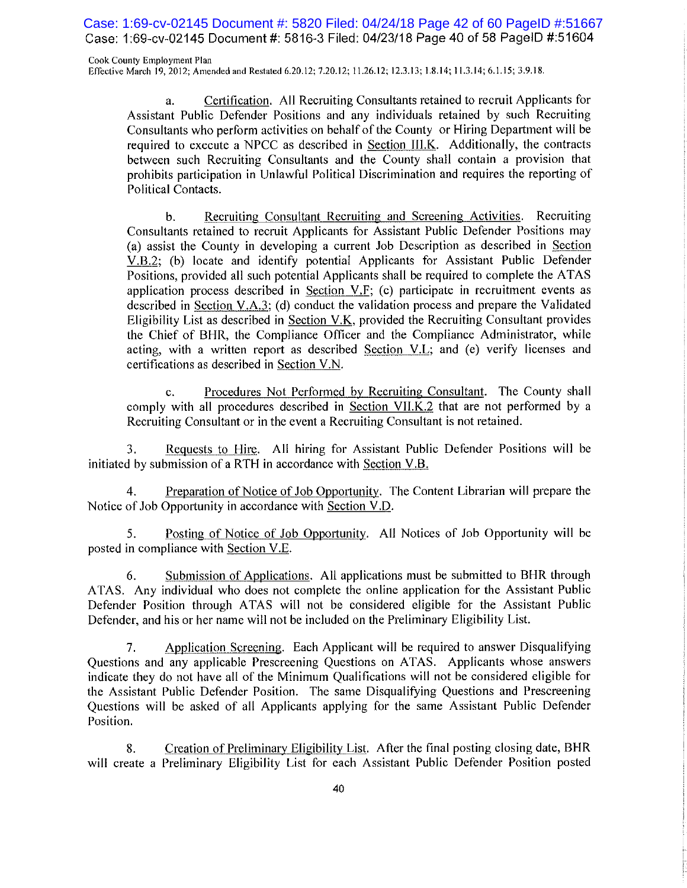Case: 1:69-cv-02145 Document #: 5820 Filed: 04/24/18 Page 42 of 60 PageID #:51667 Case: 1:69-cv-02145 Document #: 5816-3 Filed: 04/23/18 Page 40 of 58 PageID #:51604

Cook County Employment Plan Effective March 19, 2012; Amended and Restated 6.20.12; 7.20.12; 11.26.12; 12.3.13; 1.8.14; 11.3.14; 6.1.15; 3.9.18.

Certification. All Recruiting Consultants retained to recruit Applicants for a. Assistant Public Defender Positions and any individuals retained by such Recruiting Consultants who perform activities on behalf of the County or Hiring Department will be required to execute a NPCC as described in Section III.K. Additionally, the contracts between such Recruiting Consultants and the County shall contain a provision that prohibits participation in Unlawful Political Discrimination and requires the reporting of Political Contacts.

Recruiting Consultant Recruiting and Screening Activities.  $\mathbf{b}$ . Recruiting Consultants retained to recruit Applicants for Assistant Public Defender Positions may (a) assist the County in developing a current Job Description as described in Section V.B.2; (b) locate and identify potential Applicants for Assistant Public Defender Positions, provided all such potential Applicants shall be required to complete the ATAS application process described in Section V.F; (c) participate in recruitment events as described in Section V.A.3; (d) conduct the validation process and prepare the Validated Eligibility List as described in Section V.K, provided the Recruiting Consultant provides the Chief of BHR, the Compliance Officer and the Compliance Administrator, while acting, with a written report as described Section V.L; and (e) verify licenses and certifications as described in Section V.N.

Procedures Not Performed by Recruiting Consultant. The County shall  $\mathbf{c}$ . comply with all procedures described in Section VII.K.2 that are not performed by a Recruiting Consultant or in the event a Recruiting Consultant is not retained.

Requests to Hire. All hiring for Assistant Public Defender Positions will be 3. initiated by submission of a RTH in accordance with Section V.B.

Preparation of Notice of Job Opportunity. The Content Librarian will prepare the  $\overline{4}$ . Notice of Job Opportunity in accordance with Section V.D.

Posting of Notice of Job Opportunity. All Notices of Job Opportunity will be 5. posted in compliance with Section V.E.

Submission of Applications. All applications must be submitted to BHR through 6. ATAS. Any individual who does not complete the online application for the Assistant Public Defender Position through ATAS will not be considered eligible for the Assistant Public Defender, and his or her name will not be included on the Preliminary Eligibility List.

 $7<sub>1</sub>$ Application Screening. Each Applicant will be required to answer Disqualifying Ouestions and any applicable Prescreening Ouestions on ATAS. Applicants whose answers indicate they do not have all of the Minimum Qualifications will not be considered eligible for the Assistant Public Defender Position. The same Disqualifying Questions and Prescreening Questions will be asked of all Applicants applying for the same Assistant Public Defender Position.

Creation of Preliminary Eligibility List. After the final posting closing date, BHR 8. will create a Preliminary Eligibility List for each Assistant Public Defender Position posted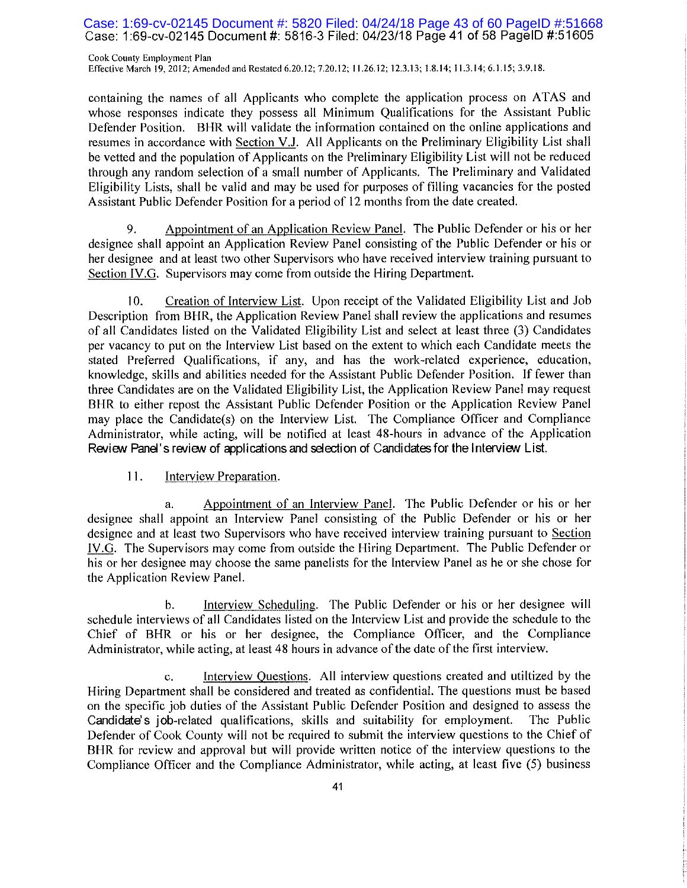### Case: 1:69-cv-02145 Document #: 5820 Filed: 04/24/18 Page 43 of 60 PageID #:51668 Case: 1:69-cv-02145 Document #: 5816-3 Filed: 04/23/18 Page 41 of 58 PageID #:51605

Cook County Employment Plan Effective March 19, 2012; Amended and Restated 6.20.12; 7.20.12; 11.26.12; 12.3.13; 1.8.14; 11.3.14; 6.1.15; 3.9.18.

containing the names of all Applicants who complete the application process on ATAS and whose responses indicate they possess all Minimum Qualifications for the Assistant Public Defender Position. BHR will validate the information contained on the online applications and resumes in accordance with Section V.J. All Applicants on the Preliminary Eligibility List shall be vetted and the population of Applicants on the Preliminary Eligibility List will not be reduced through any random selection of a small number of Applicants. The Preliminary and Validated Eligibility Lists, shall be valid and may be used for purposes of filling vacancies for the posted Assistant Public Defender Position for a period of 12 months from the date created.

9. Appointment of an Application Review Panel. The Public Defender or his or her designee shall appoint an Application Review Panel consisting of the Public Defender or his or her designee and at least two other Supervisors who have received interview training pursuant to Section IV.G. Supervisors may come from outside the Hiring Department.

 $10.$ Creation of Interview List. Upon receipt of the Validated Eligibility List and Job Description from BHR, the Application Review Panel shall review the applications and resumes of all Candidates listed on the Validated Eligibility List and select at least three (3) Candidates per vacancy to put on the Interview List based on the extent to which each Candidate meets the stated Preferred Qualifications, if any, and has the work-related experience, education, knowledge, skills and abilities needed for the Assistant Public Defender Position. If fewer than three Candidates are on the Validated Eligibility List, the Application Review Panel may request BHR to either repost the Assistant Public Defender Position or the Application Review Panel may place the Candidate(s) on the Interview List. The Compliance Officer and Compliance Administrator, while acting, will be notified at least 48-hours in advance of the Application Review Panel's review of applications and selection of Candidates for the Interview List.

#### 11. Interview Preparation.

Appointment of an Interview Panel. The Public Defender or his or her a. designee shall appoint an Interview Panel consisting of the Public Defender or his or her designee and at least two Supervisors who have received interview training pursuant to Section IV.G. The Supervisors may come from outside the Hiring Department. The Public Defender or his or her designee may choose the same panelists for the Interview Panel as he or she chose for the Application Review Panel.

Interview Scheduling. The Public Defender or his or her designee will b. schedule interviews of all Candidates listed on the Interview List and provide the schedule to the Chief of BHR or his or her designee, the Compliance Officer, and the Compliance Administrator, while acting, at least 48 hours in advance of the date of the first interview.

Interview Questions. All interview questions created and utilized by the  $\mathbf{C}$ . Hiring Department shall be considered and treated as confidential. The questions must be based on the specific job duties of the Assistant Public Defender Position and designed to assess the Candidate's job-related qualifications, skills and suitability for employment. The Public Defender of Cook County will not be required to submit the interview questions to the Chief of BHR for review and approval but will provide written notice of the interview questions to the Compliance Officer and the Compliance Administrator, while acting, at least five (5) business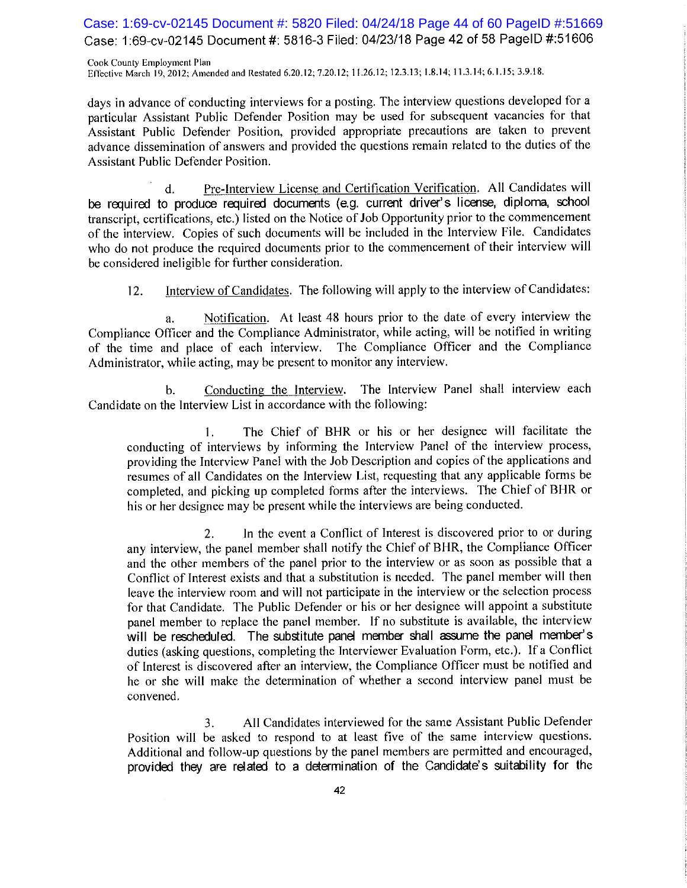Case: 1:69-cv-02145 Document #: 5820 Filed: 04/24/18 Page 44 of 60 PageID #:51669 Case: 1:69-cv-02145 Document #: 5816-3 Filed: 04/23/18 Page 42 of 58 PageID #:51606

Cook County Employment Plan Effective March 19, 2012; Amended and Restated 6.20.12; 7.20.12; 11.26.12; 12.3.13; 1.8.14; 11.3.14; 6.1.15; 3.9.18.

days in advance of conducting interviews for a posting. The interview questions developed for a particular Assistant Public Defender Position may be used for subsequent vacancies for that Assistant Public Defender Position, provided appropriate precautions are taken to prevent advance dissemination of answers and provided the questions remain related to the duties of the **Assistant Public Defender Position.** 

Pre-Interview License and Certification Verification. All Candidates will  $\mathbf{d}$ . be required to produce required documents (e.g. current driver's license, diploma, school transcript, certifications, etc.) listed on the Notice of Job Opportunity prior to the commencement of the interview. Copies of such documents will be included in the Interview File. Candidates who do not produce the required documents prior to the commencement of their interview will be considered ineligible for further consideration.

Interview of Candidates. The following will apply to the interview of Candidates:  $12.$ 

Notification. At least 48 hours prior to the date of every interview the a. Compliance Officer and the Compliance Administrator, while acting, will be notified in writing of the time and place of each interview. The Compliance Officer and the Compliance Administrator, while acting, may be present to monitor any interview.

Conducting the Interview. The Interview Panel shall interview each  $\mathbf{b}$ . Candidate on the Interview List in accordance with the following:

The Chief of BHR or his or her designee will facilitate the 1. conducting of interviews by informing the Interview Panel of the interview process, providing the Interview Panel with the Job Description and copies of the applications and resumes of all Candidates on the Interview List, requesting that any applicable forms be completed, and picking up completed forms after the interviews. The Chief of BHR or his or her designee may be present while the interviews are being conducted.

In the event a Conflict of Interest is discovered prior to or during  $\overline{2}$ . any interview, the panel member shall notify the Chief of BHR, the Compliance Officer and the other members of the panel prior to the interview or as soon as possible that a Conflict of Interest exists and that a substitution is needed. The panel member will then leave the interview room and will not participate in the interview or the selection process for that Candidate. The Public Defender or his or her designee will appoint a substitute panel member to replace the panel member. If no substitute is available, the interview will be rescheduled. The substitute panel member shall assume the panel member's duties (asking questions, completing the Interviewer Evaluation Form, etc.). If a Conflict of Interest is discovered after an interview, the Compliance Officer must be notified and he or she will make the determination of whether a second interview panel must be convened.

All Candidates interviewed for the same Assistant Public Defender  $3.$ Position will be asked to respond to at least five of the same interview questions. Additional and follow-up questions by the panel members are permitted and encouraged, provided they are related to a determination of the Candidate's suitability for the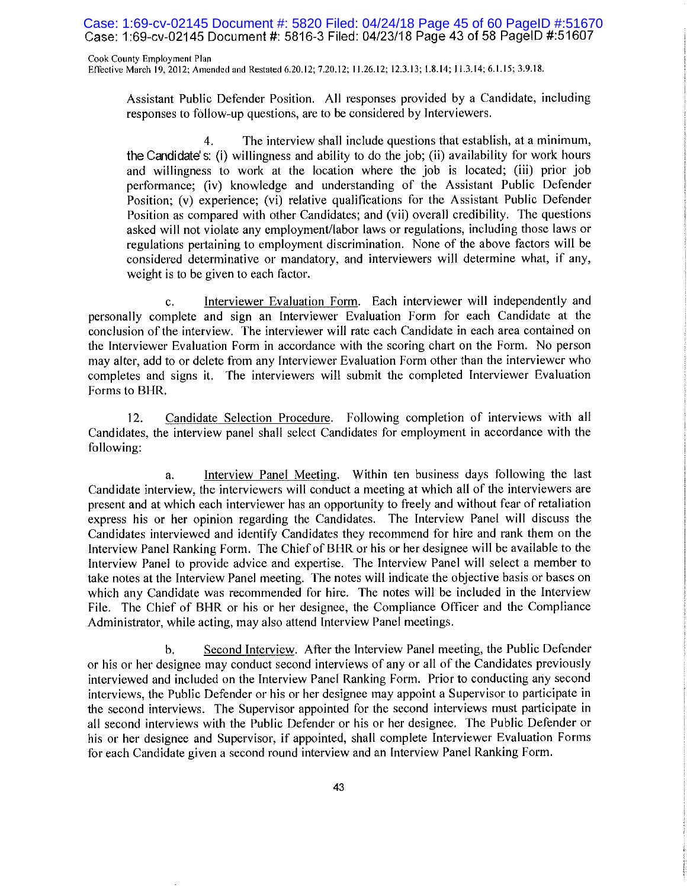Case: 1:69-cv-02145 Document #: 5820 Filed: 04/24/18 Page 45 of 60 PageID #:51670 Case: 1:69-cv-02145 Document #: 5816-3 Filed: 04/23/18 Page 43 of 58 PageID #:51607

Cook County Employment Plan Effective March 19, 2012; Amended and Restated 6.20.12; 7.20.12; 11.26.12; 12.3.13; 1.8.14; 11.3.14; 6.1.15; 3.9.18.

Assistant Public Defender Position. All responses provided by a Candidate, including responses to follow-up questions, are to be considered by Interviewers.

 $\overline{4}$ . The interview shall include questions that establish, at a minimum, the Candidate's; (i) willingness and ability to do the job; (ii) availability for work hours and willingness to work at the location where the job is located; (iii) prior job performance; (iv) knowledge and understanding of the Assistant Public Defender Position: (v) experience; (vi) relative qualifications for the Assistant Public Defender Position as compared with other Candidates; and (vii) overall credibility. The questions asked will not violate any employment/labor laws or regulations, including those laws or regulations pertaining to employment discrimination. None of the above factors will be considered determinative or mandatory, and interviewers will determine what, if any, weight is to be given to each factor.

Interviewer Evaluation Form. Each interviewer will independently and c. personally complete and sign an Interviewer Evaluation Form for each Candidate at the conclusion of the interview. The interviewer will rate each Candidate in each area contained on the Interviewer Evaluation Form in accordance with the scoring chart on the Form. No person may alter, add to or delete from any Interviewer Evaluation Form other than the interviewer who completes and signs it. The interviewers will submit the completed Interviewer Evaluation Forms to BHR.

Candidate Selection Procedure. Following completion of interviews with all  $12.$ Candidates, the interview panel shall select Candidates for employment in accordance with the following:

Interview Panel Meeting. Within ten business days following the last a. Candidate interview, the interviewers will conduct a meeting at which all of the interviewers are present and at which each interviewer has an opportunity to freely and without fear of retaliation express his or her opinion regarding the Candidates. The Interview Panel will discuss the Candidates interviewed and identify Candidates they recommend for hire and rank them on the Interview Panel Ranking Form. The Chief of BHR or his or her designee will be available to the Interview Panel to provide advice and expertise. The Interview Panel will select a member to take notes at the Interview Panel meeting. The notes will indicate the objective basis or bases on which any Candidate was recommended for hire. The notes will be included in the Interview File. The Chief of BHR or his or her designee, the Compliance Officer and the Compliance Administrator, while acting, may also attend Interview Panel meetings.

Second Interview. After the Interview Panel meeting, the Public Defender b. or his or her designee may conduct second interviews of any or all of the Candidates previously interviewed and included on the Interview Panel Ranking Form. Prior to conducting any second interviews, the Public Defender or his or her designee may appoint a Supervisor to participate in the second interviews. The Supervisor appointed for the second interviews must participate in all second interviews with the Public Defender or his or her designee. The Public Defender or his or her designee and Supervisor, if appointed, shall complete Interviewer Evaluation Forms for each Candidate given a second round interview and an Interview Panel Ranking Form.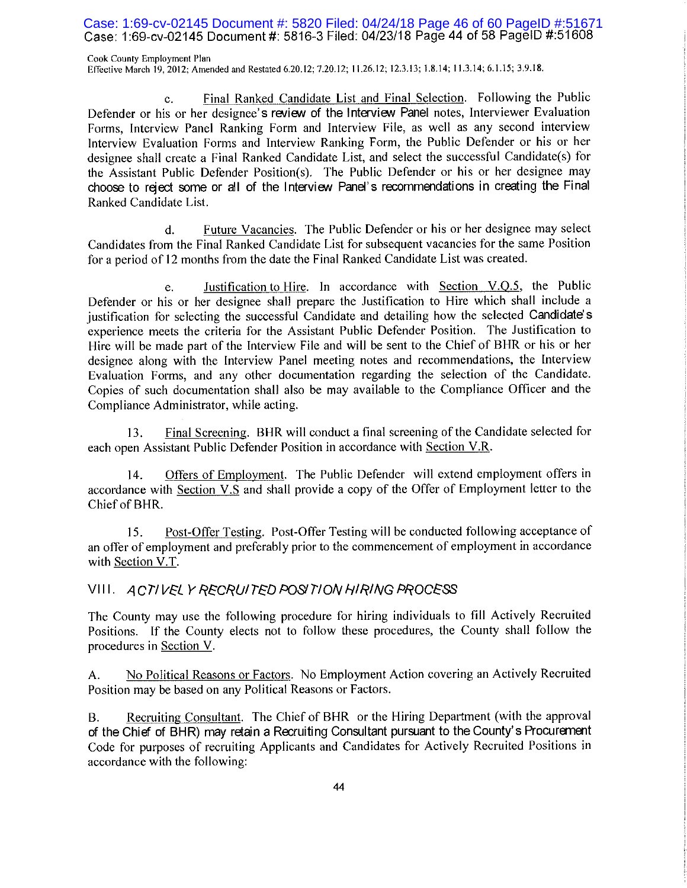## Case: 1:69-cv-02145 Document #: 5820 Filed: 04/24/18 Page 46 of 60 PageID #:51671 Case: 1:69-cv-02145 Document #: 5816-3 Filed: 04/23/18 Page 44 of 58 PageID #:51608

Cook County Employment Plan Effective March 19, 2012; Amended and Restated 6.20.12; 7.20.12; 11.26.12; 12.3.13; 1.8.14; 11.3.14; 6.1.15; 3.9.18.

Final Ranked Candidate List and Final Selection. Following the Public  $\mathbf{c}$ . Defender or his or her designee's review of the Interview Panel notes, Interviewer Evaluation Forms, Interview Panel Ranking Form and Interview File, as well as any second interview Interview Evaluation Forms and Interview Ranking Form, the Public Defender or his or her designee shall create a Final Ranked Candidate List, and select the successful Candidate(s) for the Assistant Public Defender Position(s). The Public Defender or his or her designee may choose to reject some or all of the Interview Panel's recommendations in creating the Final Ranked Candidate List.

Future Vacancies. The Public Defender or his or her designee may select d. Candidates from the Final Ranked Candidate List for subsequent vacancies for the same Position for a period of 12 months from the date the Final Ranked Candidate List was created.

Justification to Hire. In accordance with Section  $V.Q.5$ , the Public e. Defender or his or her designee shall prepare the Justification to Hire which shall include a justification for selecting the successful Candidate and detailing how the selected Candidate's experience meets the criteria for the Assistant Public Defender Position. The Justification to Hire will be made part of the Interview File and will be sent to the Chief of BHR or his or her designee along with the Interview Panel meeting notes and recommendations, the Interview Evaluation Forms, and any other documentation regarding the selection of the Candidate. Copies of such documentation shall also be may available to the Compliance Officer and the Compliance Administrator, while acting.

Final Screening. BHR will conduct a final screening of the Candidate selected for 13. each open Assistant Public Defender Position in accordance with Section V.R.

 $14.$ Offers of Employment. The Public Defender will extend employment offers in accordance with Section V.S and shall provide a copy of the Offer of Employment letter to the Chief of BHR.

Post-Offer Testing. Post-Offer Testing will be conducted following acceptance of 15. an offer of employment and preferably prior to the commencement of employment in accordance with Section V.T.

## VIII. ACTIVELY RECRUITED POSITION HIRING PROCESS

The County may use the following procedure for hiring individuals to fill Actively Recruited Positions. If the County elects not to follow these procedures, the County shall follow the procedures in Section V.

No Political Reasons or Factors. No Employment Action covering an Actively Recruited  $A<sub>r</sub>$ Position may be based on any Political Reasons or Factors.

Recruiting Consultant. The Chief of BHR or the Hiring Department (with the approval **B.** of the Chief of BHR) may retain a Recruiting Consultant pursuant to the County's Procurement Code for purposes of recruiting Applicants and Candidates for Actively Recruited Positions in accordance with the following: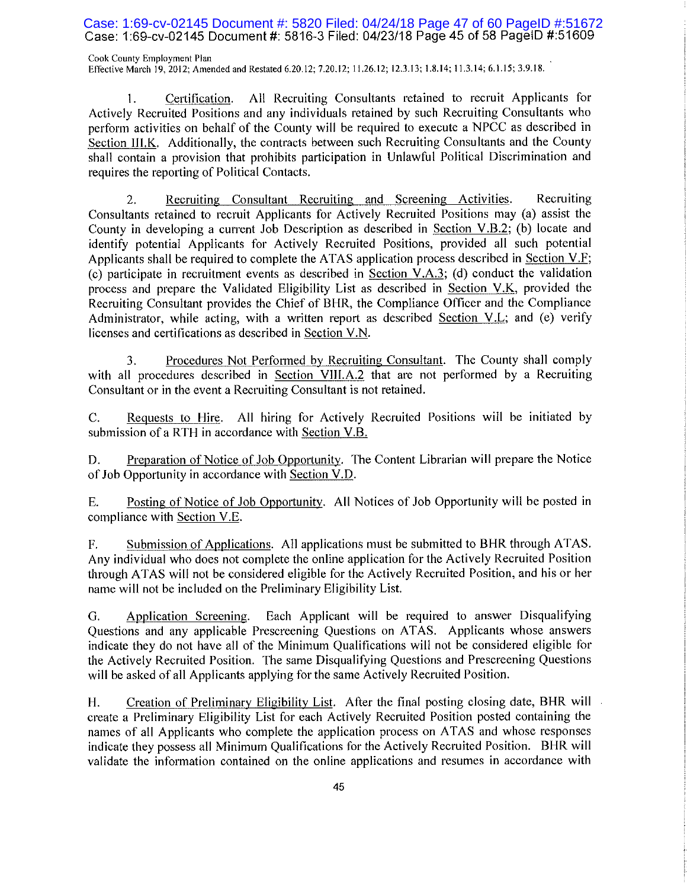Case: 1:69-cv-02145 Document #: 5820 Filed: 04/24/18 Page 47 of 60 PageID #:51672 Case: 1:69-cv-02145 Document #: 5816-3 Filed: 04/23/18 Page 45 of 58 PageID #:51609

Cook County Employment Plan Effective March 19, 2012; Amended and Restated 6.20.12; 7.20.12; 11.26.12; 12.3.13; 1.8.14; 11.3.14; 6.1.15; 3.9.18.

All Recruiting Consultants retained to recruit Applicants for Certification. 1. Actively Recruited Positions and any individuals retained by such Recruiting Consultants who perform activities on behalf of the County will be required to execute a NPCC as described in Section III.K. Additionally, the contracts between such Recruiting Consultants and the County shall contain a provision that prohibits participation in Unlawful Political Discrimination and requires the reporting of Political Contacts.

Recruiting 2. Recruiting Consultant Recruiting and Screening Activities. Consultants retained to recruit Applicants for Actively Recruited Positions may (a) assist the County in developing a current Job Description as described in <u>Section V.B.2</u>; (b) locate and identify potential Applicants for Actively Recruited Positions, provided all such potential Applicants shall be required to complete the ATAS application process described in Section V.F; (c) participate in recruitment events as described in Section V.A.3; (d) conduct the validation process and prepare the Validated Eligibility List as described in Section V.K, provided the Recruiting Consultant provides the Chief of BHR, the Compliance Officer and the Compliance Administrator, while acting, with a written report as described Section V.L; and (e) verify licenses and certifications as described in Section V.N.

Procedures Not Performed by Recruiting Consultant. The County shall comply 3. with all procedures described in Section VIII.A.2 that are not performed by a Recruiting Consultant or in the event a Recruiting Consultant is not retained.

 $C_{\cdot}$ Requests to Hire. All hiring for Actively Recruited Positions will be initiated by submission of a RTH in accordance with Section V.B.

Preparation of Notice of Job Opportunity. The Content Librarian will prepare the Notice D. of Job Opportunity in accordance with Section V.D.

Posting of Notice of Job Opportunity. All Notices of Job Opportunity will be posted in Ε. compliance with Section V.E.

Submission of Applications. All applications must be submitted to BHR through ATAS. F. Any individual who does not complete the online application for the Actively Recruited Position through ATAS will not be considered eligible for the Actively Recruited Position, and his or her name will not be included on the Preliminary Eligibility List.

Each Applicant will be required to answer Disqualifying G. Application Screening. Questions and any applicable Prescreening Questions on ATAS. Applicants whose answers indicate they do not have all of the Minimum Qualifications will not be considered eligible for the Actively Recruited Position. The same Disqualifying Questions and Prescreening Questions will be asked of all Applicants applying for the same Actively Recruited Position.

H. Creation of Preliminary Eligibility List. After the final posting closing date, BHR will create a Preliminary Eligibility List for each Actively Recruited Position posted containing the names of all Applicants who complete the application process on ATAS and whose responses indicate they possess all Minimum Qualifications for the Actively Recruited Position. BHR will validate the information contained on the online applications and resumes in accordance with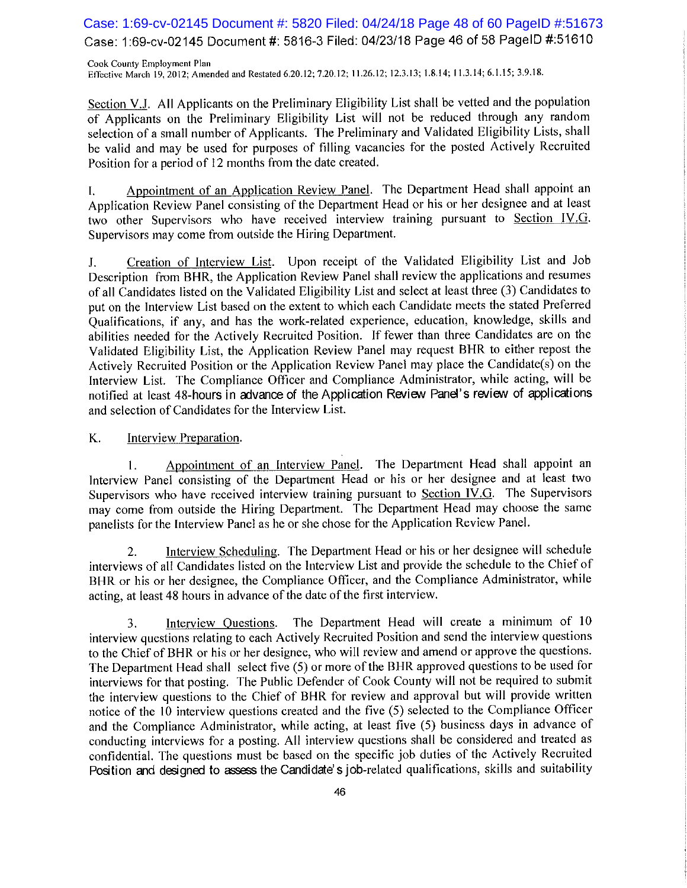## Case: 1:69-cv-02145 Document #: 5820 Filed: 04/24/18 Page 48 of 60 PageID #:51673 Case: 1:69-cv-02145 Document #: 5816-3 Filed: 04/23/18 Page 46 of 58 PageID #:51610

Cook County Employment Plan Effective March 19, 2012; Amended and Restated 6.20.12; 7.20.12; 11.26.12; 12.3.13; 1.8.14; 11.3.14; 6.1.15; 3.9.18.

Section V.J. All Applicants on the Preliminary Eligibility List shall be vetted and the population of Applicants on the Preliminary Eligibility List will not be reduced through any random selection of a small number of Applicants. The Preliminary and Validated Eligibility Lists, shall be valid and may be used for purposes of filling vacancies for the posted Actively Recruited Position for a period of 12 months from the date created.

Appointment of an Application Review Panel. The Department Head shall appoint an  $\mathbf{I}$ . Application Review Panel consisting of the Department Head or his or her designee and at least two other Supervisors who have received interview training pursuant to Section IV.G. Supervisors may come from outside the Hiring Department.

Creation of Interview List. Upon receipt of the Validated Eligibility List and Job J. Description from BHR, the Application Review Panel shall review the applications and resumes of all Candidates listed on the Validated Eligibility List and select at least three (3) Candidates to put on the Interview List based on the extent to which each Candidate meets the stated Preferred Qualifications, if any, and has the work-related experience, education, knowledge, skills and abilities needed for the Actively Recruited Position. If fewer than three Candidates are on the Validated Eligibility List, the Application Review Panel may request BHR to either repost the Actively Recruited Position or the Application Review Panel may place the Candidate(s) on the Interview List. The Compliance Officer and Compliance Administrator, while acting, will be notified at least 48-hours in advance of the Application Review Panel's review of applications and selection of Candidates for the Interview List.

#### K. Interview Preparation.

Appointment of an Interview Panel. The Department Head shall appoint an 1. Interview Panel consisting of the Department Head or his or her designee and at least two Supervisors who have received interview training pursuant to Section IV.G. The Supervisors may come from outside the Hiring Department. The Department Head may choose the same panelists for the Interview Panel as he or she chose for the Application Review Panel.

Interview Scheduling. The Department Head or his or her designee will schedule  $2.$ interviews of all Candidates listed on the Interview List and provide the schedule to the Chief of BHR or his or her designee, the Compliance Officer, and the Compliance Administrator, while acting, at least 48 hours in advance of the date of the first interview.

3. Interview Questions. The Department Head will create a minimum of 10 interview questions relating to each Actively Recruited Position and send the interview questions to the Chief of BHR or his or her designee, who will review and amend or approve the questions. The Department Head shall select five (5) or more of the BHR approved questions to be used for interviews for that posting. The Public Defender of Cook County will not be required to submit the interview questions to the Chief of BHR for review and approval but will provide written notice of the 10 interview questions created and the five (5) selected to the Compliance Officer and the Compliance Administrator, while acting, at least five (5) business days in advance of conducting interviews for a posting. All interview questions shall be considered and treated as confidential. The questions must be based on the specific job duties of the Actively Recruited Position and designed to assess the Candidate's job-related qualifications, skills and suitability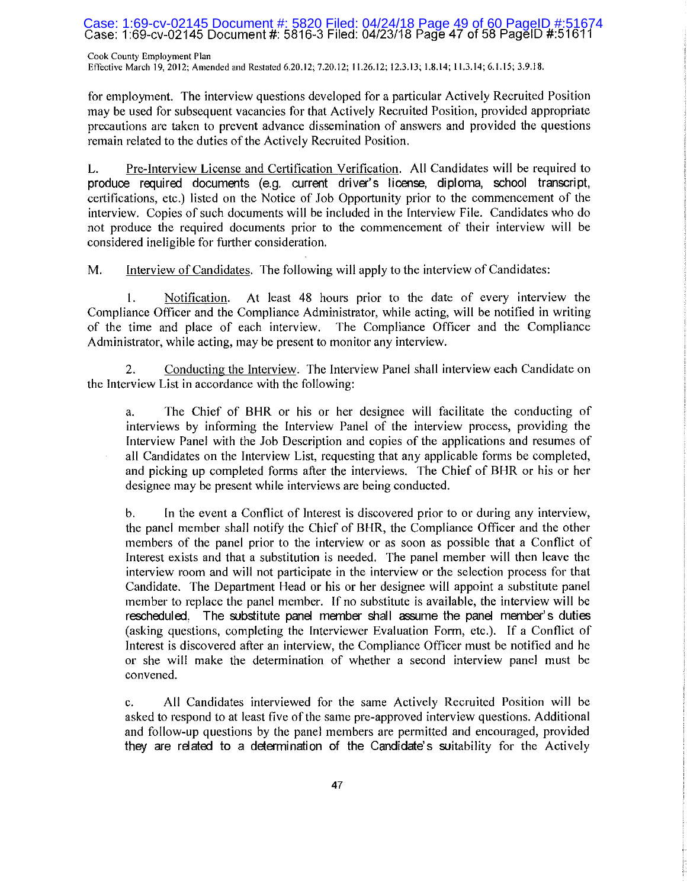## Case: 1:69-cv-02145 Document #: 5820 Filed: 04/24/18 Page 49 of 60 PageID #:5167<br>Case: 1:69-cv-02145 Document #: 5816-3 Filed: 04/23/18 Page 47 of 58 PageID #:51611

Cook County Employment Plan Effective March 19, 2012; Amended and Restated 6.20.12; 7.20.12; 11.26.12; 12.3.13; 1.8.14; 11.3.14; 6.1.15; 3.9.18.

for employment. The interview questions developed for a particular Actively Recruited Position may be used for subsequent vacancies for that Actively Recruited Position, provided appropriate precautions are taken to prevent advance dissemination of answers and provided the questions remain related to the duties of the Actively Recruited Position.

Pre-Interview License and Certification Verification. All Candidates will be required to L. produce required documents (e.g. current driver's license, diploma, school transcript, certifications, etc.) listed on the Notice of Job Opportunity prior to the commencement of the interview. Copies of such documents will be included in the Interview File. Candidates who do not produce the required documents prior to the commencement of their interview will be considered ineligible for further consideration.

M. Interview of Candidates. The following will apply to the interview of Candidates:

1. Notification. At least 48 hours prior to the date of every interview the Compliance Officer and the Compliance Administrator, while acting, will be notified in writing of the time and place of each interview. The Compliance Officer and the Compliance Administrator, while acting, may be present to monitor any interview.

2. Conducting the Interview. The Interview Panel shall interview each Candidate on the Interview List in accordance with the following:

a. The Chief of BHR or his or her designee will facilitate the conducting of interviews by informing the Interview Panel of the interview process, providing the Interview Panel with the Job Description and copies of the applications and resumes of all Candidates on the Interview List, requesting that any applicable forms be completed, and picking up completed forms after the interviews. The Chief of BHR or his or her designee may be present while interviews are being conducted.

b. In the event a Conflict of Interest is discovered prior to or during any interview, the panel member shall notify the Chief of BHR, the Compliance Officer and the other members of the panel prior to the interview or as soon as possible that a Conflict of Interest exists and that a substitution is needed. The panel member will then leave the interview room and will not participate in the interview or the selection process for that Candidate. The Department Head or his or her designee will appoint a substitute panel member to replace the panel member. If no substitute is available, the interview will be rescheduled. The substitute panel member shall assume the panel member's duties (asking questions, completing the Interviewer Evaluation Form, etc.). If a Conflict of Interest is discovered after an interview, the Compliance Officer must be notified and he or she will make the determination of whether a second interview panel must be convened.

c. All Candidates interviewed for the same Actively Recruited Position will be asked to respond to at least five of the same pre-approved interview questions. Additional and follow-up questions by the panel members are permitted and encouraged, provided they are related to a determination of the Candidate's suitability for the Actively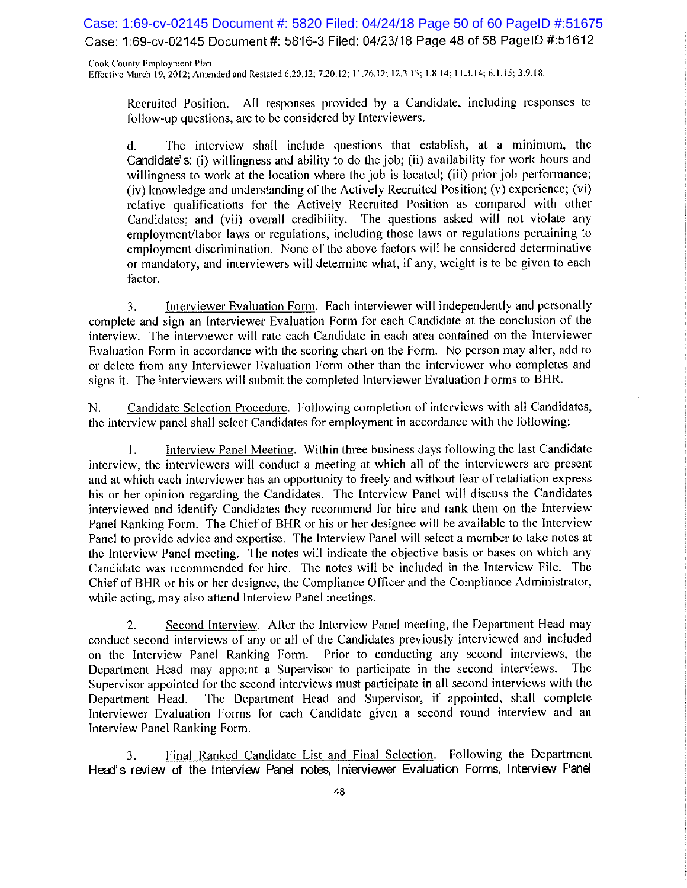Case: 1:69-cv-02145 Document #: 5820 Filed: 04/24/18 Page 50 of 60 PageID #:51675 Case: 1:69-cv-02145 Document #: 5816-3 Filed: 04/23/18 Page 48 of 58 PageID #:51612

Cook County Employment Plan Effective March 19, 2012; Amended and Restated 6.20.12; 7.20.12; 11.26.12; 12.3.13; 1.8.14; 11.3.14; 6.1.15; 3.9.18.

Recruited Position. All responses provided by a Candidate, including responses to follow-up questions, are to be considered by Interviewers.

The interview shall include questions that establish, at a minimum, the  $\mathsf{d}$ . Candidate's: (i) willingness and ability to do the job; (ii) availability for work hours and willingness to work at the location where the job is located; (iii) prior job performance; (iv) knowledge and understanding of the Actively Recruited Position; (v) experience; (vi) relative qualifications for the Actively Recruited Position as compared with other Candidates; and (vii) overall credibility. The questions asked will not violate any employment/labor laws or regulations, including those laws or regulations pertaining to employment discrimination. None of the above factors will be considered determinative or mandatory, and interviewers will determine what, if any, weight is to be given to each factor.

3. Interviewer Evaluation Form. Each interviewer will independently and personally complete and sign an Interviewer Evaluation Form for each Candidate at the conclusion of the interview. The interviewer will rate each Candidate in each area contained on the Interviewer Evaluation Form in accordance with the scoring chart on the Form. No person may alter, add to or delete from any Interviewer Evaluation Form other than the interviewer who completes and signs it. The interviewers will submit the completed Interviewer Evaluation Forms to BHR.

Candidate Selection Procedure. Following completion of interviews with all Candidates, N. the interview panel shall select Candidates for employment in accordance with the following:

Interview Panel Meeting. Within three business days following the last Candidate  $1<sub>1</sub>$ interview, the interviewers will conduct a meeting at which all of the interviewers are present and at which each interviewer has an opportunity to freely and without fear of retaliation express his or her opinion regarding the Candidates. The Interview Panel will discuss the Candidates interviewed and identify Candidates they recommend for hire and rank them on the Interview Panel Ranking Form. The Chief of BHR or his or her designee will be available to the Interview Panel to provide advice and expertise. The Interview Panel will select a member to take notes at the Interview Panel meeting. The notes will indicate the objective basis or bases on which any Candidate was recommended for hire. The notes will be included in the Interview File. The Chief of BHR or his or her designee, the Compliance Officer and the Compliance Administrator, while acting, may also attend Interview Panel meetings.

Second Interview. After the Interview Panel meeting, the Department Head may 2. conduct second interviews of any or all of the Candidates previously interviewed and included on the Interview Panel Ranking Form. Prior to conducting any second interviews, the Department Head may appoint a Supervisor to participate in the second interviews. The Supervisor appointed for the second interviews must participate in all second interviews with the The Department Head and Supervisor, if appointed, shall complete Department Head. Interviewer Evaluation Forms for each Candidate given a second round interview and an Interview Panel Ranking Form.

Final Ranked Candidate List and Final Selection. Following the Department 3. Head's review of the Interview Panel notes, Interviewer Evaluation Forms, Interview Panel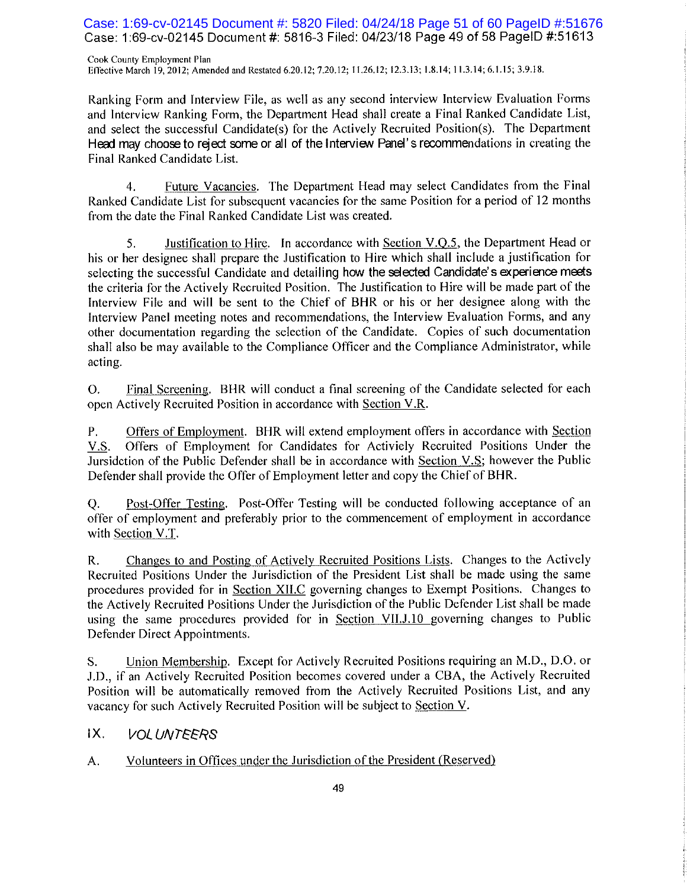Case: 1:69-cv-02145 Document #: 5820 Filed: 04/24/18 Page 51 of 60 PageID #:51676 Case: 1:69-cv-02145 Document #: 5816-3 Filed: 04/23/18 Page 49 of 58 PageID #:51613

Cook County Employment Plan Effective March 19, 2012; Amended and Restated 6.20.12; 7.20.12; 11.26.12; 12.3.13; 1.8.14; 11.3.14; 6.1.15; 3.9.18.

Ranking Form and Interview File, as well as any second interview Interview Evaluation Forms and Interview Ranking Form, the Department Head shall create a Final Ranked Candidate List, and select the successful Candidate(s) for the Actively Recruited Position(s). The Department Head may choose to reject some or all of the Interview Panel's recommendations in creating the Final Ranked Candidate List.

Future Vacancies. The Department Head may select Candidates from the Final 4. Ranked Candidate List for subsequent vacancies for the same Position for a period of 12 months from the date the Final Ranked Candidate List was created.

Justification to Hire. In accordance with Section V.O.5, the Department Head or 5. his or her designee shall prepare the Justification to Hire which shall include a justification for selecting the successful Candidate and detailing how the selected Candidate's experience meets the criteria for the Actively Recruited Position. The Justification to Hire will be made part of the Interview File and will be sent to the Chief of BHR or his or her designee along with the Interview Panel meeting notes and recommendations, the Interview Evaluation Forms, and any other documentation regarding the selection of the Candidate. Copies of such documentation shall also be may available to the Compliance Officer and the Compliance Administrator, while acting.

Final Screening. BHR will conduct a final screening of the Candidate selected for each O. open Actively Recruited Position in accordance with Section V.R.

Offers of Employment. BHR will extend employment offers in accordance with Section Ρ. Offers of Employment for Candidates for Activiely Recruited Positions Under the  $V.S.$ Jursidetion of the Public Defender shall be in accordance with Section V.S; however the Public Defender shall provide the Offer of Employment letter and copy the Chief of BHR.

Post-Offer Testing. Post-Offer Testing will be conducted following acceptance of an Q. offer of employment and preferably prior to the commencement of employment in accordance with Section V.T.

Changes to and Posting of Actively Recruited Positions Lists. Changes to the Actively  $R_{\star}$ Recruited Positions Under the Jurisdiction of the President List shall be made using the same procedures provided for in Section XII.C governing changes to Exempt Positions. Changes to the Actively Recruited Positions Under the Jurisdiction of the Public Defender List shall be made using the same procedures provided for in Section VII.J.10 governing changes to Public Defender Direct Appointments.

Union Membership. Except for Actively Recruited Positions requiring an M.D., D.O. or S. J.D., if an Actively Recruited Position becomes covered under a CBA, the Actively Recruited Position will be automatically removed from the Actively Recruited Positions List, and any vacancy for such Actively Recruited Position will be subject to Section V.

#### IХ. VOLUNTEERS

Volunteers in Offices under the Jurisdiction of the President (Reserved) A.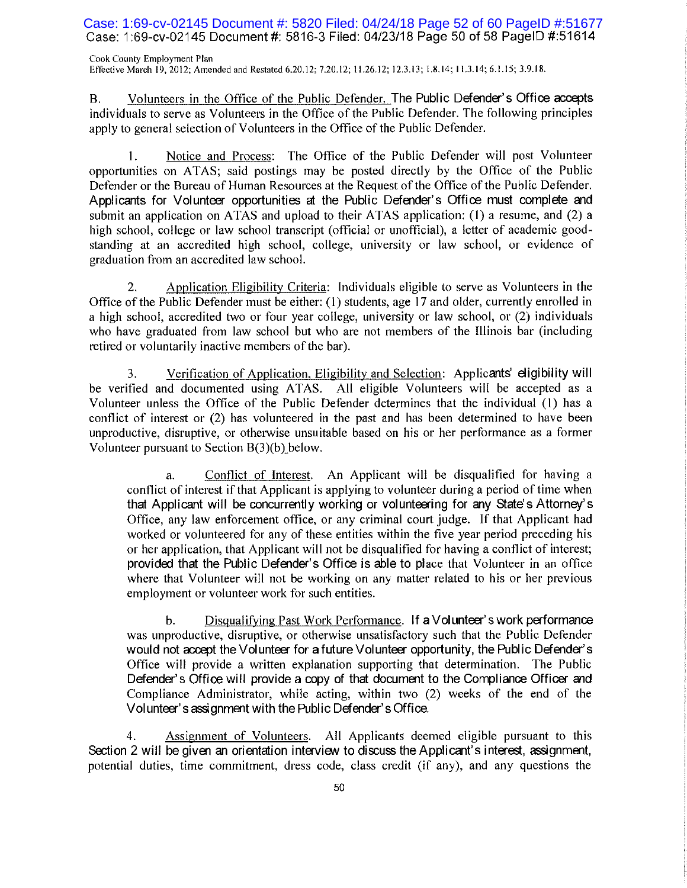Case: 1:69-cv-02145 Document #: 5820 Filed: 04/24/18 Page 52 of 60 PageID #:51677 Case: 1:69-cv-02145 Document #: 5816-3 Filed: 04/23/18 Page 50 of 58 PageID #:51614

Cook County Employment Plan Effective March 19, 2012; Amended and Restated 6.20.12; 7.20.12; 11.26.12; 12.3.13; 1.8.14; 11.3.14; 6.1.15; 3.9.18.

Volunteers in the Office of the Public Defender. The Public Defender's Office accepts В. individuals to serve as Volunteers in the Office of the Public Defender. The following principles apply to general selection of Volunteers in the Office of the Public Defender.

Notice and Process: The Office of the Public Defender will post Volunteer  $1.$ opportunities on ATAS; said postings may be posted directly by the Office of the Public Defender or the Bureau of Human Resources at the Request of the Office of the Public Defender. Applicants for Volunteer opportunities at the Public Defender's Office must complete and submit an application on ATAS and upload to their ATAS application: (1) a resume, and (2) a high school, college or law school transcript (official or unofficial), a letter of academic goodstanding at an accredited high school, college, university or law school, or evidence of graduation from an accredited law school.

Application Eligibility Criteria: Individuals eligible to serve as Volunteers in the  $2.$ Office of the Public Defender must be either: (1) students, age 17 and older, currently enrolled in a high school, accredited two or four year college, university or law school, or (2) individuals who have graduated from law school but who are not members of the Illinois bar (including retired or voluntarily inactive members of the bar).

3. Verification of Application, Eligibility and Selection: Applicants' eligibility will be verified and documented using ATAS. All eligible Volunteers will be accepted as a Volunteer unless the Office of the Public Defender determines that the individual (1) has a conflict of interest or (2) has volunteered in the past and has been determined to have been unproductive, disruptive, or otherwise unsuitable based on his or her performance as a former Volunteer pursuant to Section  $B(3)(b)$  below.

Conflict of Interest. An Applicant will be disqualified for having a  $\mathbf{a}$ . conflict of interest if that Applicant is applying to volunteer during a period of time when that Applicant will be concurrently working or volunteering for any State's Attorney's Office, any law enforcement office, or any criminal court judge. If that Applicant had worked or volunteered for any of these entities within the five year period preceding his or her application, that Applicant will not be disqualified for having a conflict of interest; provided that the Public Defender's Office is able to place that Volunteer in an office where that Volunteer will not be working on any matter related to his or her previous employment or volunteer work for such entities.

Disqualifying Past Work Performance. If a Volunteer's work performance  $\mathbf b$ . was unproductive, disruptive, or otherwise unsatisfactory such that the Public Defender would not accept the Volunteer for a future Volunteer opportunity, the Public Defender's Office will provide a written explanation supporting that determination. The Public Defender's Office will provide a copy of that document to the Compliance Officer and Compliance Administrator, while acting, within two (2) weeks of the end of the Volunteer's assignment with the Public Defender's Office.

Assignment of Volunteers. All Applicants deemed eligible pursuant to this 4. Section 2 will be given an orientation interview to discuss the Applicant's interest, assignment, potential duties, time commitment, dress code, class credit (if any), and any questions the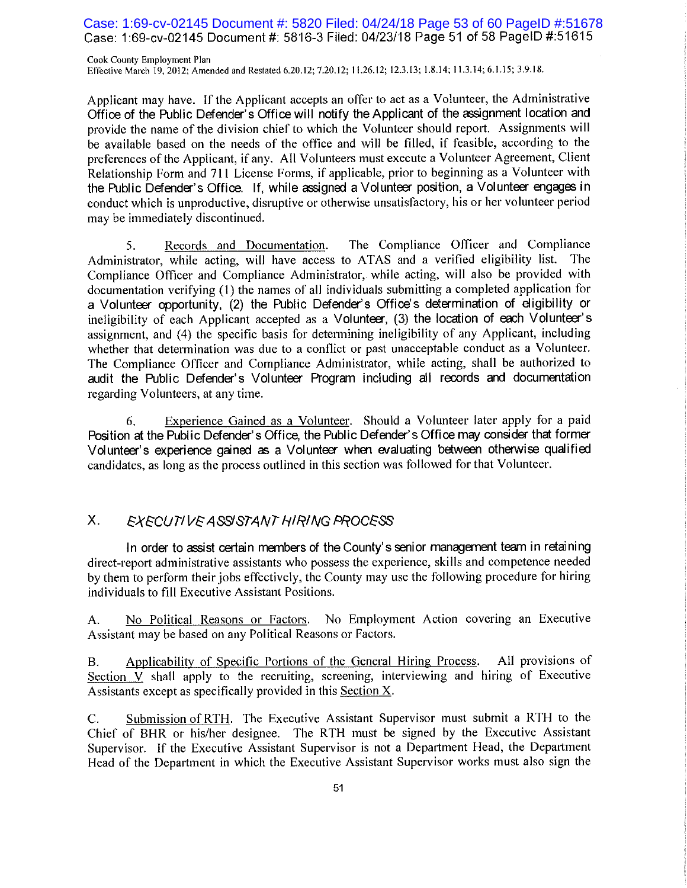## Case: 1:69-cv-02145 Document #: 5820 Filed: 04/24/18 Page 53 of 60 PageID #:51678 Case: 1:69-cv-02145 Document #: 5816-3 Filed: 04/23/18 Page 51 of 58 PageID #:51615

Cook County Employment Plan Effective March 19, 2012; Amended and Restated 6.20.12; 7.20.12; 11.26.12; 12.3.13; 1.8.14; 11.3.14; 6.1.15; 3.9.18.

Applicant may have. If the Applicant accepts an offer to act as a Volunteer, the Administrative Office of the Public Defender's Office will notify the Applicant of the assignment location and provide the name of the division chief to which the Volunteer should report. Assignments will be available based on the needs of the office and will be filled, if feasible, according to the preferences of the Applicant, if any. All Volunteers must execute a Volunteer Agreement, Client Relationship Form and 711 License Forms, if applicable, prior to beginning as a Volunteer with the Public Defender's Office. If, while assigned a Volunteer position, a Volunteer engages in conduct which is unproductive, disruptive or otherwise unsatisfactory, his or her volunteer period may be immediately discontinued.

The Compliance Officer and Compliance 5. Records and Documentation. Administrator, while acting, will have access to ATAS and a verified eligibility list. The Compliance Officer and Compliance Administrator, while acting, will also be provided with documentation verifying (1) the names of all individuals submitting a completed application for a Volunteer opportunity. (2) the Public Defender's Office's determination of eligibility or ineligibility of each Applicant accepted as a Volunteer, (3) the location of each Volunteer's assignment, and (4) the specific basis for determining ineligibility of any Applicant, including whether that determination was due to a conflict or past unacceptable conduct as a Volunteer. The Compliance Officer and Compliance Administrator, while acting, shall be authorized to audit the Public Defender's Volunteer Program including all records and documentation regarding Volunteers, at any time.

Experience Gained as a Volunteer. Should a Volunteer later apply for a paid 6. Position at the Public Defender's Office, the Public Defender's Office may consider that former Volunteer's experience gained as a Volunteer when evaluating between otherwise qualified candidates, as long as the process outlined in this section was followed for that Volunteer.

#### $X_{-}$ EXECUTIVE ASSISTANT HIRING PROCESS

In order to assist certain members of the County's senior management team in retaining direct-report administrative assistants who possess the experience, skills and competence needed by them to perform their jobs effectively, the County may use the following procedure for hiring individuals to fill Executive Assistant Positions.

No Political Reasons or Factors. No Employment Action covering an Executive A. Assistant may be based on any Political Reasons or Factors.

Applicability of Specific Portions of the General Hiring Process. All provisions of **B.** Section V shall apply to the recruiting, screening, interviewing and hiring of Executive Assistants except as specifically provided in this Section  $X$ .

Submission of RTH. The Executive Assistant Supervisor must submit a RTH to the  $C_{\cdot}$ Chief of BHR or his/her designee. The RTH must be signed by the Executive Assistant Supervisor. If the Executive Assistant Supervisor is not a Department Head, the Department Head of the Department in which the Executive Assistant Supervisor works must also sign the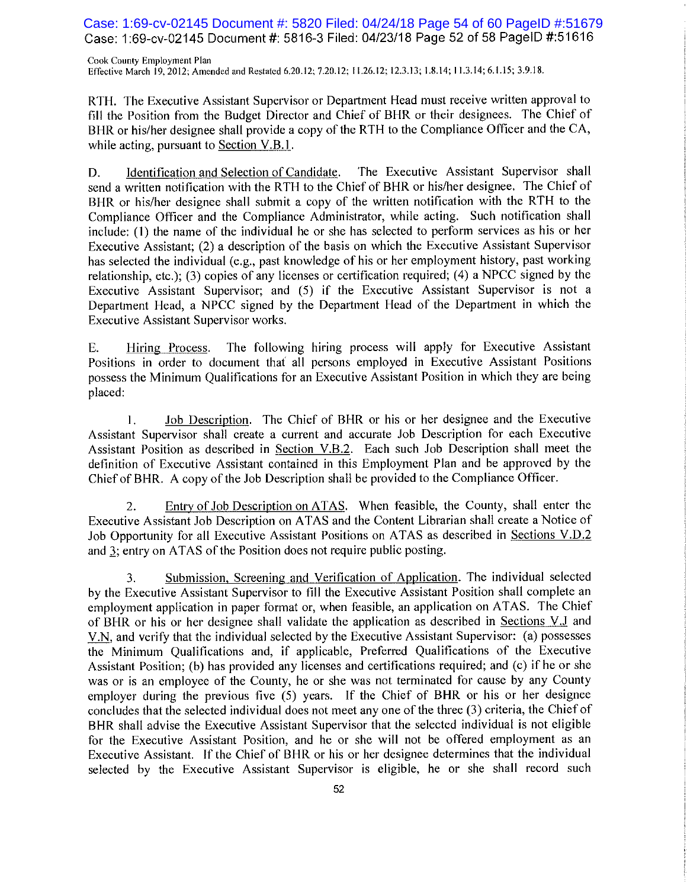Case: 1:69-cv-02145 Document #: 5820 Filed: 04/24/18 Page 54 of 60 PageID #:51679 Case: 1:69-cv-02145 Document #: 5816-3 Filed: 04/23/18 Page 52 of 58 PageID #:51616

Cook County Employment Plan Effective March 19, 2012; Amended and Restated 6.20.12; 7.20.12; 11.26.12; 12.3.13; 1.8.14; 11.3.14; 6.1.15; 3.9.18.

RTH. The Executive Assistant Supervisor or Department Head must receive written approval to fill the Position from the Budget Director and Chief of BHR or their designees. The Chief of BHR or his/her designee shall provide a copy of the RTH to the Compliance Officer and the CA, while acting, pursuant to Section V.B.1.

D. Identification and Selection of Candidate. The Executive Assistant Supervisor shall send a written notification with the RTH to the Chief of BHR or his/her designee. The Chief of BHR or his/her designee shall submit a copy of the written notification with the RTH to the Compliance Officer and the Compliance Administrator, while acting. Such notification shall include: (1) the name of the individual he or she has selected to perform services as his or her Executive Assistant; (2) a description of the basis on which the Executive Assistant Supervisor has selected the individual (e.g., past knowledge of his or her employment history, past working relationship, etc.); (3) copies of any licenses or certification required; (4) a NPCC signed by the Executive Assistant Supervisor; and (5) if the Executive Assistant Supervisor is not a Department Head, a NPCC signed by the Department Head of the Department in which the Executive Assistant Supervisor works.

The following hiring process will apply for Executive Assistant Hiring Process. E. Positions in order to document that all persons employed in Executive Assistant Positions possess the Minimum Qualifications for an Executive Assistant Position in which they are being placed:

Job Description. The Chief of BHR or his or her designee and the Executive 1. Assistant Supervisor shall create a current and accurate Job Description for each Executive Assistant Position as described in Section V.B.2. Each such Job Description shall meet the definition of Executive Assistant contained in this Employment Plan and be approved by the Chief of BHR. A copy of the Job Description shall be provided to the Compliance Officer.

Entry of Job Description on ATAS. When feasible, the County, shall enter the 2. Executive Assistant Job Description on ATAS and the Content Librarian shall create a Notice of Job Opportunity for all Executive Assistant Positions on ATAS as described in Sections V.D.2 and 3; entry on ATAS of the Position does not require public posting.

Submission, Screening and Verification of Application. The individual selected 3. by the Executive Assistant Supervisor to fill the Executive Assistant Position shall complete an employment application in paper format or, when feasible, an application on ATAS. The Chief of BHR or his or her designee shall validate the application as described in Sections V.J and V.N, and verify that the individual selected by the Executive Assistant Supervisor: (a) possesses the Minimum Qualifications and, if applicable, Preferred Qualifications of the Executive Assistant Position; (b) has provided any licenses and certifications required; and (c) if he or she was or is an employee of the County, he or she was not terminated for cause by any County employer during the previous five (5) years. If the Chief of BHR or his or her designee concludes that the selected individual does not meet any one of the three (3) criteria, the Chief of BHR shall advise the Executive Assistant Supervisor that the selected individual is not eligible for the Executive Assistant Position, and he or she will not be offered employment as an Executive Assistant. If the Chief of BHR or his or her designee determines that the individual selected by the Executive Assistant Supervisor is eligible, he or she shall record such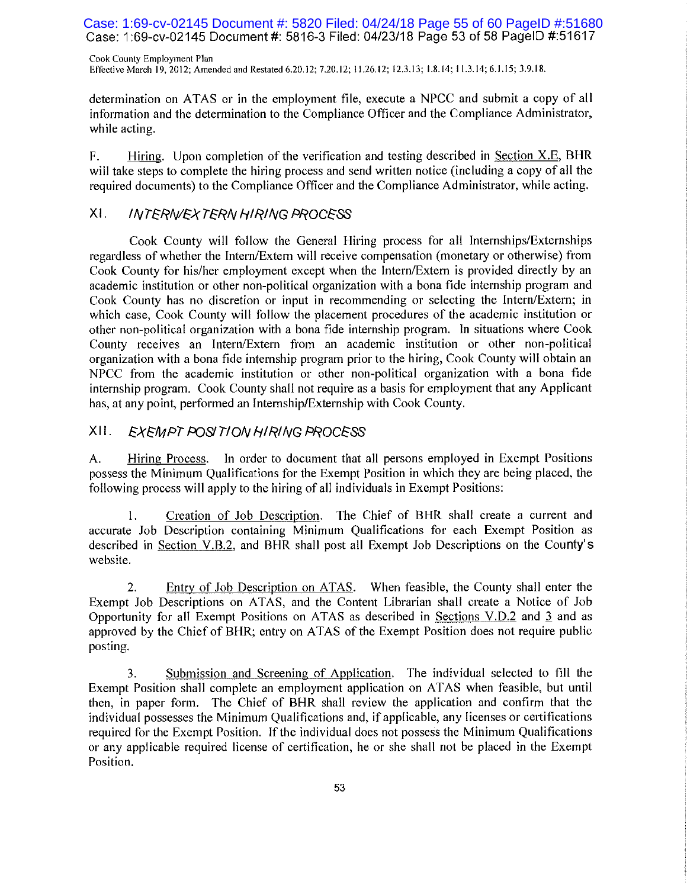Case: 1:69-cv-02145 Document #: 5820 Filed: 04/24/18 Page 55 of 60 PageID #:51680 Case: 1:69-cv-02145 Document #: 5816-3 Filed: 04/23/18 Page 53 of 58 PageID #:51617

Cook County Employment Plan Effective March 19, 2012; Amended and Restated 6.20.12; 7.20.12; 11.26.12; 12.3.13; 1.8.14; 11.3.14; 6.1.15; 3.9.18.

determination on ATAS or in the employment file, execute a NPCC and submit a copy of all information and the determination to the Compliance Officer and the Compliance Administrator, while acting.

 $F_{\tau}$ Hiring. Upon completion of the verification and testing described in Section X.E., BHR will take steps to complete the hiring process and send written notice (including a copy of all the required documents) to the Compliance Officer and the Compliance Administrator, while acting.

#### $XL$ **INTERN/EXTERN HIRING PROCESS**

Cook County will follow the General Hiring process for all Internships/Externships regardless of whether the Intern/Extern will receive compensation (monetary or otherwise) from Cook County for his/her employment except when the Intern/Extern is provided directly by an academic institution or other non-political organization with a bona fide internship program and Cook County has no discretion or input in recommending or selecting the Intern/Extern; in which case, Cook County will follow the placement procedures of the academic institution or other non-political organization with a bona fide internship program. In situations where Cook County receives an Intern/Extern from an academic institution or other non-political organization with a bona fide internship program prior to the hiring, Cook County will obtain an NPCC from the academic institution or other non-political organization with a bona fide internship program. Cook County shall not require as a basis for employment that any Applicant has, at any point, performed an Internship/Externship with Cook County.

#### XII. EXEMPT POSITION HIRING PROCESS

A. Hiring Process. In order to document that all persons employed in Exempt Positions possess the Minimum Qualifications for the Exempt Position in which they are being placed, the following process will apply to the hiring of all individuals in Exempt Positions:

Creation of Job Description. The Chief of BHR shall create a current and accurate Job Description containing Minimum Qualifications for each Exempt Position as described in Section V.B.2, and BHR shall post all Exempt Job Descriptions on the County's website.

 $2.$ Entry of Job Description on ATAS. When feasible, the County shall enter the Exempt Job Descriptions on ATAS, and the Content Librarian shall create a Notice of Job Opportunity for all Exempt Positions on ATAS as described in Sections V.D.2 and 3 and as approved by the Chief of BHR; entry on ATAS of the Exempt Position does not require public posting.

3. Submission and Screening of Application. The individual selected to fill the Exempt Position shall complete an employment application on ATAS when feasible, but until then, in paper form. The Chief of BHR shall review the application and confirm that the individual possesses the Minimum Qualifications and, if applicable, any licenses or certifications required for the Exempt Position. If the individual does not possess the Minimum Qualifications or any applicable required license of certification, he or she shall not be placed in the Exempt Position.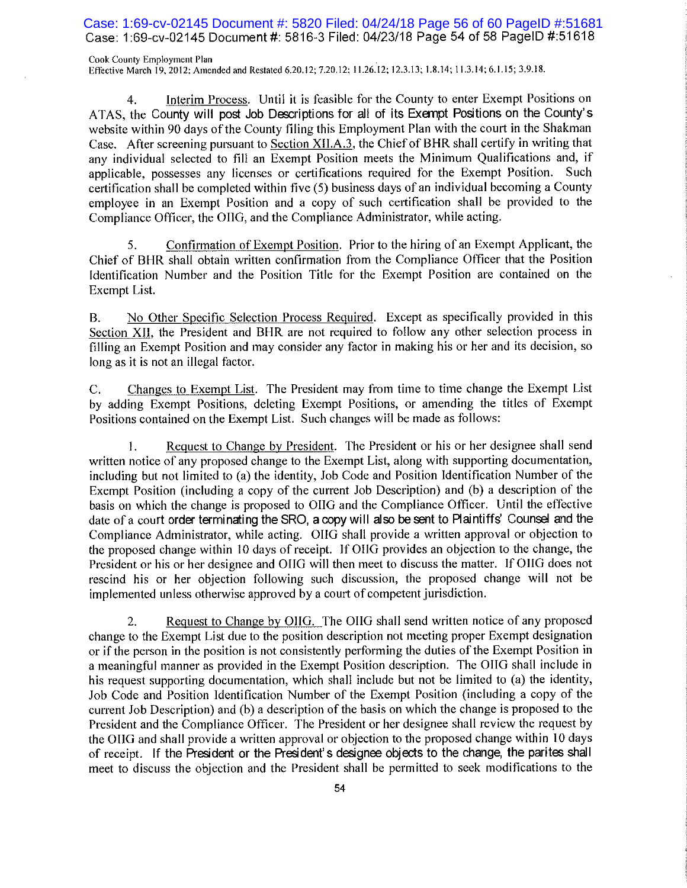Case: 1:69-cv-02145 Document #: 5820 Filed: 04/24/18 Page 56 of 60 PageID #:51681 Case: 1:69-cv-02145 Document #: 5816-3 Filed: 04/23/18 Page 54 of 58 PageID #:51618

Cook County Employment Plan Effective March 19, 2012; Amended and Restated 6.20.12; 7.20.12; 11.26.12; 12.3.13; 1.8.14; 11.3.14; 6.1.15; 3.9.18.

Interim Process. Until it is feasible for the County to enter Exempt Positions on 4. ATAS, the County will post Job Descriptions for all of its Exempt Positions on the County's website within 90 days of the County filing this Employment Plan with the court in the Shakman Case. After screening pursuant to Section XII.A.3, the Chief of BHR shall certify in writing that any individual selected to fill an Exempt Position meets the Minimum Qualifications and, if applicable, possesses any licenses or certifications required for the Exempt Position. Such certification shall be completed within five (5) business days of an individual becoming a County employee in an Exempt Position and a copy of such certification shall be provided to the Compliance Officer, the OIIG, and the Compliance Administrator, while acting.

Confirmation of Exempt Position. Prior to the hiring of an Exempt Applicant, the 5. Chief of BHR shall obtain written confirmation from the Compliance Officer that the Position Identification Number and the Position Title for the Exempt Position are contained on the Exempt List.

No Other Specific Selection Process Required. Except as specifically provided in this В. Section XII, the President and BHR are not required to follow any other selection process in filling an Exempt Position and may consider any factor in making his or her and its decision, so long as it is not an illegal factor.

 $C_{\cdot}$ Changes to Exempt List. The President may from time to time change the Exempt List by adding Exempt Positions, deleting Exempt Positions, or amending the titles of Exempt Positions contained on the Exempt List. Such changes will be made as follows:

Request to Change by President. The President or his or her designee shall send 1. written notice of any proposed change to the Exempt List, along with supporting documentation, including but not limited to (a) the identity, Job Code and Position Identification Number of the Exempt Position (including a copy of the current Job Description) and (b) a description of the basis on which the change is proposed to OIIG and the Compliance Officer. Until the effective date of a court order terminating the SRO, a copy will also be sent to Plaintiffs' Counsel and the Compliance Administrator, while acting. OHG shall provide a written approval or objection to the proposed change within 10 days of receipt. If OHG provides an objection to the change, the President or his or her designee and OIIG will then meet to discuss the matter. If OIIG does not rescind his or her objection following such discussion, the proposed change will not be implemented unless otherwise approved by a court of competent jurisdiction.

Request to Change by OIIG. The OIIG shall send written notice of any proposed 2. change to the Exempt List due to the position description not meeting proper Exempt designation or if the person in the position is not consistently performing the duties of the Exempt Position in a meaningful manner as provided in the Exempt Position description. The OIIG shall include in his request supporting documentation, which shall include but not be limited to (a) the identity, Job Code and Position Identification Number of the Exempt Position (including a copy of the current Job Description) and (b) a description of the basis on which the change is proposed to the President and the Compliance Officer. The President or her designee shall review the request by the OHG and shall provide a written approval or objection to the proposed change within 10 days of receipt. If the President or the President's designee objects to the change, the parites shall meet to discuss the objection and the President shall be permitted to seek modifications to the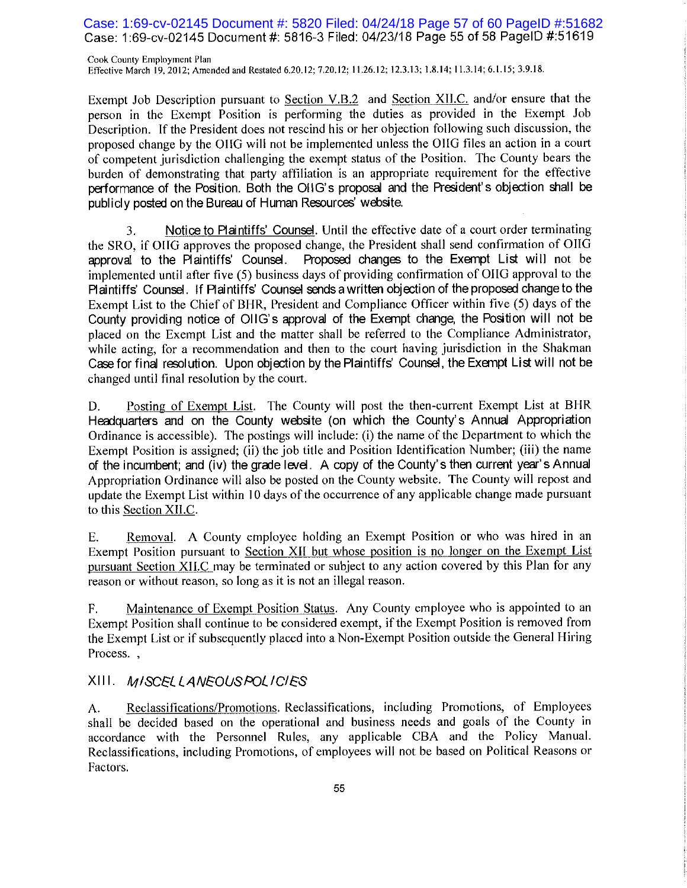## Case: 1:69-cv-02145 Document #: 5820 Filed: 04/24/18 Page 57 of 60 PageID #:51682 Case: 1:69-cv-02145 Document #: 5816-3 Filed: 04/23/18 Page 55 of 58 PageID #:51619

Cook County Employment Plan Effective March 19, 2012; Amended and Restated 6.20.12; 7.20.12; 11.26.12; 12.3.13; 1.8.14; 11.3.14; 6.1.15; 3.9.18.

Exempt Job Description pursuant to Section V.B.2 and Section XII.C. and/or ensure that the person in the Exempt Position is performing the duties as provided in the Exempt Job Description. If the President does not rescind his or her objection following such discussion, the proposed change by the OHG will not be implemented unless the OHG files an action in a court of competent jurisdiction challenging the exempt status of the Position. The County bears the burden of demonstrating that party affiliation is an appropriate requirement for the effective performance of the Position. Both the OHG's proposal and the President's objection shall be publicly posted on the Bureau of Human Resources' website.

Notice to Plaintiffs' Counsel. Until the effective date of a court order terminating 3. the SRO, if OIIG approves the proposed change, the President shall send confirmation of OIIG approval to the Plaintiffs' Counsel. Proposed changes to the Exempt List will not be implemented until after five (5) business days of providing confirmation of OIIG approval to the Plaintiffs' Counsel. If Plaintiffs' Counsel sends a written objection of the proposed change to the Exempt List to the Chief of BHR, President and Compliance Officer within five (5) days of the County providing notice of OIIG's approval of the Exempt change, the Position will not be placed on the Exempt List and the matter shall be referred to the Compliance Administrator, while acting, for a recommendation and then to the court having jurisdiction in the Shakman Case for final resolution. Upon objection by the Plaintiffs' Counsel, the Exempt List will not be changed until final resolution by the court.

D. Posting of Exempt List. The County will post the then-current Exempt List at BHR Headquarters and on the County website (on which the County's Annual Appropriation Ordinance is accessible). The postings will include: (i) the name of the Department to which the Exempt Position is assigned; (ii) the job title and Position Identification Number; (iii) the name of the incumbent; and (iv) the grade level. A copy of the County's then current year's Annual Appropriation Ordinance will also be posted on the County website. The County will repost and update the Exempt List within 10 days of the occurrence of any applicable change made pursuant to this Section XII.C.

Removal. A County employee holding an Exempt Position or who was hired in an Ε. Exempt Position pursuant to Section XII but whose position is no longer on the Exempt List pursuant Section XII.C may be terminated or subject to any action covered by this Plan for any reason or without reason, so long as it is not an illegal reason.

Maintenance of Exempt Position Status. Any County employee who is appointed to an F. Exempt Position shall continue to be considered exempt, if the Exempt Position is removed from the Exempt List or if subsequently placed into a Non-Exempt Position outside the General Hiring Process.,

## XIII. MISCELLANEOUSPOLICIES

Reclassifications/Promotions. Reclassifications, including Promotions, of Employees A. shall be decided based on the operational and business needs and goals of the County in accordance with the Personnel Rules, any applicable CBA and the Policy Manual. Reclassifications, including Promotions, of employees will not be based on Political Reasons or Factors.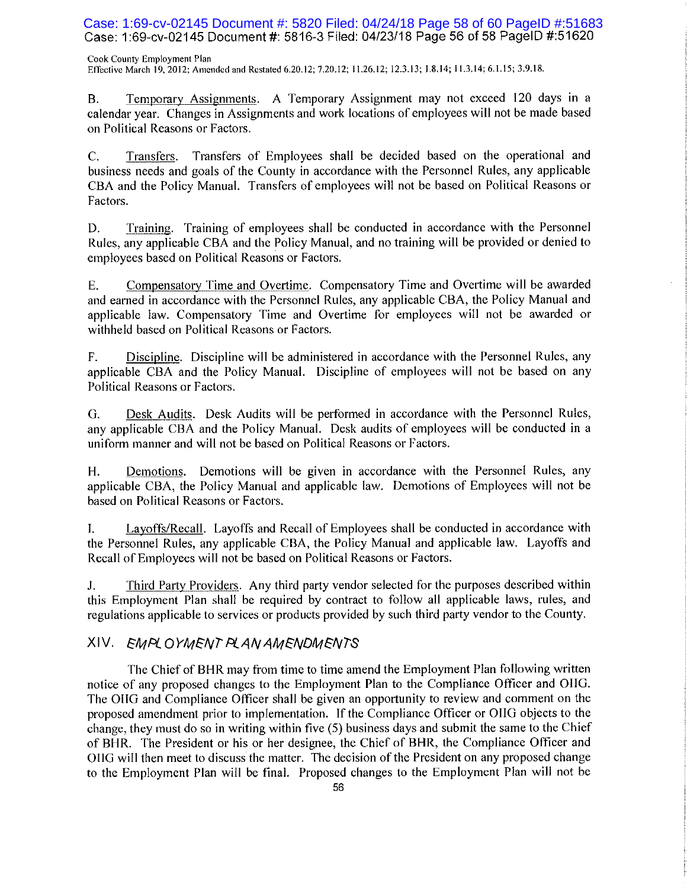Case: 1:69-cv-02145 Document #: 5820 Filed: 04/24/18 Page 58 of 60 PageID #:51683 Case: 1:69-cv-02145 Document #: 5816-3 Filed: 04/23/18 Page 56 of 58 PageID #:51620

Cook County Employment Plan Effective March 19, 2012; Amended and Restated 6.20.12; 7.20.12; 11.26.12; 12.3.13; 1.8.14; 11.3.14; 6.1.15; 3.9.18.

Temporary Assignments. A Temporary Assignment may not exceed 120 days in a **B.** calendar year. Changes in Assignments and work locations of employees will not be made based on Political Reasons or Factors.

 $C_{\cdot}$ Transfers. Transfers of Employees shall be decided based on the operational and business needs and goals of the County in accordance with the Personnel Rules, any applicable CBA and the Policy Manual. Transfers of employees will not be based on Political Reasons or Factors.

D. Training. Training of employees shall be conducted in accordance with the Personnel Rules, any applicable CBA and the Policy Manual, and no training will be provided or denied to employees based on Political Reasons or Factors.

Compensatory Time and Overtime. Compensatory Time and Overtime will be awarded E. and earned in accordance with the Personnel Rules, any applicable CBA, the Policy Manual and applicable law. Compensatory Time and Overtime for employees will not be awarded or withheld based on Political Reasons or Factors.

Discipline. Discipline will be administered in accordance with the Personnel Rules, any F. applicable CBA and the Policy Manual. Discipline of employees will not be based on any Political Reasons or Factors.

G. Desk Audits. Desk Audits will be performed in accordance with the Personnel Rules, any applicable CBA and the Policy Manual. Desk audits of employees will be conducted in a uniform manner and will not be based on Political Reasons or Factors.

Demotions. Demotions will be given in accordance with the Personnel Rules, any H. applicable CBA, the Policy Manual and applicable law. Demotions of Employees will not be based on Political Reasons or Factors.

Layoffs/Recall. Layoffs and Recall of Employees shall be conducted in accordance with L. the Personnel Rules, any applicable CBA, the Policy Manual and applicable law. Layoffs and Recall of Employees will not be based on Political Reasons or Factors.

J. Third Party Providers. Any third party vendor selected for the purposes described within this Employment Plan shall be required by contract to follow all applicable laws, rules, and regulations applicable to services or products provided by such third party vendor to the County.

## XIV. EMPLOYMENT PLANAMENDMENTS

The Chief of BHR may from time to time amend the Employment Plan following written notice of any proposed changes to the Employment Plan to the Compliance Officer and OIIG. The OHG and Compliance Officer shall be given an opportunity to review and comment on the proposed amendment prior to implementation. If the Compliance Officer or OIIG objects to the change, they must do so in writing within five (5) business days and submit the same to the Chief of BHR. The President or his or her designee, the Chief of BHR, the Compliance Officer and OIIG will then meet to discuss the matter. The decision of the President on any proposed change to the Employment Plan will be final. Proposed changes to the Employment Plan will not be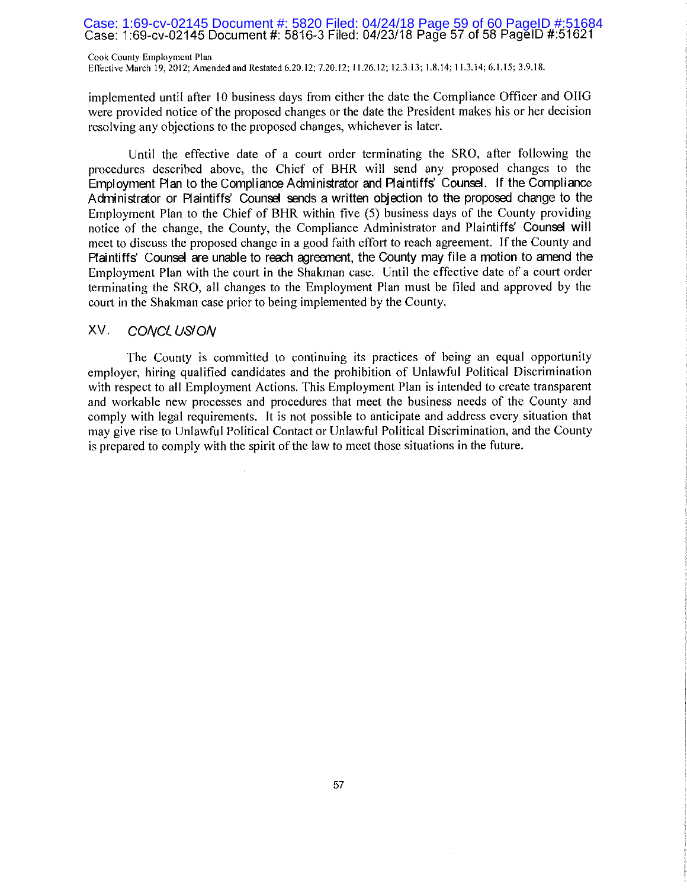## Case: 1:69-cv-02145 Document #: 5820 Filed: 04/24/18 Page 59 of 60 PageID #:51684<br>Case: 1:69-cv-02145 Document #: 5816-3 Filed: 04/23/18 Page 57 of 58 PageID #:51621

Cook County Employment Plan Effective March 19, 2012; Amended and Restated 6.20.12; 7.20.12; 11.26.12; 12.3.13; 1.8.14; 11.3.14; 6.1.15; 3.9.18.

implemented until after 10 business days from either the date the Compliance Officer and OIIG were provided notice of the proposed changes or the date the President makes his or her decision resolving any objections to the proposed changes, whichever is later.

Until the effective date of a court order terminating the SRO, after following the procedures described above, the Chief of BHR will send any proposed changes to the Employment Plan to the Compliance Administrator and Plaintiffs' Counsel. If the Compliance Administrator or Plaintiffs' Counsel sends a written objection to the proposed change to the Employment Plan to the Chief of BHR within five (5) business days of the County providing notice of the change, the County, the Compliance Administrator and Plaintiffs' Counsel will meet to discuss the proposed change in a good faith effort to reach agreement. If the County and Plaintiffs' Counsel are unable to reach agreement, the County may file a motion to amend the Employment Plan with the court in the Shakman case. Until the effective date of a court order terminating the SRO, all changes to the Employment Plan must be filed and approved by the court in the Shakman case prior to being implemented by the County.

#### XV. CONCLUSION

The County is committed to continuing its practices of being an equal opportunity employer, hiring qualified candidates and the prohibition of Unlawful Political Discrimination with respect to all Employment Actions. This Employment Plan is intended to create transparent and workable new processes and procedures that meet the business needs of the County and comply with legal requirements. It is not possible to anticipate and address every situation that may give rise to Unlawful Political Contact or Unlawful Political Discrimination, and the County is prepared to comply with the spirit of the law to meet those situations in the future.